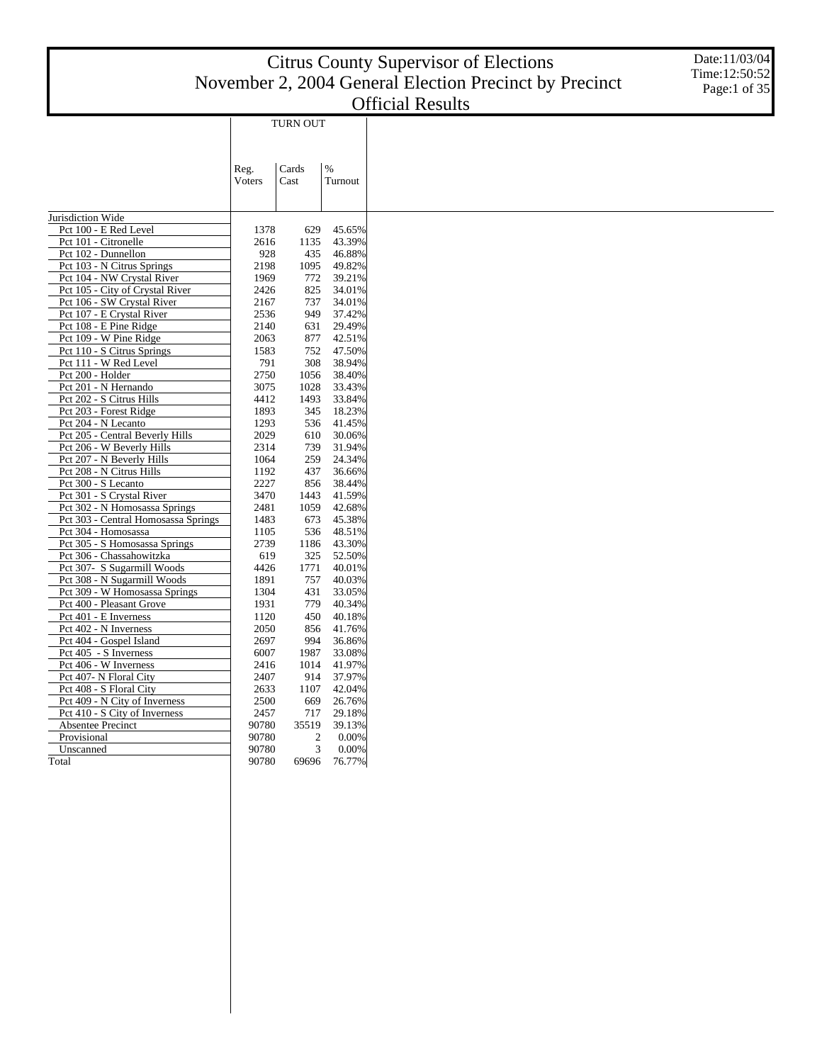|                                     |                | <b>TURN OUT</b>         |                 |
|-------------------------------------|----------------|-------------------------|-----------------|
|                                     |                |                         |                 |
|                                     | Reg.<br>Voters | Cards<br>Cast           | $\%$<br>Turnout |
|                                     |                |                         |                 |
| Jurisdiction Wide                   |                |                         |                 |
| Pct 100 - E Red Level               | 1378           | 629                     | 45.65%          |
| Pct 101 - Citronelle                | 2616           | 1135                    | 43.39%          |
| Pct 102 - Dunnellon                 | 928            | 435                     | 46.88%          |
| Pct 103 - N Citrus Springs          | 2198           | 1095                    | 49.82%          |
| Pct 104 - NW Crystal River          | 1969           | 772                     | 39.21%          |
| Pct 105 - City of Crystal River     | 2426           | 825                     | 34.01%          |
| Pct 106 - SW Crystal River          | 2167           | 737                     | 34.01%          |
| Pct 107 - E Crystal River           | 2536           | 949                     | 37.42%          |
| Pct 108 - E Pine Ridge              | 2140           | 631                     | 29.49%          |
| Pct 109 - W Pine Ridge              | 2063           | 877                     | 42.51%          |
| Pct 110 - S Citrus Springs          | 1583           | 752                     | 47.50%          |
| Pct 111 - W Red Level               | 791            | 308                     | 38.94%          |
| Pct 200 - Holder                    | 2750           | 1056                    | 38.40%          |
| Pct 201 - N Hernando                | 3075           | 1028                    | 33.43%          |
| Pct 202 - S Citrus Hills            | 4412           | 1493                    | 33.84%          |
| Pct 203 - Forest Ridge              | 1893           | 345                     | 18.23%          |
| Pct 204 - N Lecanto                 | 1293           | 536                     | 41.45%          |
| Pct 205 - Central Beverly Hills     | 2029           | 610                     | 30.06%          |
| Pct 206 - W Beverly Hills           | 2314           | 739                     | 31.94%          |
| Pct 207 - N Beverly Hills           | 1064           | 259                     | 24.34%          |
| Pct 208 - N Citrus Hills            | 1192           | 437                     | 36.66%          |
| Pct 300 - S Lecanto                 | 2227           | 856                     | 38.44%          |
| Pct 301 - S Crystal River           | 3470           | 1443                    | 41.59%          |
| Pct 302 - N Homosassa Springs       | 2481           | 1059                    | 42.68%          |
| Pct 303 - Central Homosassa Springs | 1483           | 673                     | 45.38%          |
| Pct 304 - Homosassa                 | 1105           | 536                     | 48.51%          |
| Pct 305 - S Homosassa Springs       | 2739           | 1186                    | 43.30%          |
| Pct 306 - Chassahowitzka            | 619            | 325                     | 52.50%          |
| Pct 307- S Sugarmill Woods          | 4426           | 1771                    | 40.01%          |
| Pct 308 - N Sugarmill Woods         | 1891           | 757                     | 40.03%          |
| Pct 309 - W Homosassa Springs       | 1304           | 431                     | 33.05%          |
| Pct 400 - Pleasant Grove            | 1931           | 779                     | 40.34%          |
| Pct 401 - E Inverness               | 1120           | 450                     | 40.18%          |
| Pct 402 - N Inverness               | 2050           | 856                     | 41.76%          |
| Pct 404 - Gospel Island             | 2697           | 994                     | 36.86%          |
| Pct 405 - S Inverness               | 6007           | 1987                    | 33.08%          |
| Pct 406 - W Inverness               | 2416           | 1014                    | 41.97%          |
| Pct 407- N Floral City              | 2407           | 914                     | 37.97%          |
| Pct 408 - S Floral City             | 2633           | 1107                    | 42.04%          |
| Pct 409 - N City of Inverness       | 2500           | 669                     | 26.76%          |
| Pct 410 - S City of Inverness       | 2457           | 717                     | 29.18%          |
| Absentee Precinct                   | 90780          | 35519                   | 39.13%          |
| Provisional                         | 90780          | $\overline{\mathbf{c}}$ | 0.00%           |
| Unscanned                           | 90780          | 3                       | 0.00%           |
| Total                               | 90780          | 69696                   | 76.77%          |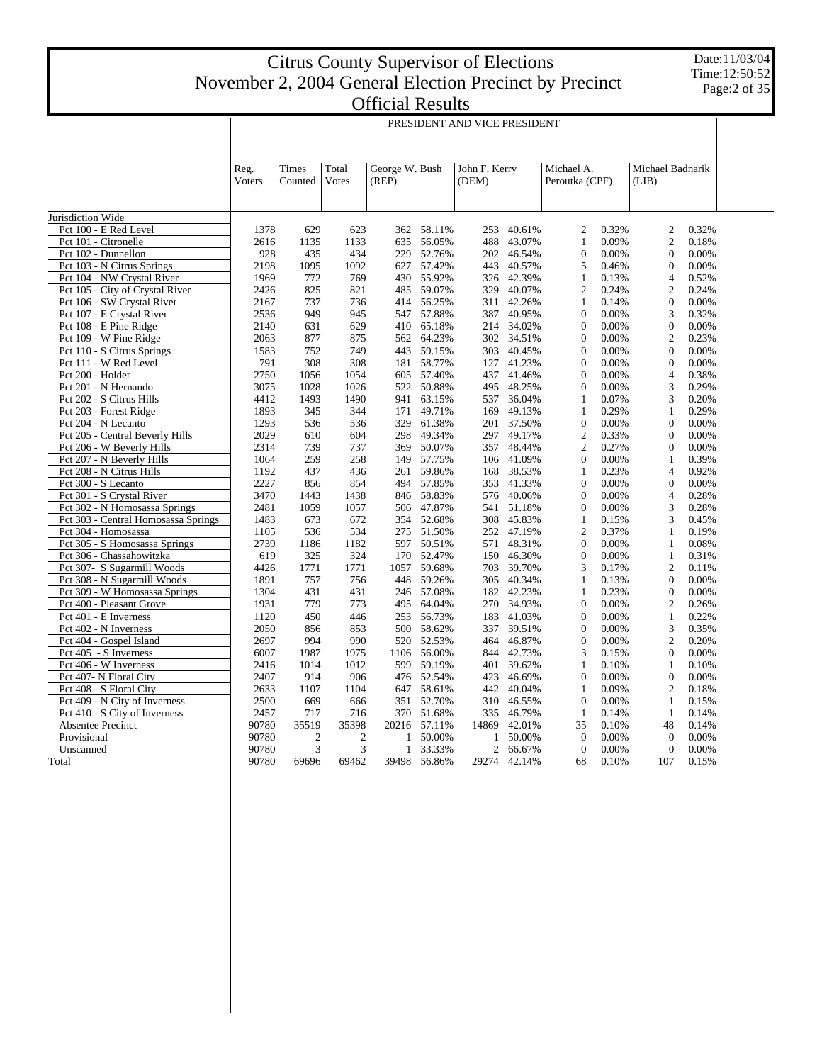Date:11/03/04 Time:12:50:52 Page:2 of 35

PRESIDENT AND VICE PRESIDENT

|                                     | Reg.   | Times          | Total | George W. Bush |        | John F. Kerry  |        | Michael A.     |       | Michael Badnarik |       |
|-------------------------------------|--------|----------------|-------|----------------|--------|----------------|--------|----------------|-------|------------------|-------|
|                                     | Voters | Counted        | Votes | (REP)          |        | (DEM)          |        | Peroutka (CPF) |       | (LIB)            |       |
|                                     |        |                |       |                |        |                |        |                |       |                  |       |
| Jurisdiction Wide                   |        |                |       |                |        |                |        |                |       |                  |       |
| Pct 100 - E Red Level               | 1378   | 629            | 623   | 362            | 58.11% | 253            | 40.61% | $\overline{2}$ | 0.32% | $\overline{2}$   | 0.32% |
| Pct 101 - Citronelle                | 2616   | 1135           | 1133  | 635            | 56.05% | 488            | 43.07% | $\mathbf{1}$   | 0.09% | $\overline{2}$   | 0.18% |
| Pct 102 - Dunnellon                 | 928    | 435            | 434   | 229            | 52.76% | 202            | 46.54% | $\overline{0}$ | 0.00% | $\mathbf{0}$     | 0.00% |
| Pct 103 - N Citrus Springs          | 2198   | 1095           | 1092  | 627            | 57.42% | 443            | 40.57% | 5              | 0.46% | $\mathbf{0}$     | 0.00% |
| Pct 104 - NW Crystal River          | 1969   | 772            | 769   | 430            | 55.92% | 326            | 42.39% | $\mathbf{1}$   | 0.13% | $\overline{4}$   | 0.52% |
| Pct 105 - City of Crystal River     | 2426   | 825            | 821   | 485            | 59.07% | 329            | 40.07% | $\overline{2}$ | 0.24% | $\overline{2}$   | 0.24% |
| Pct 106 - SW Crystal River          | 2167   | 737            | 736   | 414            | 56.25% | 311            | 42.26% | 1              | 0.14% | $\Omega$         | 0.00% |
| Pct 107 - E Crystal River           | 2536   | 949            | 945   | 547            | 57.88% | 387            | 40.95% | $\Omega$       | 0.00% | 3                | 0.32% |
| Pct 108 - E Pine Ridge              | 2140   | 631            | 629   | 410            | 65.18% | 214            | 34.02% | $\Omega$       | 0.00% | $\Omega$         | 0.00% |
| Pct 109 - W Pine Ridge              | 2063   | 877            | 875   | 562            | 64.23% | 302            | 34.51% | $\Omega$       | 0.00% | $\overline{2}$   | 0.23% |
| Pct 110 - S Citrus Springs          | 1583   | 752            | 749   | 443            | 59.15% | 303            | 40.45% | $\overline{0}$ | 0.00% | $\overline{0}$   | 0.00% |
| Pct 111 - W Red Level               | 791    | 308            | 308   | 181            | 58.77% | 127            | 41.23% | $\overline{0}$ | 0.00% | $\Omega$         | 0.00% |
| Pct 200 - Holder                    | 2750   | 1056           | 1054  | 605            | 57.40% | 437            | 41.46% | $\overline{0}$ | 0.00% | $\overline{4}$   | 0.38% |
| Pct 201 - N Hernando                | 3075   | 1028           | 1026  | 522            | 50.88% | 495            | 48.25% | $\Omega$       | 0.00% | 3                | 0.29% |
| Pct 202 - S Citrus Hills            | 4412   | 1493           | 1490  | 941            | 63.15% | 537            | 36.04% | 1              | 0.07% | 3                | 0.20% |
| Pct 203 - Forest Ridge              | 1893   | 345            | 344   | 171            | 49.71% | 169            | 49.13% | 1              | 0.29% | $\mathbf{1}$     | 0.29% |
| Pct 204 - N Lecanto                 | 1293   | 536            | 536   | 329            | 61.38% | 201            | 37.50% | $\overline{0}$ | 0.00% | $\Omega$         | 0.00% |
| Pct 205 - Central Beverly Hills     | 2029   | 610            | 604   | 298            | 49.34% | 297            | 49.17% | $\overline{2}$ | 0.33% | $\Omega$         | 0.00% |
| Pct 206 - W Beverly Hills           | 2314   | 739            | 737   | 369            | 50.07% | 357            | 48.44% | $\overline{2}$ | 0.27% | $\mathbf{0}$     | 0.00% |
| Pct 207 - N Beverly Hills           | 1064   | 259            | 258   | 149            | 57.75% | 106            | 41.09% | $\Omega$       | 0.00% | 1                | 0.39% |
| Pct 208 - N Citrus Hills            | 1192   | 437            | 436   | 261            | 59.86% | 168            | 38.53% | $\mathbf{1}$   | 0.23% | $\overline{4}$   | 0.92% |
| Pct 300 - S Lecanto                 | 2227   | 856            | 854   | 494            | 57.85% | 353            | 41.33% | $\overline{0}$ | 0.00% | $\mathbf{0}$     | 0.00% |
| Pct 301 - S Crystal River           | 3470   | 1443           | 1438  | 846            | 58.83% | 576            | 40.06% | $\overline{0}$ | 0.00% | $\overline{4}$   | 0.28% |
| Pct 302 - N Homosassa Springs       | 2481   | 1059           | 1057  | 506            | 47.87% | 541            | 51.18% | $\Omega$       | 0.00% | 3                | 0.28% |
| Pct 303 - Central Homosassa Springs | 1483   | 673            | 672   | 354            | 52.68% | 308            | 45.83% | $\mathbf{1}$   | 0.15% | 3                | 0.45% |
| Pct 304 - Homosassa                 | 1105   | 536            | 534   | 275            | 51.50% | 252            | 47.19% | $\overline{2}$ | 0.37% | 1                | 0.19% |
|                                     |        |                |       |                |        |                |        | $\overline{0}$ |       |                  |       |
| Pct 305 - S Homosassa Springs       | 2739   | 1186           | 1182  | 597            | 50.51% | 571            | 48.31% |                | 0.00% | 1                | 0.08% |
| Pct 306 - Chassahowitzka            | 619    | 325            | 324   | 170            | 52.47% | 150            | 46.30% | $\overline{0}$ | 0.00% | $\mathbf{1}$     | 0.31% |
| Pct 307- S Sugarmill Woods          | 4426   | 1771           | 1771  | 1057           | 59.68% | 703            | 39.70% | 3              | 0.17% | $\overline{2}$   | 0.11% |
| Pct 308 - N Sugarmill Woods         | 1891   | 757            | 756   | 448            | 59.26% | 305            | 40.34% | $\mathbf{1}$   | 0.13% | $\Omega$         | 0.00% |
| Pct 309 - W Homosassa Springs       | 1304   | 431            | 431   | 246            | 57.08% | 182            | 42.23% | 1              | 0.23% | $\mathbf{0}$     | 0.00% |
| Pct 400 - Pleasant Grove            | 1931   | 779            | 773   | 495            | 64.04% | 270            | 34.93% | $\Omega$       | 0.00% | $\overline{2}$   | 0.26% |
| Pct 401 - E Inverness               | 1120   | 450            | 446   | 253            | 56.73% | 183            | 41.03% | $\overline{0}$ | 0.00% | $\mathbf{1}$     | 0.22% |
| Pct 402 - N Inverness               | 2050   | 856            | 853   | 500            | 58.62% | 337            | 39.51% | $\Omega$       | 0.00% | 3                | 0.35% |
| Pct 404 - Gospel Island             | 2697   | 994            | 990   | 520            | 52.53% | 464            | 46.87% | $\overline{0}$ | 0.00% | $\overline{2}$   | 0.20% |
| Pct 405 - S Inverness               | 6007   | 1987           | 1975  | 1106           | 56.00% | 844            | 42.73% | 3              | 0.15% | $\mathbf{0}$     | 0.00% |
| Pct 406 - W Inverness               | 2416   | 1014           | 1012  | 599            | 59.19% | 401            | 39.62% | $\mathbf{1}$   | 0.10% | $\mathbf{1}$     | 0.10% |
| Pct 407- N Floral City              | 2407   | 914            | 906   | 476            | 52.54% | 423            | 46.69% | $\overline{0}$ | 0.00% | $\mathbf{0}$     | 0.00% |
| Pct 408 - S Floral City             | 2633   | 1107           | 1104  | 647            | 58.61% | 442            | 40.04% | 1              | 0.09% | $\overline{2}$   | 0.18% |
| Pct 409 - N City of Inverness       | 2500   | 669            | 666   | 351            | 52.70% | 310            | 46.55% | $\overline{0}$ | 0.00% | $\mathbf{1}$     | 0.15% |
| Pct 410 - S City of Inverness       | 2457   | 717            | 716   | 370            | 51.68% | 335            | 46.79% | $\mathbf{1}$   | 0.14% | $\mathbf{1}$     | 0.14% |
| Absentee Precinct                   | 90780  | 35519          | 35398 | 20216          | 57.11% | 14869          | 42.01% | 35             | 0.10% | 48               | 0.14% |
| Provisional                         | 90780  | $\overline{2}$ | 2     | 1              | 50.00% | 1              | 50.00% | $\theta$       | 0.00% | $\theta$         | 0.00% |
| Unscanned                           | 90780  | 3              | 3     | $\mathbf{1}$   | 33.33% | $\overline{c}$ | 66.67% | $\Omega$       | 0.00% | $\Omega$         | 0.00% |
| Total                               | 90780  | 69696          | 69462 | 39498          | 56.86% | 29274          | 42.14% | 68             | 0.10% | 107              | 0.15% |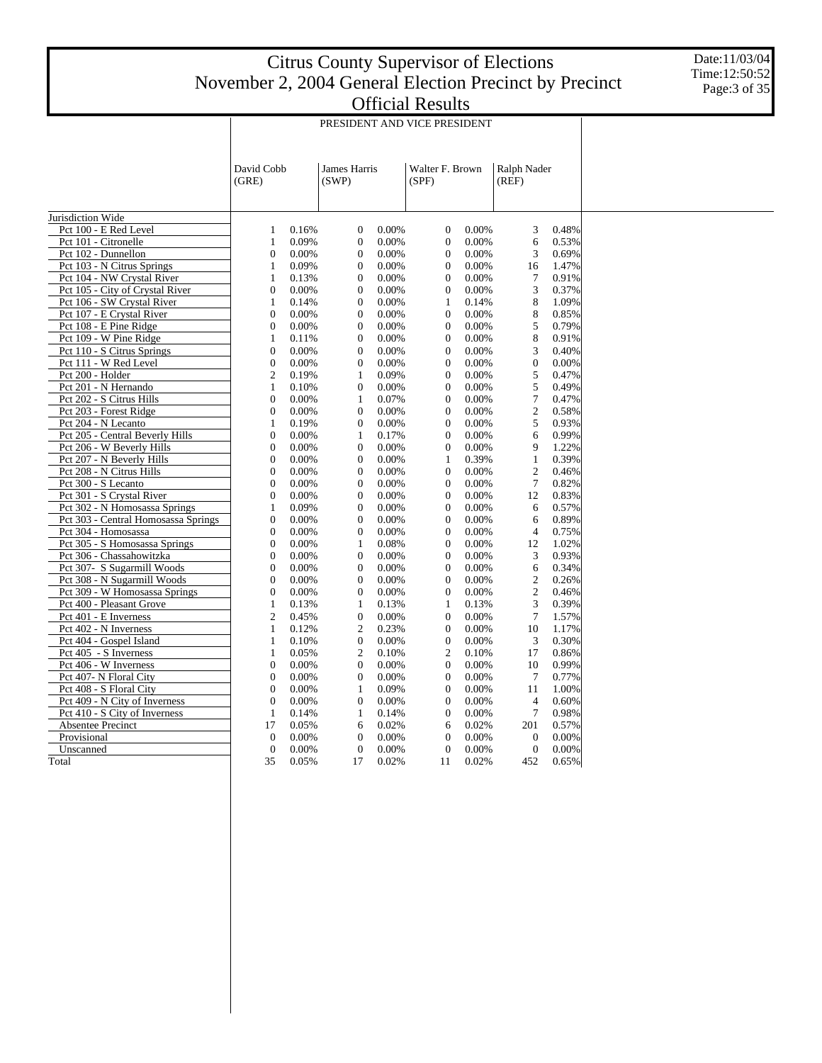Date:11/03/04 Time:12:50:52 Page:3 of 35

|                                     |                     |       |                       |       | PRESIDENT AND VICE PRESIDENT |       |                      |       |  |  |  |
|-------------------------------------|---------------------|-------|-----------------------|-------|------------------------------|-------|----------------------|-------|--|--|--|
|                                     | David Cobb<br>(GRE) |       | James Harris<br>(SWP) |       | Walter F. Brown<br>(SPF)     |       | Ralph Nader<br>(REF) |       |  |  |  |
| Jurisdiction Wide                   |                     |       |                       |       |                              |       |                      |       |  |  |  |
| Pct 100 - E Red Level               | $\mathbf{1}$        | 0.16% | $\boldsymbol{0}$      | 0.00% | $\mathbf{0}$                 | 0.00% | 3                    | 0.48% |  |  |  |
| Pct 101 - Citronelle                | $\mathbf{1}$        | 0.09% | $\boldsymbol{0}$      | 0.00% | $\mathbf{0}$                 | 0.00% | 6                    | 0.53% |  |  |  |
| Pct 102 - Dunnellon                 | $\theta$            | 0.00% | $\mathbf{0}$          | 0.00% | $\theta$                     | 0.00% | 3                    | 0.69% |  |  |  |
| Pct 103 - N Citrus Springs          | 1                   | 0.09% | $\boldsymbol{0}$      | 0.00% | $\overline{0}$               | 0.00% | 16                   | 1.47% |  |  |  |
| Pct 104 - NW Crystal River          | $\mathbf{1}$        | 0.13% | $\boldsymbol{0}$      | 0.00% | $\overline{0}$               | 0.00% | 7                    | 0.91% |  |  |  |
| Pct 105 - City of Crystal River     | $\boldsymbol{0}$    | 0.00% | $\mathbf{0}$          | 0.00% | $\mathbf{0}$                 | 0.00% | 3                    | 0.37% |  |  |  |
| Pct 106 - SW Crystal River          | $\mathbf{1}$        | 0.14% | $\mathbf{0}$          | 0.00% | $\mathbf{1}$                 | 0.14% | 8                    | 1.09% |  |  |  |
| Pct 107 - E Crystal River           | $\overline{0}$      | 0.00% | $\boldsymbol{0}$      | 0.00% | $\overline{0}$               | 0.00% | 8                    | 0.85% |  |  |  |
| Pct 108 - E Pine Ridge              | 0                   | 0.00% | $\boldsymbol{0}$      | 0.00% | $\overline{0}$               | 0.00% | 5                    | 0.79% |  |  |  |
| Pct 109 - W Pine Ridge              | $\mathbf{1}$        | 0.11% | $\boldsymbol{0}$      | 0.00% | $\mathbf{0}$                 | 0.00% | $\,$ 8 $\,$          | 0.91% |  |  |  |
| Pct 110 - S Citrus Springs          | $\overline{0}$      | 0.00% | $\mathbf{0}$          | 0.00% | $\overline{0}$               | 0.00% | 3                    | 0.40% |  |  |  |
| Pct 111 - W Red Level               | $\overline{0}$      | 0.00% | $\boldsymbol{0}$      | 0.00% | $\overline{0}$               | 0.00% | $\mathbf{0}$         | 0.00% |  |  |  |
| Pct 200 - Holder                    | $\overline{c}$      | 0.19% | $\mathbf{1}$          | 0.09% | $\overline{0}$               | 0.00% | 5                    | 0.47% |  |  |  |
| Pct 201 - N Hernando                | $\mathbf{1}$        | 0.10% | $\mathbf{0}$          | 0.00% | $\overline{0}$               | 0.00% | 5                    | 0.49% |  |  |  |
| Pct 202 - S Citrus Hills            | $\overline{0}$      | 0.00% | $\mathbf{1}$          | 0.07% | $\overline{0}$               | 0.00% | $\overline{7}$       | 0.47% |  |  |  |
| Pct 203 - Forest Ridge              | $\overline{0}$      | 0.00% | $\mathbf{0}$          | 0.00% | $\overline{0}$               | 0.00% | $\overline{2}$       | 0.58% |  |  |  |
| Pct 204 - N Lecanto                 | $\mathbf{1}$        | 0.19% | $\boldsymbol{0}$      | 0.00% | $\mathbf{0}$                 | 0.00% | 5                    | 0.93% |  |  |  |
| Pct 205 - Central Beverly Hills     | $\overline{0}$      | 0.00% | $\mathbf{1}$          | 0.17% | $\theta$                     | 0.00% | 6                    | 0.99% |  |  |  |
| Pct 206 - W Beverly Hills           | $\mathbf{0}$        | 0.00% | $\boldsymbol{0}$      | 0.00% | $\overline{0}$               | 0.00% | 9                    | 1.22% |  |  |  |
| Pct 207 - N Beverly Hills           | $\boldsymbol{0}$    | 0.00% | $\boldsymbol{0}$      | 0.00% | $\mathbf{1}$                 | 0.39% | $\mathbf{1}$         | 0.39% |  |  |  |
| Pct 208 - N Citrus Hills            | $\theta$            | 0.00% | $\mathbf{0}$          | 0.00% | $\overline{0}$               | 0.00% | $\mathfrak{2}$       | 0.46% |  |  |  |
| Pct 300 - S Lecanto                 | $\overline{0}$      | 0.00% | $\boldsymbol{0}$      | 0.00% | $\overline{0}$               | 0.00% | $\overline{7}$       | 0.82% |  |  |  |
| Pct 301 - S Crystal River           | $\overline{0}$      | 0.00% | $\boldsymbol{0}$      | 0.00% | $\overline{0}$               | 0.00% | 12                   | 0.83% |  |  |  |
| Pct 302 - N Homosassa Springs       | $\mathbf{1}$        | 0.09% | $\boldsymbol{0}$      | 0.00% | $\boldsymbol{0}$             | 0.00% | 6                    | 0.57% |  |  |  |
| Pct 303 - Central Homosassa Springs | $\overline{0}$      | 0.00% | $\boldsymbol{0}$      | 0.00% | $\overline{0}$               | 0.00% | 6                    | 0.89% |  |  |  |
| Pct 304 - Homosassa                 | $\overline{0}$      | 0.00% | $\mathbf{0}$          | 0.00% | $\overline{0}$               | 0.00% | $\overline{4}$       | 0.75% |  |  |  |
| Pct 305 - S Homosassa Springs       | $\mathbf{0}$        | 0.00% | $\mathbf{1}$          | 0.08% | $\overline{0}$               | 0.00% | 12                   | 1.02% |  |  |  |
| Pct 306 - Chassahowitzka            | $\overline{0}$      | 0.00% | $\boldsymbol{0}$      | 0.00% | $\mathbf{0}$                 | 0.00% | 3                    | 0.93% |  |  |  |
| Pct 307- S Sugarmill Woods          | $\overline{0}$      | 0.00% | $\boldsymbol{0}$      | 0.00% | $\overline{0}$               | 0.00% | 6                    | 0.34% |  |  |  |
| Pct 308 - N Sugarmill Woods         | $\overline{0}$      | 0.00% | $\boldsymbol{0}$      | 0.00% | $\overline{0}$               | 0.00% | $\overline{c}$       | 0.26% |  |  |  |
| Pct 309 - W Homosassa Springs       | 0                   | 0.00% | $\boldsymbol{0}$      | 0.00% | $\overline{0}$               | 0.00% | $\overline{c}$       | 0.46% |  |  |  |
| Pct 400 - Pleasant Grove            | $\mathbf{1}$        | 0.13% | $\mathbf{1}$          | 0.13% | $\mathbf{1}$                 | 0.13% | 3                    | 0.39% |  |  |  |
| Pct 401 - E Inverness               | $\overline{2}$      | 0.45% | $\boldsymbol{0}$      | 0.00% | $\overline{0}$               | 0.00% | $\overline{7}$       | 1.57% |  |  |  |
| Pct 402 - N Inverness               | $\mathbf{1}$        | 0.12% | $\overline{2}$        | 0.23% | $\overline{0}$               | 0.00% | 10                   | 1.17% |  |  |  |
| Pct 404 - Gospel Island             | 1                   | 0.10% | $\boldsymbol{0}$      | 0.00% | $\mathbf{0}$                 | 0.00% | 3                    | 0.30% |  |  |  |
| Pct 405 - S Inverness               | $\mathbf{1}$        | 0.05% | $\overline{c}$        | 0.10% | $\overline{c}$               | 0.10% | 17                   | 0.86% |  |  |  |
| Pct 406 - W Inverness               | $\overline{0}$      | 0.00% | $\boldsymbol{0}$      | 0.00% | $\overline{0}$               | 0.00% | 10                   | 0.99% |  |  |  |
| Pct 407- N Floral City              | $\boldsymbol{0}$    | 0.00% | $\boldsymbol{0}$      | 0.00% | $\mathbf{0}$                 | 0.00% | $\tau$               | 0.77% |  |  |  |
| Pct 408 - S Floral City             | $\theta$            | 0.00% | $\mathbf{1}$          | 0.09% | $\theta$                     | 0.00% | 11                   | 1.00% |  |  |  |
| Pct 409 - N City of Inverness       | $\overline{0}$      | 0.00% | $\boldsymbol{0}$      | 0.00% | $\overline{0}$               | 0.00% | $\overline{4}$       | 0.60% |  |  |  |
| Pct 410 - S City of Inverness       | $\mathbf{1}$        | 0.14% | $\mathbf{1}$          | 0.14% | $\overline{0}$               | 0.00% | $\overline{7}$       | 0.98% |  |  |  |
| Absentee Precinct                   | 17                  | 0.05% | 6                     | 0.02% | 6                            | 0.02% | 201                  | 0.57% |  |  |  |
| Provisional                         | $\mathbf{0}$        | 0.00% | $\boldsymbol{0}$      | 0.00% | $\overline{0}$               | 0.00% | $\overline{0}$       | 0.00% |  |  |  |
| Unscanned                           | $\overline{0}$      | 0.00% | $\mathbf{0}$          | 0.00% | $\overline{0}$               | 0.00% | $\overline{0}$       | 0.00% |  |  |  |
| Total                               | 35                  | 0.05% | 17                    | 0.02% | 11                           | 0.02% | 452                  | 0.65% |  |  |  |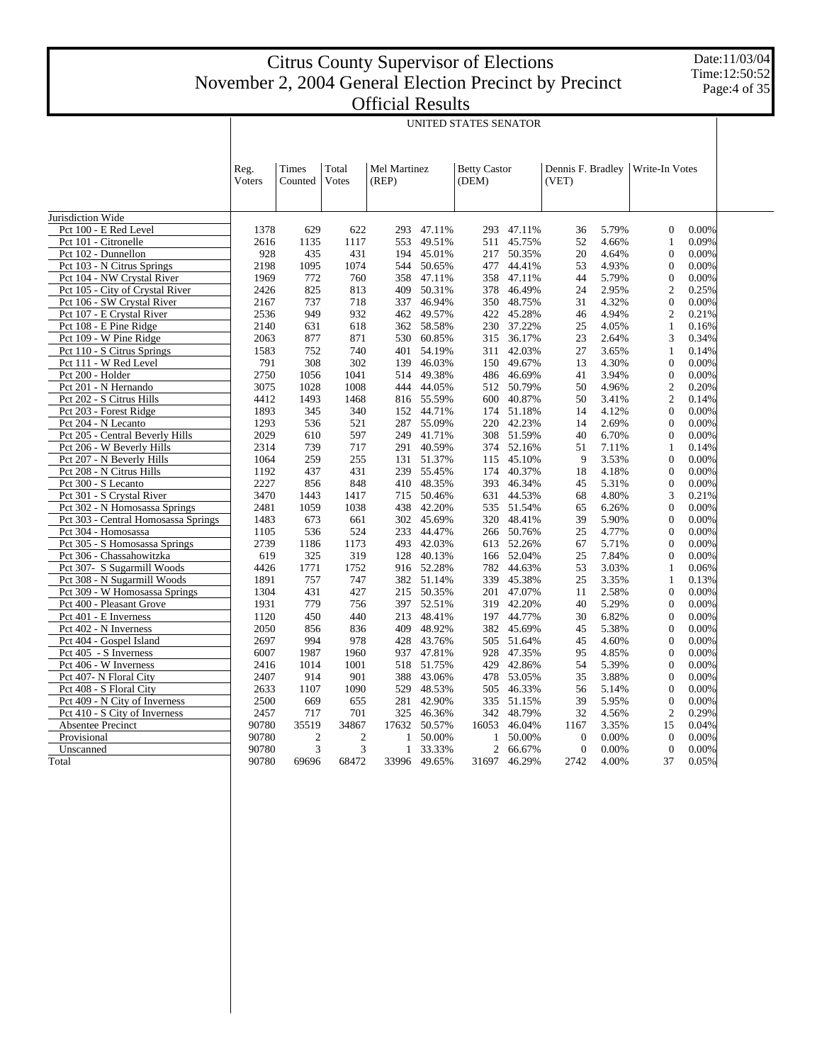Date:11/03/04 Time:12:50:52 Page:4 of 35

| Total<br><b>Betty Castor</b><br>Dennis F. Bradley<br>Reg.<br>Times<br>Mel Martinez<br>Write-In Votes<br>Votes<br>(DEM)<br>Voters<br>Counted<br>(REP)<br>(VET)<br>Pct 100 - E Red Level<br>47.11%<br>47.11%<br>5.79%<br>$\mathbf{0}$<br>0.00%<br>1378<br>629<br>622<br>293<br>293<br>36<br>Pct 101 - Citronelle<br>49.51%<br>45.75%<br>52<br>4.66%<br>0.09%<br>2616<br>1135<br>1117<br>553<br>511<br>1<br>Pct 102 - Dunnellon<br>928<br>435<br>431<br>194<br>45.01%<br>50.35%<br>20<br>4.64%<br>$\Omega$<br>0.00%<br>217<br>Pct 103 - N Citrus Springs<br>2198<br>1095<br>1074<br>50.65%<br>44.41%<br>53<br>4.93%<br>$\Omega$<br>0.00%<br>544<br>477<br>Pct 104 - NW Crystal River<br>5.79%<br>1969<br>772<br>760<br>358<br>47.11%<br>358<br>47.11%<br>44<br>$\mathbf{0}$<br>0.00%<br>$\overline{c}$<br>Pct 105 - City of Crystal River<br>825<br>409<br>50.31%<br>378<br>46.49%<br>24<br>2.95%<br>0.25%<br>2426<br>813<br>4.32%<br>Pct 106 - SW Crystal River<br>2167<br>737<br>718<br>337<br>46.94%<br>350<br>48.75%<br>31<br>$\mathbf{0}$<br>0.00%<br>Pct 107 - E Crystal River<br>949<br>932<br>49.57%<br>45.28%<br>4.94%<br>$\overline{2}$<br>2536<br>462<br>422<br>46<br>0.21%<br>Pct 108 - E Pine Ridge<br>631<br>58.58%<br>37.22%<br>4.05%<br>$\mathbf{1}$<br>2140<br>618<br>362<br>230<br>25<br>0.16%<br>Pct 109 - W Pine Ridge<br>2063<br>877<br>871<br>530<br>60.85%<br>36.17%<br>23<br>2.64%<br>3<br>0.34%<br>315<br>Pct 110 - S Citrus Springs<br>752<br>401<br>54.19%<br>27<br>3.65%<br>0.14%<br>1583<br>740<br>311<br>42.03%<br>1<br>Pct 111 - W Red Level<br>791<br>308<br>302<br>46.03%<br>49.67%<br>13<br>4.30%<br>$\mathbf{0}$<br>0.00%<br>139<br>150<br>Pct 200 - Holder<br>2750<br>1056<br>1041<br>514<br>49.38%<br>486<br>46.69%<br>41<br>3.94%<br>$\Omega$<br>0.00%<br>$\overline{c}$<br>Pct 201 - N Hernando<br>3075<br>1028<br>1008<br>444<br>44.05%<br>512<br>50.79%<br>50<br>4.96%<br>0.20%<br>Pct 202 - S Citrus Hills<br>1493<br>50<br>$\overline{2}$<br>4412<br>1468<br>816 55.59%<br>600<br>40.87%<br>3.41%<br>0.14%<br>Pct 203 - Forest Ridge<br>1893<br>44.71%<br>51.18%<br>4.12%<br>$\mathbf{0}$<br>0.00%<br>345<br>340<br>152<br>174<br>14<br>2.69%<br>Pct 204 - N Lecanto<br>1293<br>536<br>521<br>287<br>55.09%<br>220<br>42.23%<br>14<br>$\mathbf{0}$<br>0.00%<br>Pct 205 - Central Beverly Hills<br>2029<br>610<br>597<br>249<br>41.71%<br>308 51.59%<br>40<br>6.70%<br>$\Omega$<br>0.00%<br>Pct 206 - W Beverly Hills<br>739<br>40.59%<br>2314<br>717<br>291<br>374<br>52.16%<br>51<br>7.11%<br>1<br>0.14%<br>259<br>3.53%<br>$\mathbf{0}$<br>Pct 207 - N Beverly Hills<br>1064<br>255<br>131<br>51.37%<br>45.10%<br>9<br>0.00%<br>115<br>Pct 208 - N Citrus Hills<br>1192<br>437<br>431<br>239<br>55.45%<br>174<br>40.37%<br>18<br>4.18%<br>$\Omega$<br>0.00%<br>Pct 300 - S Lecanto<br>2227<br>856<br>848<br>48.35%<br>46.34%<br>5.31%<br>$\Omega$<br>0.00%<br>410<br>393<br>45<br>Pct 301 - S Crystal River<br>3470<br>1443<br>1417<br>50.46%<br>44.53%<br>68<br>4.80%<br>3<br>0.21%<br>715<br>631<br>Pct 302 - N Homosassa Springs<br>2481<br>1059<br>1038<br>438<br>42.20%<br>535<br>51.54%<br>65<br>6.26%<br>$\mathbf{0}$<br>0.00%<br>Pct 303 - Central Homosassa Springs<br>39<br>1483<br>673<br>302<br>45.69%<br>320<br>48.41%<br>5.90%<br>$\Omega$<br>0.00%<br>661<br>Pct 304 - Homosassa<br>1105<br>536<br>524<br>233<br>44.47%<br>50.76%<br>25<br>4.77%<br>$\Omega$<br>0.00%<br>266<br>Pct 305 - S Homosassa Springs<br>2739<br>42.03%<br>52.26%<br>5.71%<br>$\mathbf{0}$<br>0.00%<br>1186<br>1173<br>493<br>613<br>67<br>7.84%<br>Pct 306 - Chassahowitzka<br>619<br>325<br>319<br>128<br>40.13%<br>166 52.04%<br>25<br>$\mathbf{0}$<br>0.00%<br>Pct 307- S Sugarmill Woods<br>4426<br>1752<br>916 52.28%<br>53<br>3.03%<br>1771<br>782<br>44.63%<br>1<br>0.06%<br>Pct 308 - N Sugarmill Woods<br>1891<br>757<br>747<br>382<br>51.14%<br>339<br>45.38%<br>25<br>3.35%<br>1<br>0.13%<br>Pct 309 - W Homosassa Springs<br>431<br>2.58%<br>$\mathbf{0}$<br>1304<br>427<br>215<br>50.35%<br>201<br>47.07%<br>11<br>0.00%<br>1931<br>779<br>52.51%<br>42.20%<br>5.29%<br>0.00%<br>Pct 400 - Pleasant Grove<br>756<br>397<br>40<br>$\Omega$<br>319<br>Pct 401 - E Inverness<br>450<br>213 48.41%<br>44.77%<br>30<br>6.82%<br>0.00%<br>1120<br>440<br>197<br>$\mathbf{0}$<br>Pct 402 - N Inverness<br>48.92%<br>5.38%<br>0.00%<br>2050<br>856<br>836<br>409<br>382<br>45.69%<br>45<br>$\mathbf{0}$<br>2697<br>994<br>4.60%<br>Pct 404 - Gospel Island<br>978<br>428<br>43.76%<br>505<br>51.64%<br>45<br>$\mathbf{0}$<br>0.00%<br>Pct 405 - S Inverness<br>6007<br>1987<br>47.81%<br>47.35%<br>95<br>4.85%<br>$\Omega$<br>0.00%<br>1960<br>937<br>928<br>Pct 406 - W Inverness<br>2416<br>1014<br>1001<br>51.75%<br>429<br>42.86%<br>54<br>5.39%<br>$\mathbf{0}$<br>0.00%<br>518<br>Pct 407- N Floral City<br>2407<br>914<br>901<br>388<br>43.06%<br>478<br>53.05%<br>35<br>3.88%<br>$\mathbf{0}$<br>0.00%<br>Pct 408 - S Floral City<br>2633<br>1107<br>1090<br>529<br>48.53%<br>505<br>46.33%<br>56<br>5.14%<br>$\Omega$<br>0.00%<br>Pct 409 - N City of Inverness<br>2500<br>669<br>655<br>281<br>42.90%<br>335<br>51.15%<br>39<br>5.95%<br>$\Omega$<br>0.00%<br>Pct 410 - S City of Inverness<br>717<br>701<br>46.36%<br>48.79%<br>32<br>4.56%<br>$\overline{2}$<br>0.29%<br>2457<br>325<br>342<br><b>Absentee Precinct</b><br>90780<br>15<br>35519<br>34867<br>17632<br>50.57%<br>16053<br>46.04%<br>3.35%<br>0.04%<br>1167<br>Provisional<br>$\boldsymbol{2}$<br>0.00%<br>90780<br>$\overline{2}$<br>50.00%<br>50.00%<br>$\mathbf{0}$<br>0.00%<br>$\Omega$<br>1<br>1<br>3<br>90780<br>3<br>$\mathfrak{2}$<br>0.00%<br>$\overline{0}$<br>0.00%<br>Unscanned<br>$\mathbf{1}$<br>33.33%<br>66.67%<br>$\mathbf{0}$ |                   | UNITED STATES SENATOR |       |       |       |        |       |        |      |       |    |       |  |  |  |
|-----------------------------------------------------------------------------------------------------------------------------------------------------------------------------------------------------------------------------------------------------------------------------------------------------------------------------------------------------------------------------------------------------------------------------------------------------------------------------------------------------------------------------------------------------------------------------------------------------------------------------------------------------------------------------------------------------------------------------------------------------------------------------------------------------------------------------------------------------------------------------------------------------------------------------------------------------------------------------------------------------------------------------------------------------------------------------------------------------------------------------------------------------------------------------------------------------------------------------------------------------------------------------------------------------------------------------------------------------------------------------------------------------------------------------------------------------------------------------------------------------------------------------------------------------------------------------------------------------------------------------------------------------------------------------------------------------------------------------------------------------------------------------------------------------------------------------------------------------------------------------------------------------------------------------------------------------------------------------------------------------------------------------------------------------------------------------------------------------------------------------------------------------------------------------------------------------------------------------------------------------------------------------------------------------------------------------------------------------------------------------------------------------------------------------------------------------------------------------------------------------------------------------------------------------------------------------------------------------------------------------------------------------------------------------------------------------------------------------------------------------------------------------------------------------------------------------------------------------------------------------------------------------------------------------------------------------------------------------------------------------------------------------------------------------------------------------------------------------------------------------------------------------------------------------------------------------------------------------------------------------------------------------------------------------------------------------------------------------------------------------------------------------------------------------------------------------------------------------------------------------------------------------------------------------------------------------------------------------------------------------------------------------------------------------------------------------------------------------------------------------------------------------------------------------------------------------------------------------------------------------------------------------------------------------------------------------------------------------------------------------------------------------------------------------------------------------------------------------------------------------------------------------------------------------------------------------------------------------------------------------------------------------------------------------------------------------------------------------------------------------------------------------------------------------------------------------------------------------------------------------------------------------------------------------------------------------------------------------------------------------------------------------------------------------------------------------------------------------------------------------------------------------------------------------------------------------------------------------------------------------------------------------------------------------------------------------------------------------------------------------------------------------------------------------------------------------------------------------------------------------------------------------------------------------------------------------------------------------------------------------------------------------------------------------------------------------------------------------------------------------------------------------------------------------------------------------------------------------------------------------------------------------------------------------------------------------------------------------------------------------------------------------------------------------------------------------------------------------------------------------------------|-------------------|-----------------------|-------|-------|-------|--------|-------|--------|------|-------|----|-------|--|--|--|
|                                                                                                                                                                                                                                                                                                                                                                                                                                                                                                                                                                                                                                                                                                                                                                                                                                                                                                                                                                                                                                                                                                                                                                                                                                                                                                                                                                                                                                                                                                                                                                                                                                                                                                                                                                                                                                                                                                                                                                                                                                                                                                                                                                                                                                                                                                                                                                                                                                                                                                                                                                                                                                                                                                                                                                                                                                                                                                                                                                                                                                                                                                                                                                                                                                                                                                                                                                                                                                                                                                                                                                                                                                                                                                                                                                                                                                                                                                                                                                                                                                                                                                                                                                                                                                                                                                                                                                                                                                                                                                                                                                                                                                                                                                                                                                                                                                                                                                                                                                                                                                                                                                                                                                                                                                                                                                                                                                                                                                                                                                                                                                                                                                                                                                                                                                 |                   |                       |       |       |       |        |       |        |      |       |    |       |  |  |  |
|                                                                                                                                                                                                                                                                                                                                                                                                                                                                                                                                                                                                                                                                                                                                                                                                                                                                                                                                                                                                                                                                                                                                                                                                                                                                                                                                                                                                                                                                                                                                                                                                                                                                                                                                                                                                                                                                                                                                                                                                                                                                                                                                                                                                                                                                                                                                                                                                                                                                                                                                                                                                                                                                                                                                                                                                                                                                                                                                                                                                                                                                                                                                                                                                                                                                                                                                                                                                                                                                                                                                                                                                                                                                                                                                                                                                                                                                                                                                                                                                                                                                                                                                                                                                                                                                                                                                                                                                                                                                                                                                                                                                                                                                                                                                                                                                                                                                                                                                                                                                                                                                                                                                                                                                                                                                                                                                                                                                                                                                                                                                                                                                                                                                                                                                                                 | Jurisdiction Wide |                       |       |       |       |        |       |        |      |       |    |       |  |  |  |
|                                                                                                                                                                                                                                                                                                                                                                                                                                                                                                                                                                                                                                                                                                                                                                                                                                                                                                                                                                                                                                                                                                                                                                                                                                                                                                                                                                                                                                                                                                                                                                                                                                                                                                                                                                                                                                                                                                                                                                                                                                                                                                                                                                                                                                                                                                                                                                                                                                                                                                                                                                                                                                                                                                                                                                                                                                                                                                                                                                                                                                                                                                                                                                                                                                                                                                                                                                                                                                                                                                                                                                                                                                                                                                                                                                                                                                                                                                                                                                                                                                                                                                                                                                                                                                                                                                                                                                                                                                                                                                                                                                                                                                                                                                                                                                                                                                                                                                                                                                                                                                                                                                                                                                                                                                                                                                                                                                                                                                                                                                                                                                                                                                                                                                                                                                 |                   |                       |       |       |       |        |       |        |      |       |    |       |  |  |  |
|                                                                                                                                                                                                                                                                                                                                                                                                                                                                                                                                                                                                                                                                                                                                                                                                                                                                                                                                                                                                                                                                                                                                                                                                                                                                                                                                                                                                                                                                                                                                                                                                                                                                                                                                                                                                                                                                                                                                                                                                                                                                                                                                                                                                                                                                                                                                                                                                                                                                                                                                                                                                                                                                                                                                                                                                                                                                                                                                                                                                                                                                                                                                                                                                                                                                                                                                                                                                                                                                                                                                                                                                                                                                                                                                                                                                                                                                                                                                                                                                                                                                                                                                                                                                                                                                                                                                                                                                                                                                                                                                                                                                                                                                                                                                                                                                                                                                                                                                                                                                                                                                                                                                                                                                                                                                                                                                                                                                                                                                                                                                                                                                                                                                                                                                                                 |                   |                       |       |       |       |        |       |        |      |       |    |       |  |  |  |
|                                                                                                                                                                                                                                                                                                                                                                                                                                                                                                                                                                                                                                                                                                                                                                                                                                                                                                                                                                                                                                                                                                                                                                                                                                                                                                                                                                                                                                                                                                                                                                                                                                                                                                                                                                                                                                                                                                                                                                                                                                                                                                                                                                                                                                                                                                                                                                                                                                                                                                                                                                                                                                                                                                                                                                                                                                                                                                                                                                                                                                                                                                                                                                                                                                                                                                                                                                                                                                                                                                                                                                                                                                                                                                                                                                                                                                                                                                                                                                                                                                                                                                                                                                                                                                                                                                                                                                                                                                                                                                                                                                                                                                                                                                                                                                                                                                                                                                                                                                                                                                                                                                                                                                                                                                                                                                                                                                                                                                                                                                                                                                                                                                                                                                                                                                 |                   |                       |       |       |       |        |       |        |      |       |    |       |  |  |  |
|                                                                                                                                                                                                                                                                                                                                                                                                                                                                                                                                                                                                                                                                                                                                                                                                                                                                                                                                                                                                                                                                                                                                                                                                                                                                                                                                                                                                                                                                                                                                                                                                                                                                                                                                                                                                                                                                                                                                                                                                                                                                                                                                                                                                                                                                                                                                                                                                                                                                                                                                                                                                                                                                                                                                                                                                                                                                                                                                                                                                                                                                                                                                                                                                                                                                                                                                                                                                                                                                                                                                                                                                                                                                                                                                                                                                                                                                                                                                                                                                                                                                                                                                                                                                                                                                                                                                                                                                                                                                                                                                                                                                                                                                                                                                                                                                                                                                                                                                                                                                                                                                                                                                                                                                                                                                                                                                                                                                                                                                                                                                                                                                                                                                                                                                                                 |                   |                       |       |       |       |        |       |        |      |       |    |       |  |  |  |
|                                                                                                                                                                                                                                                                                                                                                                                                                                                                                                                                                                                                                                                                                                                                                                                                                                                                                                                                                                                                                                                                                                                                                                                                                                                                                                                                                                                                                                                                                                                                                                                                                                                                                                                                                                                                                                                                                                                                                                                                                                                                                                                                                                                                                                                                                                                                                                                                                                                                                                                                                                                                                                                                                                                                                                                                                                                                                                                                                                                                                                                                                                                                                                                                                                                                                                                                                                                                                                                                                                                                                                                                                                                                                                                                                                                                                                                                                                                                                                                                                                                                                                                                                                                                                                                                                                                                                                                                                                                                                                                                                                                                                                                                                                                                                                                                                                                                                                                                                                                                                                                                                                                                                                                                                                                                                                                                                                                                                                                                                                                                                                                                                                                                                                                                                                 |                   |                       |       |       |       |        |       |        |      |       |    |       |  |  |  |
|                                                                                                                                                                                                                                                                                                                                                                                                                                                                                                                                                                                                                                                                                                                                                                                                                                                                                                                                                                                                                                                                                                                                                                                                                                                                                                                                                                                                                                                                                                                                                                                                                                                                                                                                                                                                                                                                                                                                                                                                                                                                                                                                                                                                                                                                                                                                                                                                                                                                                                                                                                                                                                                                                                                                                                                                                                                                                                                                                                                                                                                                                                                                                                                                                                                                                                                                                                                                                                                                                                                                                                                                                                                                                                                                                                                                                                                                                                                                                                                                                                                                                                                                                                                                                                                                                                                                                                                                                                                                                                                                                                                                                                                                                                                                                                                                                                                                                                                                                                                                                                                                                                                                                                                                                                                                                                                                                                                                                                                                                                                                                                                                                                                                                                                                                                 |                   |                       |       |       |       |        |       |        |      |       |    |       |  |  |  |
|                                                                                                                                                                                                                                                                                                                                                                                                                                                                                                                                                                                                                                                                                                                                                                                                                                                                                                                                                                                                                                                                                                                                                                                                                                                                                                                                                                                                                                                                                                                                                                                                                                                                                                                                                                                                                                                                                                                                                                                                                                                                                                                                                                                                                                                                                                                                                                                                                                                                                                                                                                                                                                                                                                                                                                                                                                                                                                                                                                                                                                                                                                                                                                                                                                                                                                                                                                                                                                                                                                                                                                                                                                                                                                                                                                                                                                                                                                                                                                                                                                                                                                                                                                                                                                                                                                                                                                                                                                                                                                                                                                                                                                                                                                                                                                                                                                                                                                                                                                                                                                                                                                                                                                                                                                                                                                                                                                                                                                                                                                                                                                                                                                                                                                                                                                 |                   |                       |       |       |       |        |       |        |      |       |    |       |  |  |  |
|                                                                                                                                                                                                                                                                                                                                                                                                                                                                                                                                                                                                                                                                                                                                                                                                                                                                                                                                                                                                                                                                                                                                                                                                                                                                                                                                                                                                                                                                                                                                                                                                                                                                                                                                                                                                                                                                                                                                                                                                                                                                                                                                                                                                                                                                                                                                                                                                                                                                                                                                                                                                                                                                                                                                                                                                                                                                                                                                                                                                                                                                                                                                                                                                                                                                                                                                                                                                                                                                                                                                                                                                                                                                                                                                                                                                                                                                                                                                                                                                                                                                                                                                                                                                                                                                                                                                                                                                                                                                                                                                                                                                                                                                                                                                                                                                                                                                                                                                                                                                                                                                                                                                                                                                                                                                                                                                                                                                                                                                                                                                                                                                                                                                                                                                                                 |                   |                       |       |       |       |        |       |        |      |       |    |       |  |  |  |
|                                                                                                                                                                                                                                                                                                                                                                                                                                                                                                                                                                                                                                                                                                                                                                                                                                                                                                                                                                                                                                                                                                                                                                                                                                                                                                                                                                                                                                                                                                                                                                                                                                                                                                                                                                                                                                                                                                                                                                                                                                                                                                                                                                                                                                                                                                                                                                                                                                                                                                                                                                                                                                                                                                                                                                                                                                                                                                                                                                                                                                                                                                                                                                                                                                                                                                                                                                                                                                                                                                                                                                                                                                                                                                                                                                                                                                                                                                                                                                                                                                                                                                                                                                                                                                                                                                                                                                                                                                                                                                                                                                                                                                                                                                                                                                                                                                                                                                                                                                                                                                                                                                                                                                                                                                                                                                                                                                                                                                                                                                                                                                                                                                                                                                                                                                 |                   |                       |       |       |       |        |       |        |      |       |    |       |  |  |  |
|                                                                                                                                                                                                                                                                                                                                                                                                                                                                                                                                                                                                                                                                                                                                                                                                                                                                                                                                                                                                                                                                                                                                                                                                                                                                                                                                                                                                                                                                                                                                                                                                                                                                                                                                                                                                                                                                                                                                                                                                                                                                                                                                                                                                                                                                                                                                                                                                                                                                                                                                                                                                                                                                                                                                                                                                                                                                                                                                                                                                                                                                                                                                                                                                                                                                                                                                                                                                                                                                                                                                                                                                                                                                                                                                                                                                                                                                                                                                                                                                                                                                                                                                                                                                                                                                                                                                                                                                                                                                                                                                                                                                                                                                                                                                                                                                                                                                                                                                                                                                                                                                                                                                                                                                                                                                                                                                                                                                                                                                                                                                                                                                                                                                                                                                                                 |                   |                       |       |       |       |        |       |        |      |       |    |       |  |  |  |
|                                                                                                                                                                                                                                                                                                                                                                                                                                                                                                                                                                                                                                                                                                                                                                                                                                                                                                                                                                                                                                                                                                                                                                                                                                                                                                                                                                                                                                                                                                                                                                                                                                                                                                                                                                                                                                                                                                                                                                                                                                                                                                                                                                                                                                                                                                                                                                                                                                                                                                                                                                                                                                                                                                                                                                                                                                                                                                                                                                                                                                                                                                                                                                                                                                                                                                                                                                                                                                                                                                                                                                                                                                                                                                                                                                                                                                                                                                                                                                                                                                                                                                                                                                                                                                                                                                                                                                                                                                                                                                                                                                                                                                                                                                                                                                                                                                                                                                                                                                                                                                                                                                                                                                                                                                                                                                                                                                                                                                                                                                                                                                                                                                                                                                                                                                 |                   |                       |       |       |       |        |       |        |      |       |    |       |  |  |  |
|                                                                                                                                                                                                                                                                                                                                                                                                                                                                                                                                                                                                                                                                                                                                                                                                                                                                                                                                                                                                                                                                                                                                                                                                                                                                                                                                                                                                                                                                                                                                                                                                                                                                                                                                                                                                                                                                                                                                                                                                                                                                                                                                                                                                                                                                                                                                                                                                                                                                                                                                                                                                                                                                                                                                                                                                                                                                                                                                                                                                                                                                                                                                                                                                                                                                                                                                                                                                                                                                                                                                                                                                                                                                                                                                                                                                                                                                                                                                                                                                                                                                                                                                                                                                                                                                                                                                                                                                                                                                                                                                                                                                                                                                                                                                                                                                                                                                                                                                                                                                                                                                                                                                                                                                                                                                                                                                                                                                                                                                                                                                                                                                                                                                                                                                                                 |                   |                       |       |       |       |        |       |        |      |       |    |       |  |  |  |
|                                                                                                                                                                                                                                                                                                                                                                                                                                                                                                                                                                                                                                                                                                                                                                                                                                                                                                                                                                                                                                                                                                                                                                                                                                                                                                                                                                                                                                                                                                                                                                                                                                                                                                                                                                                                                                                                                                                                                                                                                                                                                                                                                                                                                                                                                                                                                                                                                                                                                                                                                                                                                                                                                                                                                                                                                                                                                                                                                                                                                                                                                                                                                                                                                                                                                                                                                                                                                                                                                                                                                                                                                                                                                                                                                                                                                                                                                                                                                                                                                                                                                                                                                                                                                                                                                                                                                                                                                                                                                                                                                                                                                                                                                                                                                                                                                                                                                                                                                                                                                                                                                                                                                                                                                                                                                                                                                                                                                                                                                                                                                                                                                                                                                                                                                                 |                   |                       |       |       |       |        |       |        |      |       |    |       |  |  |  |
|                                                                                                                                                                                                                                                                                                                                                                                                                                                                                                                                                                                                                                                                                                                                                                                                                                                                                                                                                                                                                                                                                                                                                                                                                                                                                                                                                                                                                                                                                                                                                                                                                                                                                                                                                                                                                                                                                                                                                                                                                                                                                                                                                                                                                                                                                                                                                                                                                                                                                                                                                                                                                                                                                                                                                                                                                                                                                                                                                                                                                                                                                                                                                                                                                                                                                                                                                                                                                                                                                                                                                                                                                                                                                                                                                                                                                                                                                                                                                                                                                                                                                                                                                                                                                                                                                                                                                                                                                                                                                                                                                                                                                                                                                                                                                                                                                                                                                                                                                                                                                                                                                                                                                                                                                                                                                                                                                                                                                                                                                                                                                                                                                                                                                                                                                                 |                   |                       |       |       |       |        |       |        |      |       |    |       |  |  |  |
|                                                                                                                                                                                                                                                                                                                                                                                                                                                                                                                                                                                                                                                                                                                                                                                                                                                                                                                                                                                                                                                                                                                                                                                                                                                                                                                                                                                                                                                                                                                                                                                                                                                                                                                                                                                                                                                                                                                                                                                                                                                                                                                                                                                                                                                                                                                                                                                                                                                                                                                                                                                                                                                                                                                                                                                                                                                                                                                                                                                                                                                                                                                                                                                                                                                                                                                                                                                                                                                                                                                                                                                                                                                                                                                                                                                                                                                                                                                                                                                                                                                                                                                                                                                                                                                                                                                                                                                                                                                                                                                                                                                                                                                                                                                                                                                                                                                                                                                                                                                                                                                                                                                                                                                                                                                                                                                                                                                                                                                                                                                                                                                                                                                                                                                                                                 |                   |                       |       |       |       |        |       |        |      |       |    |       |  |  |  |
|                                                                                                                                                                                                                                                                                                                                                                                                                                                                                                                                                                                                                                                                                                                                                                                                                                                                                                                                                                                                                                                                                                                                                                                                                                                                                                                                                                                                                                                                                                                                                                                                                                                                                                                                                                                                                                                                                                                                                                                                                                                                                                                                                                                                                                                                                                                                                                                                                                                                                                                                                                                                                                                                                                                                                                                                                                                                                                                                                                                                                                                                                                                                                                                                                                                                                                                                                                                                                                                                                                                                                                                                                                                                                                                                                                                                                                                                                                                                                                                                                                                                                                                                                                                                                                                                                                                                                                                                                                                                                                                                                                                                                                                                                                                                                                                                                                                                                                                                                                                                                                                                                                                                                                                                                                                                                                                                                                                                                                                                                                                                                                                                                                                                                                                                                                 |                   |                       |       |       |       |        |       |        |      |       |    |       |  |  |  |
|                                                                                                                                                                                                                                                                                                                                                                                                                                                                                                                                                                                                                                                                                                                                                                                                                                                                                                                                                                                                                                                                                                                                                                                                                                                                                                                                                                                                                                                                                                                                                                                                                                                                                                                                                                                                                                                                                                                                                                                                                                                                                                                                                                                                                                                                                                                                                                                                                                                                                                                                                                                                                                                                                                                                                                                                                                                                                                                                                                                                                                                                                                                                                                                                                                                                                                                                                                                                                                                                                                                                                                                                                                                                                                                                                                                                                                                                                                                                                                                                                                                                                                                                                                                                                                                                                                                                                                                                                                                                                                                                                                                                                                                                                                                                                                                                                                                                                                                                                                                                                                                                                                                                                                                                                                                                                                                                                                                                                                                                                                                                                                                                                                                                                                                                                                 |                   |                       |       |       |       |        |       |        |      |       |    |       |  |  |  |
|                                                                                                                                                                                                                                                                                                                                                                                                                                                                                                                                                                                                                                                                                                                                                                                                                                                                                                                                                                                                                                                                                                                                                                                                                                                                                                                                                                                                                                                                                                                                                                                                                                                                                                                                                                                                                                                                                                                                                                                                                                                                                                                                                                                                                                                                                                                                                                                                                                                                                                                                                                                                                                                                                                                                                                                                                                                                                                                                                                                                                                                                                                                                                                                                                                                                                                                                                                                                                                                                                                                                                                                                                                                                                                                                                                                                                                                                                                                                                                                                                                                                                                                                                                                                                                                                                                                                                                                                                                                                                                                                                                                                                                                                                                                                                                                                                                                                                                                                                                                                                                                                                                                                                                                                                                                                                                                                                                                                                                                                                                                                                                                                                                                                                                                                                                 |                   |                       |       |       |       |        |       |        |      |       |    |       |  |  |  |
|                                                                                                                                                                                                                                                                                                                                                                                                                                                                                                                                                                                                                                                                                                                                                                                                                                                                                                                                                                                                                                                                                                                                                                                                                                                                                                                                                                                                                                                                                                                                                                                                                                                                                                                                                                                                                                                                                                                                                                                                                                                                                                                                                                                                                                                                                                                                                                                                                                                                                                                                                                                                                                                                                                                                                                                                                                                                                                                                                                                                                                                                                                                                                                                                                                                                                                                                                                                                                                                                                                                                                                                                                                                                                                                                                                                                                                                                                                                                                                                                                                                                                                                                                                                                                                                                                                                                                                                                                                                                                                                                                                                                                                                                                                                                                                                                                                                                                                                                                                                                                                                                                                                                                                                                                                                                                                                                                                                                                                                                                                                                                                                                                                                                                                                                                                 |                   |                       |       |       |       |        |       |        |      |       |    |       |  |  |  |
|                                                                                                                                                                                                                                                                                                                                                                                                                                                                                                                                                                                                                                                                                                                                                                                                                                                                                                                                                                                                                                                                                                                                                                                                                                                                                                                                                                                                                                                                                                                                                                                                                                                                                                                                                                                                                                                                                                                                                                                                                                                                                                                                                                                                                                                                                                                                                                                                                                                                                                                                                                                                                                                                                                                                                                                                                                                                                                                                                                                                                                                                                                                                                                                                                                                                                                                                                                                                                                                                                                                                                                                                                                                                                                                                                                                                                                                                                                                                                                                                                                                                                                                                                                                                                                                                                                                                                                                                                                                                                                                                                                                                                                                                                                                                                                                                                                                                                                                                                                                                                                                                                                                                                                                                                                                                                                                                                                                                                                                                                                                                                                                                                                                                                                                                                                 |                   |                       |       |       |       |        |       |        |      |       |    |       |  |  |  |
|                                                                                                                                                                                                                                                                                                                                                                                                                                                                                                                                                                                                                                                                                                                                                                                                                                                                                                                                                                                                                                                                                                                                                                                                                                                                                                                                                                                                                                                                                                                                                                                                                                                                                                                                                                                                                                                                                                                                                                                                                                                                                                                                                                                                                                                                                                                                                                                                                                                                                                                                                                                                                                                                                                                                                                                                                                                                                                                                                                                                                                                                                                                                                                                                                                                                                                                                                                                                                                                                                                                                                                                                                                                                                                                                                                                                                                                                                                                                                                                                                                                                                                                                                                                                                                                                                                                                                                                                                                                                                                                                                                                                                                                                                                                                                                                                                                                                                                                                                                                                                                                                                                                                                                                                                                                                                                                                                                                                                                                                                                                                                                                                                                                                                                                                                                 |                   |                       |       |       |       |        |       |        |      |       |    |       |  |  |  |
|                                                                                                                                                                                                                                                                                                                                                                                                                                                                                                                                                                                                                                                                                                                                                                                                                                                                                                                                                                                                                                                                                                                                                                                                                                                                                                                                                                                                                                                                                                                                                                                                                                                                                                                                                                                                                                                                                                                                                                                                                                                                                                                                                                                                                                                                                                                                                                                                                                                                                                                                                                                                                                                                                                                                                                                                                                                                                                                                                                                                                                                                                                                                                                                                                                                                                                                                                                                                                                                                                                                                                                                                                                                                                                                                                                                                                                                                                                                                                                                                                                                                                                                                                                                                                                                                                                                                                                                                                                                                                                                                                                                                                                                                                                                                                                                                                                                                                                                                                                                                                                                                                                                                                                                                                                                                                                                                                                                                                                                                                                                                                                                                                                                                                                                                                                 |                   |                       |       |       |       |        |       |        |      |       |    |       |  |  |  |
|                                                                                                                                                                                                                                                                                                                                                                                                                                                                                                                                                                                                                                                                                                                                                                                                                                                                                                                                                                                                                                                                                                                                                                                                                                                                                                                                                                                                                                                                                                                                                                                                                                                                                                                                                                                                                                                                                                                                                                                                                                                                                                                                                                                                                                                                                                                                                                                                                                                                                                                                                                                                                                                                                                                                                                                                                                                                                                                                                                                                                                                                                                                                                                                                                                                                                                                                                                                                                                                                                                                                                                                                                                                                                                                                                                                                                                                                                                                                                                                                                                                                                                                                                                                                                                                                                                                                                                                                                                                                                                                                                                                                                                                                                                                                                                                                                                                                                                                                                                                                                                                                                                                                                                                                                                                                                                                                                                                                                                                                                                                                                                                                                                                                                                                                                                 |                   |                       |       |       |       |        |       |        |      |       |    |       |  |  |  |
|                                                                                                                                                                                                                                                                                                                                                                                                                                                                                                                                                                                                                                                                                                                                                                                                                                                                                                                                                                                                                                                                                                                                                                                                                                                                                                                                                                                                                                                                                                                                                                                                                                                                                                                                                                                                                                                                                                                                                                                                                                                                                                                                                                                                                                                                                                                                                                                                                                                                                                                                                                                                                                                                                                                                                                                                                                                                                                                                                                                                                                                                                                                                                                                                                                                                                                                                                                                                                                                                                                                                                                                                                                                                                                                                                                                                                                                                                                                                                                                                                                                                                                                                                                                                                                                                                                                                                                                                                                                                                                                                                                                                                                                                                                                                                                                                                                                                                                                                                                                                                                                                                                                                                                                                                                                                                                                                                                                                                                                                                                                                                                                                                                                                                                                                                                 |                   |                       |       |       |       |        |       |        |      |       |    |       |  |  |  |
|                                                                                                                                                                                                                                                                                                                                                                                                                                                                                                                                                                                                                                                                                                                                                                                                                                                                                                                                                                                                                                                                                                                                                                                                                                                                                                                                                                                                                                                                                                                                                                                                                                                                                                                                                                                                                                                                                                                                                                                                                                                                                                                                                                                                                                                                                                                                                                                                                                                                                                                                                                                                                                                                                                                                                                                                                                                                                                                                                                                                                                                                                                                                                                                                                                                                                                                                                                                                                                                                                                                                                                                                                                                                                                                                                                                                                                                                                                                                                                                                                                                                                                                                                                                                                                                                                                                                                                                                                                                                                                                                                                                                                                                                                                                                                                                                                                                                                                                                                                                                                                                                                                                                                                                                                                                                                                                                                                                                                                                                                                                                                                                                                                                                                                                                                                 |                   |                       |       |       |       |        |       |        |      |       |    |       |  |  |  |
|                                                                                                                                                                                                                                                                                                                                                                                                                                                                                                                                                                                                                                                                                                                                                                                                                                                                                                                                                                                                                                                                                                                                                                                                                                                                                                                                                                                                                                                                                                                                                                                                                                                                                                                                                                                                                                                                                                                                                                                                                                                                                                                                                                                                                                                                                                                                                                                                                                                                                                                                                                                                                                                                                                                                                                                                                                                                                                                                                                                                                                                                                                                                                                                                                                                                                                                                                                                                                                                                                                                                                                                                                                                                                                                                                                                                                                                                                                                                                                                                                                                                                                                                                                                                                                                                                                                                                                                                                                                                                                                                                                                                                                                                                                                                                                                                                                                                                                                                                                                                                                                                                                                                                                                                                                                                                                                                                                                                                                                                                                                                                                                                                                                                                                                                                                 |                   |                       |       |       |       |        |       |        |      |       |    |       |  |  |  |
|                                                                                                                                                                                                                                                                                                                                                                                                                                                                                                                                                                                                                                                                                                                                                                                                                                                                                                                                                                                                                                                                                                                                                                                                                                                                                                                                                                                                                                                                                                                                                                                                                                                                                                                                                                                                                                                                                                                                                                                                                                                                                                                                                                                                                                                                                                                                                                                                                                                                                                                                                                                                                                                                                                                                                                                                                                                                                                                                                                                                                                                                                                                                                                                                                                                                                                                                                                                                                                                                                                                                                                                                                                                                                                                                                                                                                                                                                                                                                                                                                                                                                                                                                                                                                                                                                                                                                                                                                                                                                                                                                                                                                                                                                                                                                                                                                                                                                                                                                                                                                                                                                                                                                                                                                                                                                                                                                                                                                                                                                                                                                                                                                                                                                                                                                                 |                   |                       |       |       |       |        |       |        |      |       |    |       |  |  |  |
|                                                                                                                                                                                                                                                                                                                                                                                                                                                                                                                                                                                                                                                                                                                                                                                                                                                                                                                                                                                                                                                                                                                                                                                                                                                                                                                                                                                                                                                                                                                                                                                                                                                                                                                                                                                                                                                                                                                                                                                                                                                                                                                                                                                                                                                                                                                                                                                                                                                                                                                                                                                                                                                                                                                                                                                                                                                                                                                                                                                                                                                                                                                                                                                                                                                                                                                                                                                                                                                                                                                                                                                                                                                                                                                                                                                                                                                                                                                                                                                                                                                                                                                                                                                                                                                                                                                                                                                                                                                                                                                                                                                                                                                                                                                                                                                                                                                                                                                                                                                                                                                                                                                                                                                                                                                                                                                                                                                                                                                                                                                                                                                                                                                                                                                                                                 |                   |                       |       |       |       |        |       |        |      |       |    |       |  |  |  |
|                                                                                                                                                                                                                                                                                                                                                                                                                                                                                                                                                                                                                                                                                                                                                                                                                                                                                                                                                                                                                                                                                                                                                                                                                                                                                                                                                                                                                                                                                                                                                                                                                                                                                                                                                                                                                                                                                                                                                                                                                                                                                                                                                                                                                                                                                                                                                                                                                                                                                                                                                                                                                                                                                                                                                                                                                                                                                                                                                                                                                                                                                                                                                                                                                                                                                                                                                                                                                                                                                                                                                                                                                                                                                                                                                                                                                                                                                                                                                                                                                                                                                                                                                                                                                                                                                                                                                                                                                                                                                                                                                                                                                                                                                                                                                                                                                                                                                                                                                                                                                                                                                                                                                                                                                                                                                                                                                                                                                                                                                                                                                                                                                                                                                                                                                                 |                   |                       |       |       |       |        |       |        |      |       |    |       |  |  |  |
|                                                                                                                                                                                                                                                                                                                                                                                                                                                                                                                                                                                                                                                                                                                                                                                                                                                                                                                                                                                                                                                                                                                                                                                                                                                                                                                                                                                                                                                                                                                                                                                                                                                                                                                                                                                                                                                                                                                                                                                                                                                                                                                                                                                                                                                                                                                                                                                                                                                                                                                                                                                                                                                                                                                                                                                                                                                                                                                                                                                                                                                                                                                                                                                                                                                                                                                                                                                                                                                                                                                                                                                                                                                                                                                                                                                                                                                                                                                                                                                                                                                                                                                                                                                                                                                                                                                                                                                                                                                                                                                                                                                                                                                                                                                                                                                                                                                                                                                                                                                                                                                                                                                                                                                                                                                                                                                                                                                                                                                                                                                                                                                                                                                                                                                                                                 |                   |                       |       |       |       |        |       |        |      |       |    |       |  |  |  |
|                                                                                                                                                                                                                                                                                                                                                                                                                                                                                                                                                                                                                                                                                                                                                                                                                                                                                                                                                                                                                                                                                                                                                                                                                                                                                                                                                                                                                                                                                                                                                                                                                                                                                                                                                                                                                                                                                                                                                                                                                                                                                                                                                                                                                                                                                                                                                                                                                                                                                                                                                                                                                                                                                                                                                                                                                                                                                                                                                                                                                                                                                                                                                                                                                                                                                                                                                                                                                                                                                                                                                                                                                                                                                                                                                                                                                                                                                                                                                                                                                                                                                                                                                                                                                                                                                                                                                                                                                                                                                                                                                                                                                                                                                                                                                                                                                                                                                                                                                                                                                                                                                                                                                                                                                                                                                                                                                                                                                                                                                                                                                                                                                                                                                                                                                                 |                   |                       |       |       |       |        |       |        |      |       |    |       |  |  |  |
|                                                                                                                                                                                                                                                                                                                                                                                                                                                                                                                                                                                                                                                                                                                                                                                                                                                                                                                                                                                                                                                                                                                                                                                                                                                                                                                                                                                                                                                                                                                                                                                                                                                                                                                                                                                                                                                                                                                                                                                                                                                                                                                                                                                                                                                                                                                                                                                                                                                                                                                                                                                                                                                                                                                                                                                                                                                                                                                                                                                                                                                                                                                                                                                                                                                                                                                                                                                                                                                                                                                                                                                                                                                                                                                                                                                                                                                                                                                                                                                                                                                                                                                                                                                                                                                                                                                                                                                                                                                                                                                                                                                                                                                                                                                                                                                                                                                                                                                                                                                                                                                                                                                                                                                                                                                                                                                                                                                                                                                                                                                                                                                                                                                                                                                                                                 |                   |                       |       |       |       |        |       |        |      |       |    |       |  |  |  |
|                                                                                                                                                                                                                                                                                                                                                                                                                                                                                                                                                                                                                                                                                                                                                                                                                                                                                                                                                                                                                                                                                                                                                                                                                                                                                                                                                                                                                                                                                                                                                                                                                                                                                                                                                                                                                                                                                                                                                                                                                                                                                                                                                                                                                                                                                                                                                                                                                                                                                                                                                                                                                                                                                                                                                                                                                                                                                                                                                                                                                                                                                                                                                                                                                                                                                                                                                                                                                                                                                                                                                                                                                                                                                                                                                                                                                                                                                                                                                                                                                                                                                                                                                                                                                                                                                                                                                                                                                                                                                                                                                                                                                                                                                                                                                                                                                                                                                                                                                                                                                                                                                                                                                                                                                                                                                                                                                                                                                                                                                                                                                                                                                                                                                                                                                                 |                   |                       |       |       |       |        |       |        |      |       |    |       |  |  |  |
|                                                                                                                                                                                                                                                                                                                                                                                                                                                                                                                                                                                                                                                                                                                                                                                                                                                                                                                                                                                                                                                                                                                                                                                                                                                                                                                                                                                                                                                                                                                                                                                                                                                                                                                                                                                                                                                                                                                                                                                                                                                                                                                                                                                                                                                                                                                                                                                                                                                                                                                                                                                                                                                                                                                                                                                                                                                                                                                                                                                                                                                                                                                                                                                                                                                                                                                                                                                                                                                                                                                                                                                                                                                                                                                                                                                                                                                                                                                                                                                                                                                                                                                                                                                                                                                                                                                                                                                                                                                                                                                                                                                                                                                                                                                                                                                                                                                                                                                                                                                                                                                                                                                                                                                                                                                                                                                                                                                                                                                                                                                                                                                                                                                                                                                                                                 |                   |                       |       |       |       |        |       |        |      |       |    |       |  |  |  |
|                                                                                                                                                                                                                                                                                                                                                                                                                                                                                                                                                                                                                                                                                                                                                                                                                                                                                                                                                                                                                                                                                                                                                                                                                                                                                                                                                                                                                                                                                                                                                                                                                                                                                                                                                                                                                                                                                                                                                                                                                                                                                                                                                                                                                                                                                                                                                                                                                                                                                                                                                                                                                                                                                                                                                                                                                                                                                                                                                                                                                                                                                                                                                                                                                                                                                                                                                                                                                                                                                                                                                                                                                                                                                                                                                                                                                                                                                                                                                                                                                                                                                                                                                                                                                                                                                                                                                                                                                                                                                                                                                                                                                                                                                                                                                                                                                                                                                                                                                                                                                                                                                                                                                                                                                                                                                                                                                                                                                                                                                                                                                                                                                                                                                                                                                                 |                   |                       |       |       |       |        |       |        |      |       |    |       |  |  |  |
|                                                                                                                                                                                                                                                                                                                                                                                                                                                                                                                                                                                                                                                                                                                                                                                                                                                                                                                                                                                                                                                                                                                                                                                                                                                                                                                                                                                                                                                                                                                                                                                                                                                                                                                                                                                                                                                                                                                                                                                                                                                                                                                                                                                                                                                                                                                                                                                                                                                                                                                                                                                                                                                                                                                                                                                                                                                                                                                                                                                                                                                                                                                                                                                                                                                                                                                                                                                                                                                                                                                                                                                                                                                                                                                                                                                                                                                                                                                                                                                                                                                                                                                                                                                                                                                                                                                                                                                                                                                                                                                                                                                                                                                                                                                                                                                                                                                                                                                                                                                                                                                                                                                                                                                                                                                                                                                                                                                                                                                                                                                                                                                                                                                                                                                                                                 |                   |                       |       |       |       |        |       |        |      |       |    |       |  |  |  |
|                                                                                                                                                                                                                                                                                                                                                                                                                                                                                                                                                                                                                                                                                                                                                                                                                                                                                                                                                                                                                                                                                                                                                                                                                                                                                                                                                                                                                                                                                                                                                                                                                                                                                                                                                                                                                                                                                                                                                                                                                                                                                                                                                                                                                                                                                                                                                                                                                                                                                                                                                                                                                                                                                                                                                                                                                                                                                                                                                                                                                                                                                                                                                                                                                                                                                                                                                                                                                                                                                                                                                                                                                                                                                                                                                                                                                                                                                                                                                                                                                                                                                                                                                                                                                                                                                                                                                                                                                                                                                                                                                                                                                                                                                                                                                                                                                                                                                                                                                                                                                                                                                                                                                                                                                                                                                                                                                                                                                                                                                                                                                                                                                                                                                                                                                                 |                   |                       |       |       |       |        |       |        |      |       |    |       |  |  |  |
|                                                                                                                                                                                                                                                                                                                                                                                                                                                                                                                                                                                                                                                                                                                                                                                                                                                                                                                                                                                                                                                                                                                                                                                                                                                                                                                                                                                                                                                                                                                                                                                                                                                                                                                                                                                                                                                                                                                                                                                                                                                                                                                                                                                                                                                                                                                                                                                                                                                                                                                                                                                                                                                                                                                                                                                                                                                                                                                                                                                                                                                                                                                                                                                                                                                                                                                                                                                                                                                                                                                                                                                                                                                                                                                                                                                                                                                                                                                                                                                                                                                                                                                                                                                                                                                                                                                                                                                                                                                                                                                                                                                                                                                                                                                                                                                                                                                                                                                                                                                                                                                                                                                                                                                                                                                                                                                                                                                                                                                                                                                                                                                                                                                                                                                                                                 |                   |                       |       |       |       |        |       |        |      |       |    |       |  |  |  |
|                                                                                                                                                                                                                                                                                                                                                                                                                                                                                                                                                                                                                                                                                                                                                                                                                                                                                                                                                                                                                                                                                                                                                                                                                                                                                                                                                                                                                                                                                                                                                                                                                                                                                                                                                                                                                                                                                                                                                                                                                                                                                                                                                                                                                                                                                                                                                                                                                                                                                                                                                                                                                                                                                                                                                                                                                                                                                                                                                                                                                                                                                                                                                                                                                                                                                                                                                                                                                                                                                                                                                                                                                                                                                                                                                                                                                                                                                                                                                                                                                                                                                                                                                                                                                                                                                                                                                                                                                                                                                                                                                                                                                                                                                                                                                                                                                                                                                                                                                                                                                                                                                                                                                                                                                                                                                                                                                                                                                                                                                                                                                                                                                                                                                                                                                                 |                   |                       |       |       |       |        |       |        |      |       |    |       |  |  |  |
|                                                                                                                                                                                                                                                                                                                                                                                                                                                                                                                                                                                                                                                                                                                                                                                                                                                                                                                                                                                                                                                                                                                                                                                                                                                                                                                                                                                                                                                                                                                                                                                                                                                                                                                                                                                                                                                                                                                                                                                                                                                                                                                                                                                                                                                                                                                                                                                                                                                                                                                                                                                                                                                                                                                                                                                                                                                                                                                                                                                                                                                                                                                                                                                                                                                                                                                                                                                                                                                                                                                                                                                                                                                                                                                                                                                                                                                                                                                                                                                                                                                                                                                                                                                                                                                                                                                                                                                                                                                                                                                                                                                                                                                                                                                                                                                                                                                                                                                                                                                                                                                                                                                                                                                                                                                                                                                                                                                                                                                                                                                                                                                                                                                                                                                                                                 |                   |                       |       |       |       |        |       |        |      |       |    |       |  |  |  |
|                                                                                                                                                                                                                                                                                                                                                                                                                                                                                                                                                                                                                                                                                                                                                                                                                                                                                                                                                                                                                                                                                                                                                                                                                                                                                                                                                                                                                                                                                                                                                                                                                                                                                                                                                                                                                                                                                                                                                                                                                                                                                                                                                                                                                                                                                                                                                                                                                                                                                                                                                                                                                                                                                                                                                                                                                                                                                                                                                                                                                                                                                                                                                                                                                                                                                                                                                                                                                                                                                                                                                                                                                                                                                                                                                                                                                                                                                                                                                                                                                                                                                                                                                                                                                                                                                                                                                                                                                                                                                                                                                                                                                                                                                                                                                                                                                                                                                                                                                                                                                                                                                                                                                                                                                                                                                                                                                                                                                                                                                                                                                                                                                                                                                                                                                                 |                   |                       |       |       |       |        |       |        |      |       |    |       |  |  |  |
|                                                                                                                                                                                                                                                                                                                                                                                                                                                                                                                                                                                                                                                                                                                                                                                                                                                                                                                                                                                                                                                                                                                                                                                                                                                                                                                                                                                                                                                                                                                                                                                                                                                                                                                                                                                                                                                                                                                                                                                                                                                                                                                                                                                                                                                                                                                                                                                                                                                                                                                                                                                                                                                                                                                                                                                                                                                                                                                                                                                                                                                                                                                                                                                                                                                                                                                                                                                                                                                                                                                                                                                                                                                                                                                                                                                                                                                                                                                                                                                                                                                                                                                                                                                                                                                                                                                                                                                                                                                                                                                                                                                                                                                                                                                                                                                                                                                                                                                                                                                                                                                                                                                                                                                                                                                                                                                                                                                                                                                                                                                                                                                                                                                                                                                                                                 |                   |                       |       |       |       |        |       |        |      |       |    |       |  |  |  |
|                                                                                                                                                                                                                                                                                                                                                                                                                                                                                                                                                                                                                                                                                                                                                                                                                                                                                                                                                                                                                                                                                                                                                                                                                                                                                                                                                                                                                                                                                                                                                                                                                                                                                                                                                                                                                                                                                                                                                                                                                                                                                                                                                                                                                                                                                                                                                                                                                                                                                                                                                                                                                                                                                                                                                                                                                                                                                                                                                                                                                                                                                                                                                                                                                                                                                                                                                                                                                                                                                                                                                                                                                                                                                                                                                                                                                                                                                                                                                                                                                                                                                                                                                                                                                                                                                                                                                                                                                                                                                                                                                                                                                                                                                                                                                                                                                                                                                                                                                                                                                                                                                                                                                                                                                                                                                                                                                                                                                                                                                                                                                                                                                                                                                                                                                                 |                   |                       |       |       |       |        |       |        |      |       |    |       |  |  |  |
|                                                                                                                                                                                                                                                                                                                                                                                                                                                                                                                                                                                                                                                                                                                                                                                                                                                                                                                                                                                                                                                                                                                                                                                                                                                                                                                                                                                                                                                                                                                                                                                                                                                                                                                                                                                                                                                                                                                                                                                                                                                                                                                                                                                                                                                                                                                                                                                                                                                                                                                                                                                                                                                                                                                                                                                                                                                                                                                                                                                                                                                                                                                                                                                                                                                                                                                                                                                                                                                                                                                                                                                                                                                                                                                                                                                                                                                                                                                                                                                                                                                                                                                                                                                                                                                                                                                                                                                                                                                                                                                                                                                                                                                                                                                                                                                                                                                                                                                                                                                                                                                                                                                                                                                                                                                                                                                                                                                                                                                                                                                                                                                                                                                                                                                                                                 |                   |                       |       |       |       |        |       |        |      |       |    |       |  |  |  |
|                                                                                                                                                                                                                                                                                                                                                                                                                                                                                                                                                                                                                                                                                                                                                                                                                                                                                                                                                                                                                                                                                                                                                                                                                                                                                                                                                                                                                                                                                                                                                                                                                                                                                                                                                                                                                                                                                                                                                                                                                                                                                                                                                                                                                                                                                                                                                                                                                                                                                                                                                                                                                                                                                                                                                                                                                                                                                                                                                                                                                                                                                                                                                                                                                                                                                                                                                                                                                                                                                                                                                                                                                                                                                                                                                                                                                                                                                                                                                                                                                                                                                                                                                                                                                                                                                                                                                                                                                                                                                                                                                                                                                                                                                                                                                                                                                                                                                                                                                                                                                                                                                                                                                                                                                                                                                                                                                                                                                                                                                                                                                                                                                                                                                                                                                                 | Total             | 90780                 | 69696 | 68472 | 33996 | 49.65% | 31697 | 46.29% | 2742 | 4.00% | 37 | 0.05% |  |  |  |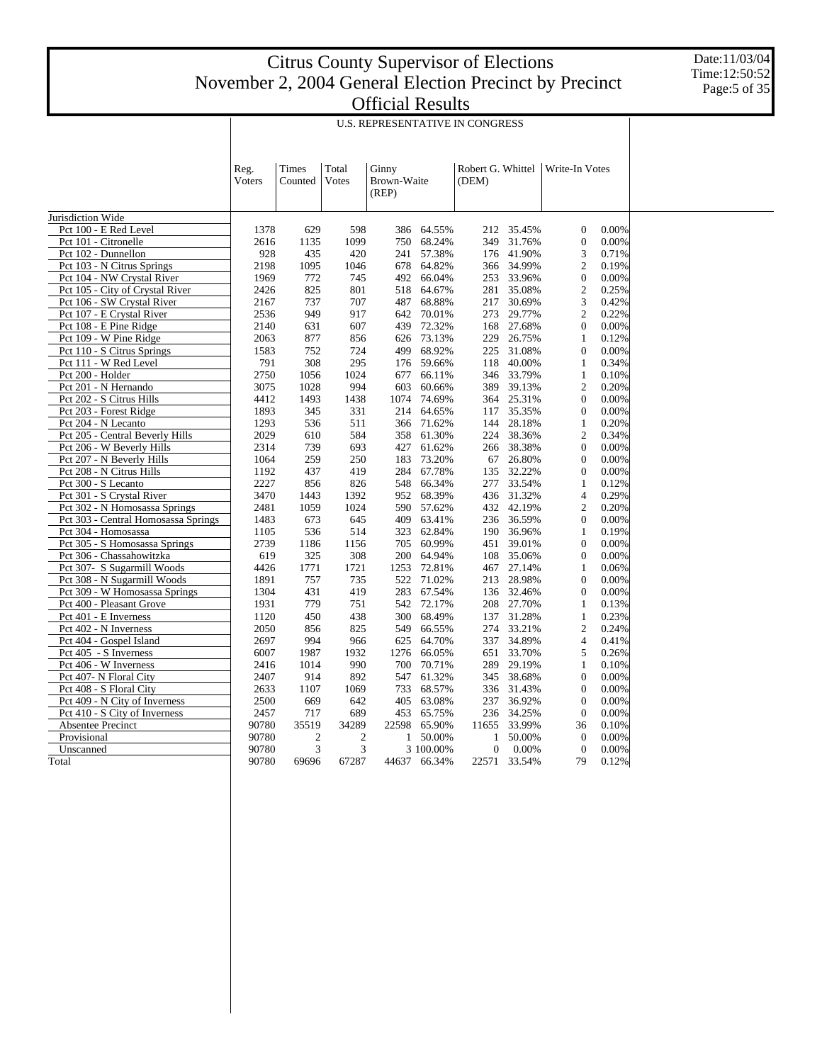U.S. REPRESENTATIVE IN CONGRESS

|                                     | Reg.<br>Voters | Times<br>Counted | Total<br>Votes | Ginny<br>Brown-Waite<br>(REP) |              | Robert G. Whittel<br>(DEM) |              | Write-In Votes   |       |
|-------------------------------------|----------------|------------------|----------------|-------------------------------|--------------|----------------------------|--------------|------------------|-------|
| Jurisdiction Wide                   |                |                  |                |                               |              |                            |              |                  |       |
| Pct 100 - E Red Level               | 1378           | 629              | 598            | 386                           | 64.55%       | 212                        | 35.45%       | $\mathbf{0}$     | 0.00% |
| Pct 101 - Citronelle                | 2616           | 1135             | 1099           | 750                           | 68.24%       | 349                        | 31.76%       | $\boldsymbol{0}$ | 0.00% |
| Pct 102 - Dunnellon                 | 928            | 435              | 420            | 241                           | 57.38%       | 176                        | 41.90%       | 3                | 0.71% |
| Pct 103 - N Citrus Springs          | 2198           | 1095             | 1046           | 678                           | 64.82%       | 366                        | 34.99%       | $\overline{2}$   | 0.19% |
| Pct 104 - NW Crystal River          | 1969           | 772              | 745            | 492                           | 66.04%       | 253                        | 33.96%       | $\boldsymbol{0}$ | 0.00% |
| Pct 105 - City of Crystal River     | 2426           | 825              | 801            | 518                           | 64.67%       | 281                        | 35.08%       | $\overline{2}$   | 0.25% |
| Pct 106 - SW Crystal River          | 2167           | 737              | 707            | 487                           | 68.88%       | 217                        | 30.69%       | 3                | 0.42% |
| Pct 107 - E Crystal River           | 2536           | 949              | 917            | 642                           | 70.01%       | 273                        | 29.77%       | $\overline{2}$   | 0.22% |
| Pct 108 - E Pine Ridge              | 2140           | 631              | 607            |                               | 439 72.32%   | 168                        | 27.68%       | $\overline{0}$   | 0.00% |
| Pct 109 - W Pine Ridge              | 2063           | 877              | 856            | 626                           | 73.13%       | 229                        | 26.75%       | $\mathbf{1}$     | 0.12% |
| Pct 110 - S Citrus Springs          | 1583           | 752              | 724            | 499                           | 68.92%       | 225                        | 31.08%       | $\overline{0}$   | 0.00% |
| Pct 111 - W Red Level               | 791            | 308              | 295            | 176                           | 59.66%       | 118                        | 40.00%       | 1                | 0.34% |
| Pct 200 - Holder                    | 2750           | 1056             | 1024           | 677                           | 66.11%       | 346                        | 33.79%       | $\mathbf{1}$     | 0.10% |
| Pct 201 - N Hernando                | 3075           | 1028             | 994            | 603                           | 60.66%       | 389                        | 39.13%       | $\overline{2}$   | 0.20% |
| Pct 202 - S Citrus Hills            | 4412           | 1493             | 1438           | 1074                          | 74.69%       | 364                        | 25.31%       | $\mathbf{0}$     | 0.00% |
| Pct 203 - Forest Ridge              | 1893           | 345              | 331            | 214                           | 64.65%       | 117                        | 35.35%       | $\mathbf{0}$     | 0.00% |
| Pct 204 - N Lecanto                 | 1293           | 536              | 511            | 366                           | 71.62%       | 144                        | 28.18%       | $\mathbf{1}$     | 0.20% |
| Pct 205 - Central Beverly Hills     | 2029           | 610              | 584            | 358                           | 61.30%       | 224                        | 38.36%       | $\overline{2}$   | 0.34% |
| Pct 206 - W Beverly Hills           | 2314           | 739              | 693            | 427                           | 61.62%       | 266                        | 38.38%       | $\overline{0}$   | 0.00% |
| Pct 207 - N Beverly Hills           | 1064           | 259              | 250            | 183                           | 73.20%       | 67                         | 26.80%       | $\mathbf{0}$     | 0.00% |
| Pct 208 - N Citrus Hills            | 1192           | 437              | 419            | 284                           | 67.78%       | 135                        | 32.22%       | $\overline{0}$   | 0.00% |
| Pct 300 - S Lecanto                 | 2227           | 856              | 826            | 548                           | 66.34%       | 277                        | 33.54%       | $\mathbf{1}$     | 0.12% |
| Pct 301 - S Crystal River           | 3470           | 1443             | 1392           | 952                           | 68.39%       | 436                        | 31.32%       | $\overline{4}$   | 0.29% |
| Pct 302 - N Homosassa Springs       | 2481           | 1059             | 1024           | 590                           | 57.62%       | 432                        | 42.19%       | $\overline{2}$   | 0.20% |
| Pct 303 - Central Homosassa Springs | 1483           | 673              | 645            | 409                           | 63.41%       | 236                        | 36.59%       | $\overline{0}$   | 0.00% |
| Pct 304 - Homosassa                 | 1105           | 536              | 514            | 323                           | 62.84%       | 190                        | 36.96%       | $\mathbf{1}$     | 0.19% |
| Pct 305 - S Homosassa Springs       | 2739           | 1186             | 1156           | 705                           | 60.99%       | 451                        | 39.01%       | $\overline{0}$   | 0.00% |
| Pct 306 - Chassahowitzka            | 619            | 325              | 308            | 200                           | 64.94%       | 108                        | 35.06%       | $\overline{0}$   | 0.00% |
| Pct 307- S Sugarmill Woods          | 4426           | 1771             | 1721           | 1253                          | 72.81%       | 467                        | 27.14%       | $\mathbf{1}$     | 0.06% |
| Pct 308 - N Sugarmill Woods         | 1891           | 757              | 735            | 522                           | 71.02%       | 213                        | 28.98%       | $\overline{0}$   | 0.00% |
| Pct 309 - W Homosassa Springs       | 1304           | 431              | 419            | 283                           | 67.54%       | 136                        | 32.46%       | $\overline{0}$   | 0.00% |
| Pct 400 - Pleasant Grove            | 1931           | 779              | 751            | 542                           | 72.17%       | 208                        | 27.70%       | 1                | 0.13% |
| Pct 401 - E Inverness               | 1120           | 450              | 438            | 300                           | 68.49%       | 137                        | 31.28%       | $\mathbf{1}$     | 0.23% |
| Pct 402 - N Inverness               | 2050           | 856              | 825            | 549                           | 66.55%       | 274                        | 33.21%       | $\overline{2}$   | 0.24% |
| Pct 404 - Gospel Island             | 2697           | 994              | 966            | 625                           | 64.70%       | 337                        | 34.89%       | $\overline{4}$   | 0.41% |
| Pct 405 - S Inverness               | 6007           | 1987             | 1932           | 1276                          | 66.05%       | 651                        | 33.70%       | 5                | 0.26% |
| Pct 406 - W Inverness               | 2416           | 1014             | 990            | 700                           | 70.71%       | 289                        | 29.19%       | $\mathbf{1}$     | 0.10% |
| Pct 407- N Floral City              | 2407           | 914              | 892            | 547                           | 61.32%       | 345                        | 38.68%       | $\overline{0}$   | 0.00% |
| Pct 408 - S Floral City             | 2633           | 1107             | 1069           | 733                           | 68.57%       | 336                        | 31.43%       | $\boldsymbol{0}$ | 0.00% |
| Pct 409 - N City of Inverness       | 2500           | 669              | 642            | 405                           | 63.08%       | 237                        | 36.92%       | $\overline{0}$   | 0.00% |
| Pct 410 - S City of Inverness       | 2457           | 717              | 689            | 453                           | 65.75%       | 236                        | 34.25%       | $\boldsymbol{0}$ | 0.00% |
| Absentee Precinct                   | 90780          | 35519            | 34289          | 22598                         | 65.90%       | 11655                      | 33.99%       | 36               | 0.10% |
| Provisional                         | 90780          | $\mathfrak{2}$   | $\mathfrak{2}$ | $\mathbf{1}$                  | 50.00%       | $\mathbf{1}$               | 50.00%       | $\overline{0}$   | 0.00% |
| Unscanned                           | 90780          | 3                | 3              |                               | 3 100,00%    | $\overline{0}$             | 0.00%        | $\overline{0}$   | 0.00% |
| Total                               | 90780          | 69696            | 67287          |                               | 44637 66.34% |                            | 22571 33.54% | 79               | 0.12% |
|                                     |                |                  |                |                               |              |                            |              |                  |       |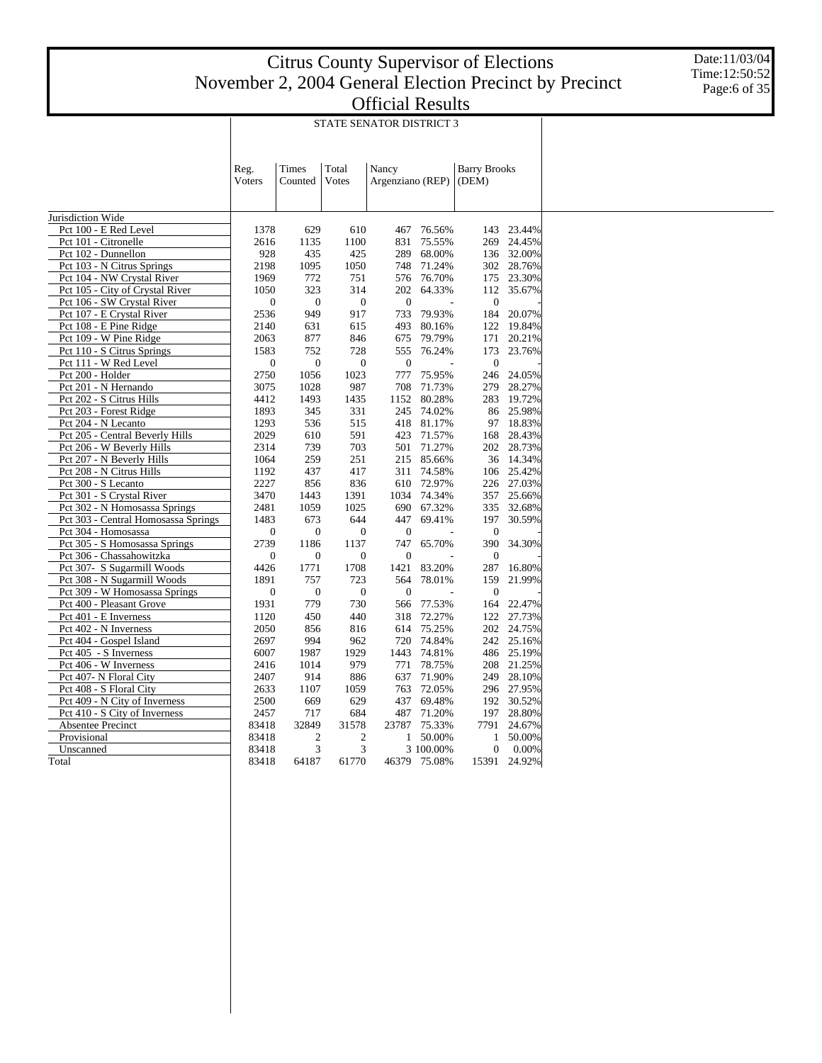T

Date:11/03/04 Time:12:50:52 Page:6 of 35

Τ

|                                     | Reg.         | <b>Times</b>   | Total            | Nancy            |              | <b>Barry Brooks</b> |              |
|-------------------------------------|--------------|----------------|------------------|------------------|--------------|---------------------|--------------|
|                                     | Voters       | Counted        | Votes            | Argenziano (REP) |              | (DEM)               |              |
|                                     |              |                |                  |                  |              |                     |              |
| Jurisdiction Wide                   |              |                |                  |                  |              |                     |              |
| Pct 100 - E Red Level               | 1378         | 629            | 610              | 467              | 76.56%       | 143                 | 23.44%       |
| Pct 101 - Citronelle                | 2616         | 1135           | 1100             | 831              | 75.55%       | 269                 | 24.45%       |
| Pct 102 - Dunnellon                 | 928          | 435            | 425              | 289              | 68.00%       |                     | 136 32.00%   |
| Pct 103 - N Citrus Springs          | 2198         | 1095           | 1050             | 748              | 71.24%       | 302                 | 28.76%       |
| Pct 104 - NW Crystal River          | 1969         | 772            | 751              | 576              | 76.70%       | 175                 | 23.30%       |
| Pct 105 - City of Crystal River     | 1050         | 323            | 314              | 202              | 64.33%       | 112                 | 35.67%       |
| Pct 106 - SW Crystal River          | $\mathbf{0}$ | $\mathbf{0}$   | $\overline{0}$   | $\mathbf{0}$     |              | $\mathbf{0}$        |              |
|                                     | 2536         | 949            | 917              | 733              | 79.93%       | 184                 | 20.07%       |
| Pct 107 - E Crystal River           |              | 631            |                  |                  | 80.16%       | 122                 | 19.84%       |
| Pct 108 - E Pine Ridge              | 2140         |                | 615              | 493              |              |                     |              |
| Pct 109 - W Pine Ridge              | 2063         | 877            | 846              | 675              | 79.79%       | 171                 | 20.21%       |
| Pct 110 - S Citrus Springs          | 1583         | 752            | 728              | 555              | 76.24%       | 173                 | 23.76%       |
| Pct 111 - W Red Level               | $\mathbf{0}$ | $\mathbf{0}$   | $\boldsymbol{0}$ | $\mathbf{0}$     |              | $\boldsymbol{0}$    |              |
| Pct 200 - Holder                    | 2750         | 1056           | 1023             | 777              | 75.95%       |                     | 246 24.05%   |
| Pct 201 - N Hernando                | 3075         | 1028           | 987              | 708              | 71.73%       | 279                 | 28.27%       |
| Pct 202 - S Citrus Hills            | 4412         | 1493           | 1435             | 1152             | 80.28%       | 283                 | 19.72%       |
| Pct 203 - Forest Ridge              | 1893         | 345            | 331              | 245              | 74.02%       | 86                  | 25.98%       |
| Pct 204 - N Lecanto                 | 1293         | 536            | 515              |                  | 418 81.17%   | 97                  | 18.83%       |
| Pct 205 - Central Beverly Hills     | 2029         | 610            | 591              | 423              | 71.57%       | 168                 | 28.43%       |
| Pct 206 - W Beverly Hills           | 2314         | 739            | 703              | 501              | 71.27%       | 202                 | 28.73%       |
| Pct 207 - N Beverly Hills           | 1064         | 259            | 251              |                  | 215 85.66%   | 36                  | 14.34%       |
| Pct 208 - N Citrus Hills            | 1192         | 437            | 417              | 311              | 74.58%       | 106                 | 25.42%       |
| Pct 300 - S Lecanto                 | 2227         | 856            | 836              |                  | 610 72.97%   |                     | 226 27.03%   |
| Pct 301 - S Crystal River           | 3470         | 1443           | 1391             | 1034             | 74.34%       | 357                 | 25.66%       |
| Pct 302 - N Homosassa Springs       | 2481         | 1059           | 1025             | 690              | 67.32%       | 335                 | 32.68%       |
| Pct 303 - Central Homosassa Springs | 1483         | 673            | 644              | 447              | 69.41%       | 197                 | 30.59%       |
| Pct 304 - Homosassa                 | $\mathbf{0}$ | $\mathbf{0}$   | $\overline{0}$   | $\overline{0}$   |              | $\mathbf{0}$        |              |
| Pct 305 - S Homosassa Springs       | 2739         | 1186           | 1137             | 747              | 65.70%       | 390                 | 34.30%       |
| Pct 306 - Chassahowitzka            | $\mathbf{0}$ | $\mathbf{0}$   | $\boldsymbol{0}$ | $\overline{0}$   |              | $\mathbf{0}$        |              |
| Pct 307- S Sugarmill Woods          | 4426         | 1771           | 1708             | 1421             | 83.20%       | 287                 | 16.80%       |
| Pct 308 - N Sugarmill Woods         | 1891         | 757            | 723              | 564              | 78.01%       | 159                 | 21.99%       |
| Pct 309 - W Homosassa Springs       | $\mathbf{0}$ | $\mathbf{0}$   | $\overline{0}$   | $\overline{0}$   |              | $\mathbf{0}$        |              |
|                                     |              |                |                  |                  |              |                     |              |
| Pct 400 - Pleasant Grove            | 1931         | 779            | 730              | 566              | 77.53%       | 164                 | 22.47%       |
| Pct 401 - E Inverness               | 1120         | 450            | 440              | 318              | 72.27%       | 122                 | 27.73%       |
| Pct 402 - N Inverness               | 2050         | 856            | 816              | 614              | 75.25%       |                     | 202 24.75%   |
| Pct 404 - Gospel Island             | 2697         | 994            | 962              | 720              | 74.84%       | 242                 | 25.16%       |
| Pct 405 - S Inverness               | 6007         | 1987           | 1929             | 1443             | 74.81%       |                     | 486 25.19%   |
| Pct 406 - W Inverness               | 2416         | 1014           | 979              | 771              | 78.75%       | 208                 | 21.25%       |
| Pct 407- N Floral City              | 2407         | 914            | 886              | 637              | 71.90%       | 249                 | 28.10%       |
| Pct 408 - S Floral City             | 2633         | 1107           | 1059             | 763              | 72.05%       |                     | 296 27.95%   |
| Pct 409 - N City of Inverness       | 2500         | 669            | 629              | 437              | 69.48%       | 192                 | 30.52%       |
| Pct 410 - S City of Inverness       | 2457         | 717            | 684              | 487              | 71.20%       |                     | 197 28.80%   |
| Absentee Precinct                   | 83418        | 32849          | 31578            | 23787            | 75.33%       | 7791                | 24.67%       |
| Provisional                         | 83418        | $\overline{c}$ | $\overline{c}$   | 1                | 50.00%       | 1                   | 50.00%       |
| Unscanned                           | 83418        | 3              | 3                |                  | 3 100.00%    | $\overline{0}$      | 0.00%        |
| Total                               | 83418        | 64187          | 61770            |                  | 46379 75.08% |                     | 15391 24.92% |
|                                     |              |                |                  |                  |              |                     |              |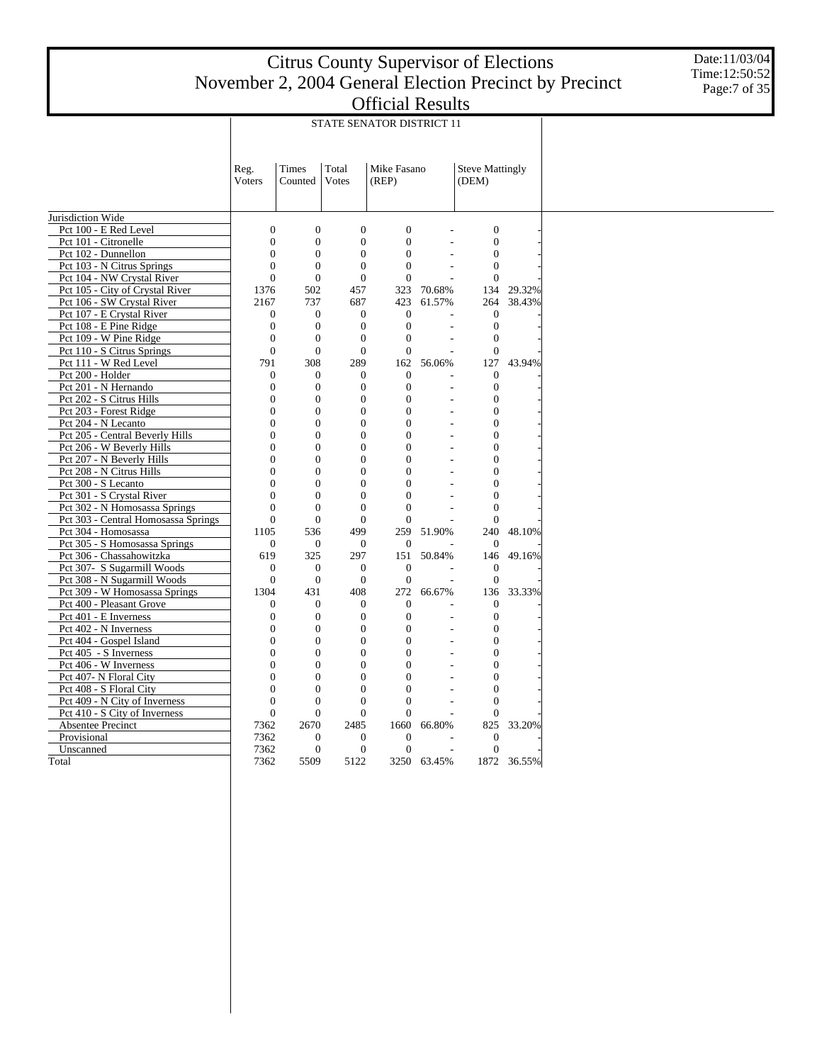Date:11/03/04 Time:12:50:52 Page:7 of 35

|                                     |                                  |                          |                                | STATE SENATOR DISTRICT 11        |             |                              |             |
|-------------------------------------|----------------------------------|--------------------------|--------------------------------|----------------------------------|-------------|------------------------------|-------------|
|                                     |                                  |                          |                                |                                  |             |                              |             |
|                                     |                                  |                          |                                |                                  |             |                              |             |
|                                     | Reg.                             | Times                    | Total                          | Mike Fasano                      |             | <b>Steve Mattingly</b>       |             |
|                                     | Voters                           | Counted                  | Votes                          | (REP)                            |             | (DEM)                        |             |
|                                     |                                  |                          |                                |                                  |             |                              |             |
| Jurisdiction Wide                   |                                  |                          |                                |                                  |             |                              |             |
| Pct 100 - E Red Level               | $\overline{0}$                   | $\overline{0}$           | $\mathbf{0}$                   | $\overline{0}$                   |             | $\overline{0}$               |             |
| Pct 101 - Citronelle                | $\overline{0}$                   | $\boldsymbol{0}$         | $\mathbf{0}$                   | $\mathbf{0}$                     |             | $\boldsymbol{0}$             |             |
| Pct 102 - Dunnellon                 | $\overline{0}$                   | $\mathbf{0}$             | $\mathbf{0}$                   | $\mathbf{0}$                     |             | $\mathbf{0}$                 |             |
| Pct 103 - N Citrus Springs          | $\overline{0}$                   | $\boldsymbol{0}$         | $\mathbf{0}$                   | $\overline{0}$                   |             | $\mathbf{0}$                 |             |
| Pct 104 - NW Crystal River          | $\theta$                         | $\overline{0}$           | $\overline{0}$                 | $\theta$                         |             | $\theta$                     |             |
| Pct 105 - City of Crystal River     | 1376                             | 502                      | 457                            | 323                              | 70.68%      | 134                          | 29.32%      |
| Pct 106 - SW Crystal River          | 2167                             | 737                      | 687                            | 423                              | 61.57%      | 264                          | 38.43%      |
| Pct 107 - E Crystal River           | $\mathbf{0}$                     | $\boldsymbol{0}$         | $\boldsymbol{0}$               | $\overline{0}$                   |             | $\boldsymbol{0}$             |             |
| Pct 108 - E Pine Ridge              | $\overline{0}$                   | $\boldsymbol{0}$         | $\mathbf{0}$                   | $\overline{0}$                   |             | $\overline{0}$               |             |
| Pct 109 - W Pine Ridge              | $\boldsymbol{0}$                 | $\boldsymbol{0}$         | $\mathbf{0}$                   | $\overline{0}$                   |             | $\boldsymbol{0}$             |             |
| Pct 110 - S Citrus Springs          | $\overline{0}$                   | $\mathbf{0}$             | $\overline{0}$                 | $\theta$                         |             | $\overline{0}$               |             |
| Pct 111 - W Red Level               | 791                              | 308                      | 289                            | 162                              | 56.06%      | 127                          | 43.94%      |
| Pct 200 - Holder                    | $\mathbf{0}$                     | $\boldsymbol{0}$         | $\mathbf{0}$                   | $\theta$                         |             | $\mathbf{0}$                 |             |
| Pct 201 - N Hernando                | $\overline{0}$                   | $\boldsymbol{0}$         | $\mathbf{0}$                   | $\mathbf{0}$                     |             | $\overline{0}$               |             |
| Pct 202 - S Citrus Hills            | $\boldsymbol{0}$                 | $\boldsymbol{0}$         | $\mathbf{0}$                   | $\boldsymbol{0}$                 |             | $\boldsymbol{0}$             |             |
| Pct 203 - Forest Ridge              | $\overline{0}$                   | $\boldsymbol{0}$         | $\overline{0}$                 | $\overline{0}$                   |             | $\overline{0}$               |             |
| Pct 204 - N Lecanto                 | $\overline{0}$                   | $\mathbf{0}$             | $\overline{0}$                 | $\theta$                         |             | $\overline{0}$               |             |
| Pct 205 - Central Beverly Hills     | $\theta$                         | $\overline{0}$           | $\overline{0}$                 | $\theta$                         | ÷,          | $\theta$                     |             |
| Pct 206 - W Beverly Hills           | $\overline{0}$                   | $\mathbf{0}$             | $\mathbf{0}$                   | $\mathbf{0}$                     |             | 0                            |             |
| Pct 207 - N Beverly Hills           | $\overline{0}$                   | $\boldsymbol{0}$         | $\overline{0}$                 | $\mathbf{0}$                     |             | $\overline{0}$               |             |
| Pct 208 - N Citrus Hills            | $\overline{0}$                   | $\overline{0}$           | $\overline{0}$                 | $\overline{0}$                   |             | 0                            |             |
| Pct 300 - S Lecanto                 | $\Omega$                         | $\overline{0}$           | $\overline{0}$                 | $\overline{0}$                   |             | $\overline{0}$               |             |
| Pct 301 - S Crystal River           | $\overline{0}$                   | $\mathbf{0}$             | $\mathbf{0}$                   | $\mathbf{0}$                     |             | $\overline{0}$               |             |
| Pct 302 - N Homosassa Springs       | $\overline{0}$                   | $\boldsymbol{0}$         | $\overline{0}$                 | $\overline{0}$                   |             | $\overline{0}$               |             |
| Pct 303 - Central Homosassa Springs | $\overline{0}$                   | $\mathbf{0}$             | $\mathbf{0}$                   | $\overline{0}$                   |             | $\overline{0}$               |             |
| Pct 304 - Homosassa                 | 1105                             | 536                      | 499                            | 259                              | 51.90%      | 240                          | 48.10%      |
| Pct 305 - S Homosassa Springs       | $\mathbf{0}$                     | $\boldsymbol{0}$         | $\boldsymbol{0}$               | $\theta$                         |             | $\mathbf{0}$                 |             |
| Pct 306 - Chassahowitzka            | 619                              | 325                      | 297                            | 151                              | 50.84%      | 146                          | 49.16%      |
| Pct 307- S Sugarmill Woods          | $\overline{0}$                   | $\mathbf{0}$             | $\mathbf{0}$                   | $\Omega$                         |             | $\theta$                     |             |
| Pct 308 - N Sugarmill Woods         | $\overline{0}$                   | $\mathbf{0}$             | $\mathbf{0}$                   | $\theta$                         |             | $\mathbf{0}$                 |             |
| Pct 309 - W Homosassa Springs       | 1304                             | 431                      | 408                            | 272                              | 66.67%      | 136                          | 33.33%      |
| Pct 400 - Pleasant Grove            | $\mathbf{0}$                     | $\boldsymbol{0}$         | $\mathbf{0}$                   | $\mathbf{0}$                     |             | $\mathbf{0}$                 |             |
| Pct 401 - E Inverness               | $\overline{0}$                   | $\boldsymbol{0}$         | $\mathbf{0}$                   | $\boldsymbol{0}$                 |             | $\boldsymbol{0}$             |             |
| Pct 402 - N Inverness               | $\boldsymbol{0}$                 | $\boldsymbol{0}$         | $\mathbf{0}$                   | $\overline{0}$                   |             | $\theta$                     |             |
| Pct 404 - Gospel Island             | $\theta$                         | $\overline{0}$           | $\overline{0}$                 | $\theta$                         |             | $\overline{0}$               |             |
| Pct 405 - S Inverness               | $\overline{0}$                   | $\mathbf{0}$             | $\mathbf{0}$                   | $\mathbf{0}$                     |             | $\overline{0}$               |             |
| Pct 406 - W Inverness               | $\overline{0}$                   | $\boldsymbol{0}$         | $\mathbf{0}$                   | $\mathbf{0}$                     |             | $\mathbf{0}$                 |             |
| Pct 407- N Floral City              | $\overline{0}$<br>$\overline{0}$ | $\mathbf{0}$             | $\mathbf{0}$<br>$\overline{0}$ | 0                                |             | 0                            |             |
| Pct 408 - S Floral City             | $\theta$                         | $\boldsymbol{0}$         | $\theta$                       | $\overline{0}$<br>$\theta$       |             | $\overline{0}$               |             |
| Pct 409 - N City of Inverness       |                                  | $\boldsymbol{0}$         |                                |                                  |             | $\theta$                     |             |
| Pct 410 - S City of Inverness       | $\overline{0}$                   | $\mathbf{0}$             | $\mathbf{0}$                   | $\overline{0}$                   |             | $\mathbf{0}$                 |             |
| Absentee Precinct                   | 7362                             | 2670                     | 2485                           | 1660                             | 66.80%      | 825                          | 33.20%      |
| Provisional                         | 7362                             | $\boldsymbol{0}$         | $\mathbf{0}$<br>$\mathbf{0}$   | $\overline{0}$<br>$\overline{0}$ |             | $\mathbf{0}$<br>$\mathbf{0}$ |             |
| Unscanned                           | 7362<br>7362                     | $\boldsymbol{0}$<br>5509 | 5122                           |                                  | 3250 63.45% |                              |             |
| Total                               |                                  |                          |                                |                                  |             |                              | 1872 36.55% |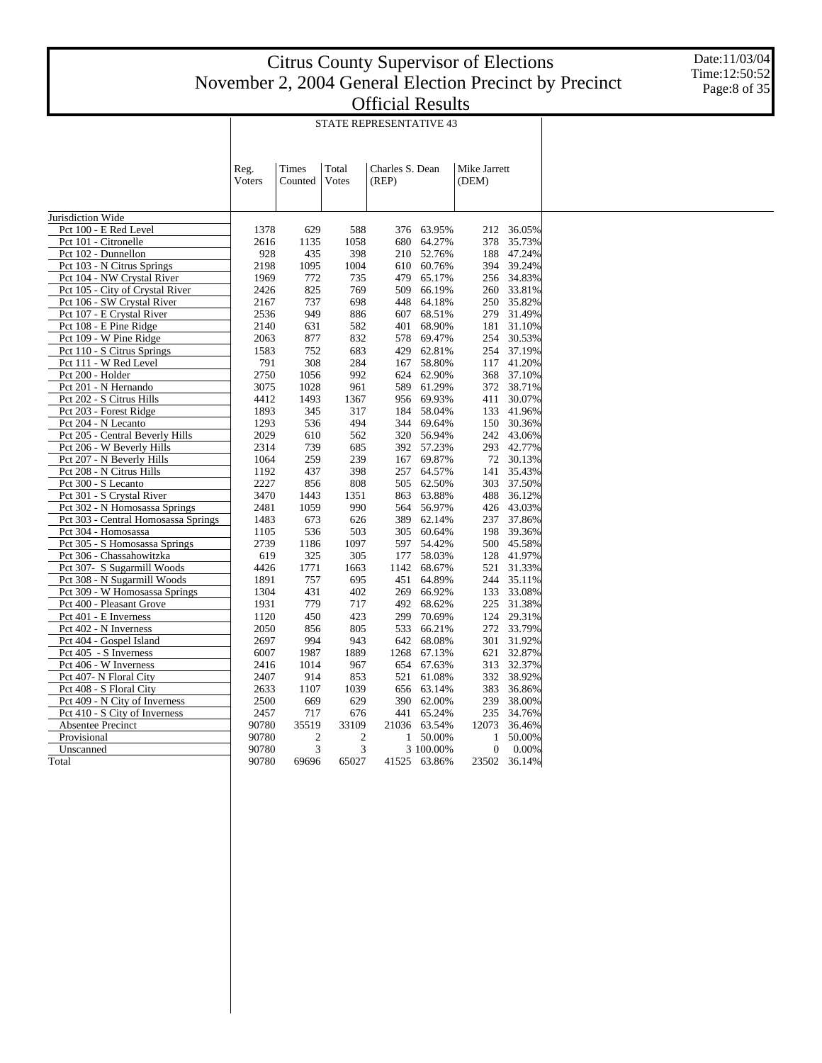Date:11/03/04 Time:12:50:52 Page:8 of 35

|                                 |                        | <b>STATE REPRESENTATIVE 43</b> |                |                          |                   |                       |                |  |  |  |  |  |  |
|---------------------------------|------------------------|--------------------------------|----------------|--------------------------|-------------------|-----------------------|----------------|--|--|--|--|--|--|
|                                 | Reg.<br><b>V</b> oters | Times<br>Counted               | Total<br>Votes | Charles S. Dean<br>(REP) |                   | Mike Jarrett<br>(DEM) |                |  |  |  |  |  |  |
| Jurisdiction Wide               |                        |                                |                |                          |                   |                       |                |  |  |  |  |  |  |
| Pct 100 - E Red Level           | 1378                   | 629                            | 588            |                          | 376 63.95%        |                       | 212 36.05%     |  |  |  |  |  |  |
| Pct 101 - Citronelle            | 2616                   | 1135                           | 1058           |                          | 680 64.27%        | 378                   | 35.73%         |  |  |  |  |  |  |
| Pct 102 - Dunnellon             | 928                    | 435                            | 398            | 210                      | 52.76%            | 188                   | 47.24%         |  |  |  |  |  |  |
| Pct 103 - N Citrus Springs      | 2198                   | 1095                           | 1004           | 610                      | 60.76%            | 394                   | 39.24%         |  |  |  |  |  |  |
| Pct 104 - NW Crystal River      | 1969                   | 772                            | 735            | 479                      | 65.17%            | 256                   | 34.83%         |  |  |  |  |  |  |
| Pct 105 - City of Crystal River | 2426                   | 825                            | 769            | 509                      | 66.19%            | 260                   | 33.81%         |  |  |  |  |  |  |
| Pct 106 - SW Crystal River      | 2167                   | 737                            | 698            |                          | 448 64.18%        |                       | 250 35.82%     |  |  |  |  |  |  |
| Pct 107 - E Crystal River       | 2536                   | 949                            | 886            | 607                      | 68.51%            | 279                   | 31.49%         |  |  |  |  |  |  |
| Pct 108 - E Pine Ridge          | 2140                   | 631                            | 582            | 401                      | 68.90%            | 181                   | 31.10%         |  |  |  |  |  |  |
| Pct 109 - W Pine Ridge          | 2063                   | 877                            | 832            | 578                      | 69.47%            | 254                   | 30.53%         |  |  |  |  |  |  |
| Pct 110 - S Citrus Springs      | 1583                   | 752                            | 683            | 429                      | 62.81%            | 254                   | 37.19%         |  |  |  |  |  |  |
| Pct 111 - W Red Level           | 791                    | 308                            | 284            | 167                      | 58.80%            | 117                   | 41.20%         |  |  |  |  |  |  |
| Pct 200 - Holder                | 2750                   | 1056                           | 992            | 624                      | 62.90%            | 368                   | 37.10%         |  |  |  |  |  |  |
| Pct 201 - N Hernando            | 3075                   | 1028                           | 961            | 589                      | 61.29%            | 372                   | 38.71%         |  |  |  |  |  |  |
| Pct 202 - S Citrus Hills        | 4412                   | 1493                           | 1367           | 956                      | 69.93%            | 411                   | 30.07%         |  |  |  |  |  |  |
| Pct 203 - Forest Ridge          | 1893                   | 345                            | 317            |                          | 184 58.04%        | 133                   | 41.96%         |  |  |  |  |  |  |
| $Det 204$ NH coepto             | 1202                   | 526                            | AOA            |                          | 244 60 640 $\ell$ |                       | $150 - 20.260$ |  |  |  |  |  |  |

| Pct 111 - W Red Level               | 791   | 308   | 284   | 167   | 58.80%       | 117          | 41.20% |
|-------------------------------------|-------|-------|-------|-------|--------------|--------------|--------|
| Pct 200 - Holder                    | 2750  | 1056  | 992   | 624   | 62.90%       | 368          | 37.10% |
| Pct 201 - N Hernando                | 3075  | 1028  | 961   | 589   | 61.29%       | 372          | 38.71% |
| Pct 202 - S Citrus Hills            | 4412  | 1493  | 1367  | 956   | 69.93%       | 411          | 30.07% |
| Pct 203 - Forest Ridge              | 1893  | 345   | 317   | 184   | 58.04%       | 133          | 41.96% |
| Pct 204 - N Lecanto                 | 1293  | 536   | 494   |       | 344 69.64%   | 150          | 30.36% |
| Pct 205 - Central Beverly Hills     | 2029  | 610   | 562   | 320   | 56.94%       | 242          | 43.06% |
| Pct 206 - W Beverly Hills           | 2314  | 739   | 685   | 392   | 57.23%       | 293          | 42.77% |
| Pct 207 - N Beverly Hills           | 1064  | 259   | 239   | 167   | 69.87%       | 72           | 30.13% |
| Pct 208 - N Citrus Hills            | 1192  | 437   | 398   | 257   | 64.57%       | 141          | 35.43% |
| Pct 300 - S Lecanto                 | 2227  | 856   | 808   | 505   | 62.50%       | 303          | 37.50% |
| Pct 301 - S Crystal River           | 3470  | 1443  | 1351  | 863   | 63.88%       | 488          | 36.12% |
| Pct 302 - N Homosassa Springs       | 2481  | 1059  | 990   | 564   | 56.97%       | 426          | 43.03% |
| Pct 303 - Central Homosassa Springs | 1483  | 673   | 626   | 389   | 62.14%       | 237          | 37.86% |
| Pct 304 - Homosassa                 | 1105  | 536   | 503   | 305   | 60.64%       | 198          | 39.36% |
| Pct 305 - S Homosassa Springs       | 2739  | 1186  | 1097  | 597   | 54.42%       | 500          | 45.58% |
| Pct 306 - Chassahowitzka            | 619   | 325   | 305   | 177   | 58.03%       | 128          | 41.97% |
| Pct 307- S Sugarmill Woods          | 4426  | 1771  | 1663  | 1142  | 68.67%       | 521          | 31.33% |
| Pct 308 - N Sugarmill Woods         | 1891  | 757   | 695   | 451   | 64.89%       | 244          | 35.11% |
| Pct 309 - W Homosassa Springs       | 1304  | 431   | 402   | 269   | 66.92%       | 133          | 33.08% |
| Pct 400 - Pleasant Grove            | 1931  | 779   | 717   | 492   | 68.62%       | 225          | 31.38% |
| Pct 401 - E Inverness               | 1120  | 450   | 423   | 299   | 70.69%       | 124          | 29.31% |
| Pct 402 - N Inverness               | 2050  | 856   | 805   | 533   | 66.21%       | 272          | 33.79% |
| Pct 404 - Gospel Island             | 2697  | 994   | 943   | 642   | 68.08%       | 301          | 31.92% |
| Pct 405 - S Inverness               | 6007  | 1987  | 1889  | 1268  | 67.13%       | 621          | 32.87% |
| Pct 406 - W Inverness               | 2416  | 1014  | 967   |       | 654 67.63%   | 313          | 32.37% |
| Pct 407- N Floral City              | 2407  | 914   | 853   | 521   | 61.08%       | 332          | 38.92% |
| Pct 408 - S Floral City             | 2633  | 1107  | 1039  | 656   | 63.14%       | 383          | 36.86% |
| Pct 409 - N City of Inverness       | 2500  | 669   | 629   | 390   | 62.00%       | 239          | 38.00% |
| Pct 410 - S City of Inverness       | 2457  | 717   | 676   | 441   | 65.24%       | 235          | 34.76% |
| Absentee Precinct                   | 90780 | 35519 | 33109 |       | 21036 63.54% | 12073        | 36.46% |
| Provisional                         | 90780 | 2     | 2     | 1     | 50.00%       | 1            | 50.00% |
| Unscanned                           | 90780 | 3     | 3     |       | 3 100.00%    | $\mathbf{0}$ | 0.00%  |
| Total                               | 90780 | 69696 | 65027 | 41525 | 63.86%       | 23502        | 36.14% |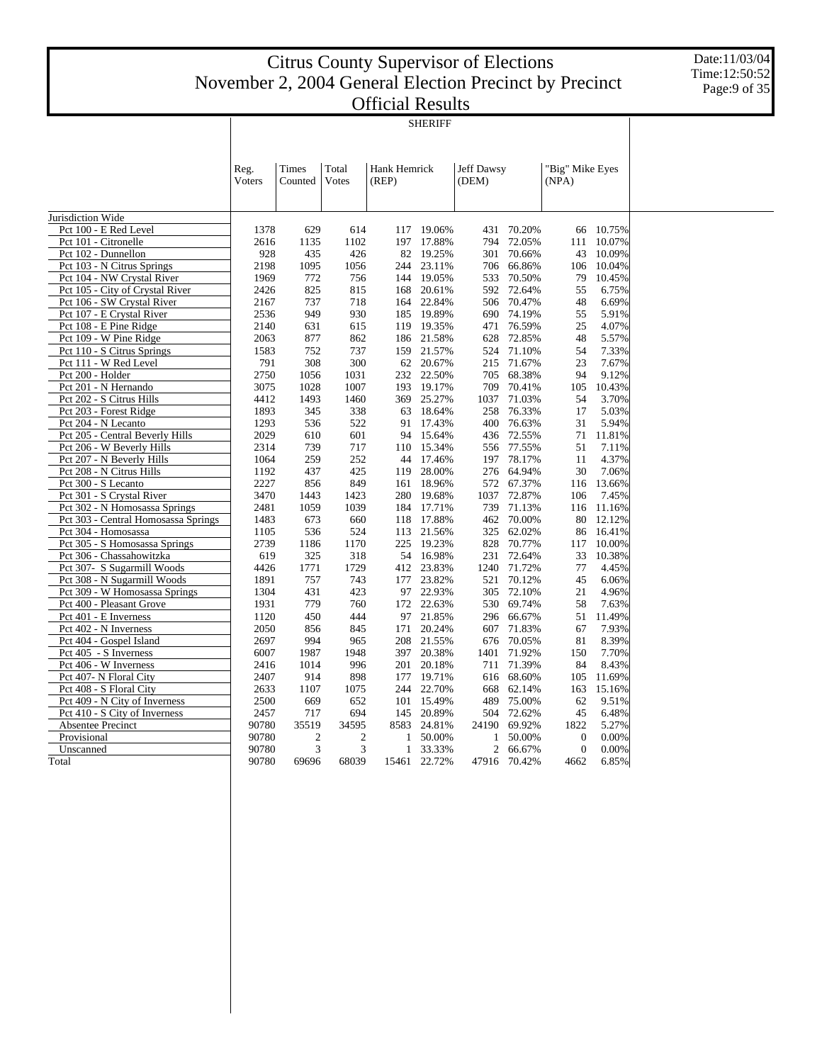|                                     | <b>SHERIFF</b> |                         |                |                       |            |                     |        |                          |        |  |  |  |  |
|-------------------------------------|----------------|-------------------------|----------------|-----------------------|------------|---------------------|--------|--------------------------|--------|--|--|--|--|
|                                     | Reg.<br>Voters | <b>Times</b><br>Counted | Total<br>Votes | Hank Hemrick<br>(REP) |            | Jeff Dawsy<br>(DEM) |        | "Big" Mike Eyes<br>(NPA) |        |  |  |  |  |
| Jurisdiction Wide                   |                |                         |                |                       |            |                     |        |                          |        |  |  |  |  |
| Pct 100 - E Red Level               | 1378           | 629                     | 614            | 117                   | 19.06%     | 431                 | 70.20% | 66                       | 10.75% |  |  |  |  |
| Pct 101 - Citronelle                | 2616           | 1135                    | 1102           | 197                   | 17.88%     | 794                 | 72.05% | 111                      | 10.07% |  |  |  |  |
| Pct 102 - Dunnellon                 | 928            | 435                     | 426            | 82                    | 19.25%     | 301                 | 70.66% | 43                       | 10.09% |  |  |  |  |
| Pct 103 - N Citrus Springs          | 2198           | 1095                    | 1056           | 244                   | 23.11%     | 706                 | 66.86% | 106                      | 10.04% |  |  |  |  |
| Pct 104 - NW Crystal River          | 1969           | 772                     | 756            | 144                   | 19.05%     | 533                 | 70.50% | 79                       | 10.45% |  |  |  |  |
| Pct 105 - City of Crystal River     | 2426           | 825                     | 815            | 168                   | 20.61%     | 592                 | 72.64% | 55                       | 6.75%  |  |  |  |  |
| Pct 106 - SW Crystal River          | 2167           | 737                     | 718            | 164                   | 22.84%     | 506                 | 70.47% | 48                       | 6.69%  |  |  |  |  |
| Pct 107 - E Crystal River           | 2536           | 949                     | 930            | 185                   | 19.89%     | 690                 | 74.19% | 55                       | 5.91%  |  |  |  |  |
| Pct 108 - E Pine Ridge              | 2140           | 631                     | 615            | 119                   | 19.35%     | 471                 | 76.59% | 25                       | 4.07%  |  |  |  |  |
| Pct 109 - W Pine Ridge              | 2063           | 877                     | 862            |                       | 186 21.58% | 628                 | 72.85% | 48                       | 5.57%  |  |  |  |  |
| Pct 110 - S Citrus Springs          | 1583           | 752                     | 737            | 159                   | 21.57%     | 524                 | 71.10% | 54                       | 7.33%  |  |  |  |  |
| Pct 111 - W Red Level               | 791            | 308                     | 300            | 62                    | 20.67%     | 215                 | 71.67% | 23                       | 7.67%  |  |  |  |  |
| Pct 200 - Holder                    | 2750           | 1056                    | 1031           | 232                   | 22.50%     | 705                 | 68.38% | 94                       | 9.12%  |  |  |  |  |
| Pct 201 - N Hernando                | 3075           | 1028                    | 1007           | 193                   | 19.17%     | 709                 | 70.41% | 105                      | 10.43% |  |  |  |  |
| Pct 202 - S Citrus Hills            | 4412           | 1493                    | 1460           | 369                   | 25.27%     | 1037                | 71.03% | 54                       | 3.70%  |  |  |  |  |
| Pct 203 - Forest Ridge              | 1893           | 345                     | 338            | 63                    | 18.64%     | 258                 | 76.33% | 17                       | 5.03%  |  |  |  |  |
| Pct 204 - N Lecanto                 | 1293           | 536                     | 522            | 91                    | 17.43%     | 400                 | 76.63% | 31                       | 5.94%  |  |  |  |  |
| Pct 205 - Central Beverly Hills     | 2029           | 610                     | 601            | 94                    | 15.64%     | 436                 | 72.55% | 71                       | 11.81% |  |  |  |  |
| Pct 206 - W Beverly Hills           | 2314           | 739                     | 717            | 110                   | 15.34%     | 556                 | 77.55% | 51                       | 7.11%  |  |  |  |  |
| Pct 207 - N Beverly Hills           | 1064           | 259                     | 252            | 44                    | 17.46%     | 197                 | 78.17% | 11                       | 4.37%  |  |  |  |  |
| Pct 208 - N Citrus Hills            | 1192           | 437                     | 425            | 119                   | 28.00%     | 276                 | 64.94% | 30                       | 7.06%  |  |  |  |  |
| Pct 300 - S Lecanto                 | 2227           | 856                     | 849            | 161                   | 18.96%     | 572                 | 67.37% | 116                      | 13.66% |  |  |  |  |
| Pct 301 - S Crystal River           | 3470           | 1443                    | 1423           | 280                   | 19.68%     | 1037                | 72.87% | 106                      | 7.45%  |  |  |  |  |
| Pct 302 - N Homosassa Springs       | 2481           | 1059                    | 1039           | 184                   | 17.71%     | 739                 | 71.13% | 116                      | 11.16% |  |  |  |  |
| Pct 303 - Central Homosassa Springs | 1483           | 673                     | 660            | 118                   | 17.88%     | 462                 | 70.00% | 80                       | 12.12% |  |  |  |  |
| Pct 304 - Homosassa                 | 1105           | 536                     | 524            | 113                   | 21.56%     | 325                 | 62.02% | 86                       | 16.41% |  |  |  |  |
| Pct 305 - S Homosassa Springs       | 2739           | 1186                    | 1170           | 225                   | 19.23%     | 828                 | 70.77% | 117                      | 10.00% |  |  |  |  |
| Pct 306 - Chassahowitzka            | 619            | 325                     | 318            | 54                    | 16.98%     | 231                 | 72.64% | 33                       | 10.38% |  |  |  |  |
| Pct 307- S Sugarmill Woods          | 4426           | 1771                    | 1729           | 412                   | 23.83%     | 1240                | 71.72% | 77                       | 4.45%  |  |  |  |  |
| Pct 308 - N Sugarmill Woods         | 1891           | 757                     | 743            | 177                   | 23.82%     | 521                 | 70.12% | 45                       | 6.06%  |  |  |  |  |
| Pct 309 - W Homosassa Springs       | 1304           | 431                     | 423            |                       | 97 22.93%  | 305                 | 72.10% | 21                       | 4.96%  |  |  |  |  |
| Pct 400 - Pleasant Grove            | 1931           | 779                     | 760            | 172                   | 22.63%     | 530                 | 69.74% | 58                       | 7.63%  |  |  |  |  |
| Pct 401 - E Inverness               | 1120           | 450                     | 444            | 97                    | 21.85%     | 296                 | 66.67% | 51                       | 11.49% |  |  |  |  |
| Pct 402 - N Inverness               | 2050           | 856                     | 845            | 171                   | 20.24%     | 607                 | 71.83% | 67                       | 7.93%  |  |  |  |  |
| Pct 404 - Gospel Island             | 2697           | 994                     | 965            | 208                   | 21.55%     | 676                 | 70.05% | 81                       | 8.39%  |  |  |  |  |
| Pct 405 - S Inverness               | 6007           | 1987                    | 1948           | 397                   | 20.38%     | 1401                | 71.92% | 150                      | 7.70%  |  |  |  |  |
| Pct 406 - W Inverness               | 2416           | 1014                    | 996            | 201                   | 20.18%     | 711                 | 71.39% | 84                       | 8.43%  |  |  |  |  |
| Pct 407- N Floral City              | 2407           | 914                     | 898            | 177                   | 19.71%     | 616                 | 68.60% | 105                      | 11.69% |  |  |  |  |
| Pct 408 - S Floral City             | 2633           | 1107                    | 1075           | 244                   | 22.70%     | 668                 | 62.14% | 163                      | 15.16% |  |  |  |  |
| Pct 409 - N City of Inverness       | 2500           | 669                     | 652            | 101                   | 15.49%     | 489                 | 75.00% | 62                       | 9.51%  |  |  |  |  |
| Pct 410 - S City of Inverness       | 2457           | 717                     | 694            | 145                   | 20.89%     | 504                 | 72.62% | 45                       | 6.48%  |  |  |  |  |
| Absentee Precinct                   | 90780          | 35519                   | 34595          | 8583                  | 24.81%     | 24190               | 69.92% | 1822                     | 5.27%  |  |  |  |  |
| Provisional                         | 90780          | $\overline{2}$          | $\overline{c}$ | 1                     | 50.00%     | 1                   | 50.00% | $\mathbf{0}$             | 0.00%  |  |  |  |  |
| Unscanned                           | 90780          | 3                       | 3              | 1                     | 33.33%     | 2                   | 66.67% | $\mathbf{0}$             | 0.00%  |  |  |  |  |
| Total                               | 90780          | 69696                   | 68039          | 15461                 | 22.72%     | 47916               | 70.42% | 4662                     | 6.85%  |  |  |  |  |
|                                     |                |                         |                |                       |            |                     |        |                          |        |  |  |  |  |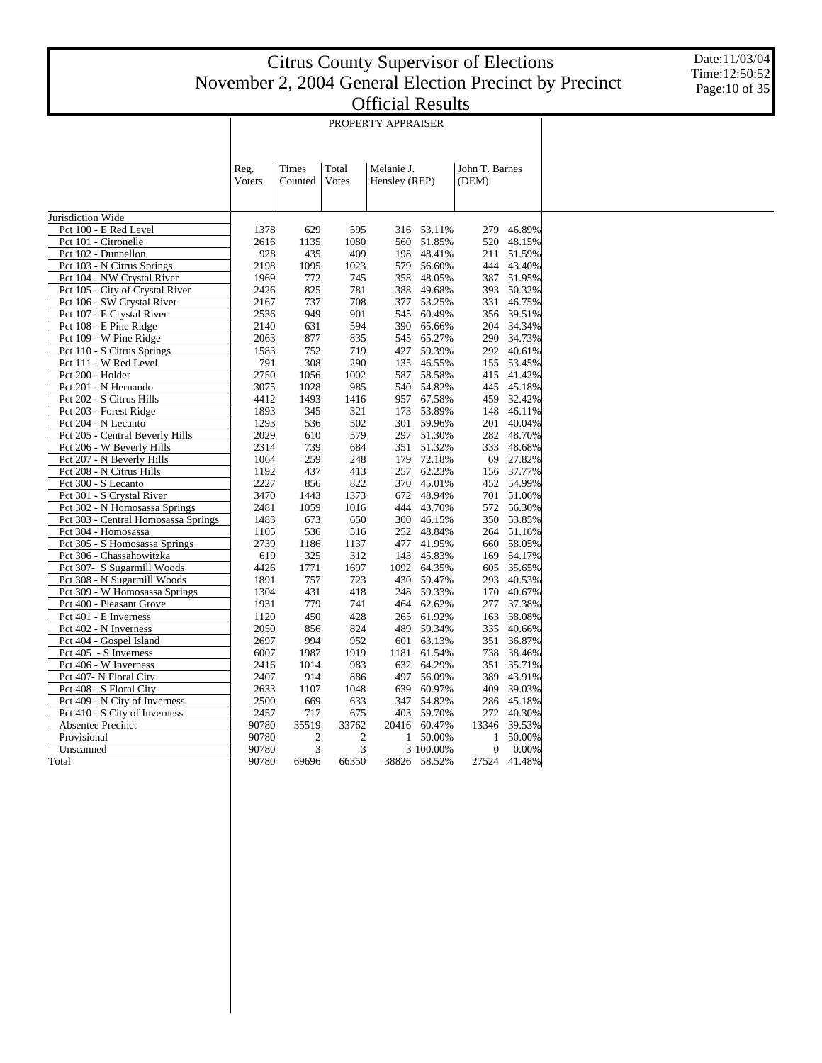Date:11/03/04 Time:12:50:52 Page:10 of 35

| PROPERTY APPRAISER |
|--------------------|

|                                     | Reg.   | <b>Times</b>     | Total            | Melanie J.    |              | John T. Barnes   |              |
|-------------------------------------|--------|------------------|------------------|---------------|--------------|------------------|--------------|
|                                     | Voters | Counted          | Votes            | Hensley (REP) |              | (DEM)            |              |
|                                     |        |                  |                  |               |              |                  |              |
| Jurisdiction Wide                   |        |                  |                  |               |              |                  |              |
| Pct 100 - E Red Level               | 1378   | 629              | 595              |               | 316 53.11%   | 279              | 46.89%       |
| Pct 101 - Citronelle                | 2616   | 1135             | 1080             | 560           | 51.85%       | 520              | 48.15%       |
| Pct 102 - Dunnellon                 | 928    | 435              | 409              | 198           | 48.41%       | 211              | 51.59%       |
| Pct 103 - N Citrus Springs          | 2198   | 1095             | 1023             | 579           | 56.60%       |                  | 444 43.40%   |
| Pct 104 - NW Crystal River          | 1969   | 772              | 745              | 358           | 48.05%       |                  | 387 51.95%   |
| Pct 105 - City of Crystal River     | 2426   | 825              | 781              | 388           | 49.68%       | 393              | 50.32%       |
| Pct 106 - SW Crystal River          | 2167   | 737              | 708              | 377           | 53.25%       | 331              | 46.75%       |
| Pct 107 - E Crystal River           | 2536   | 949              | 901              | 545           | 60.49%       | 356              | 39.51%       |
| Pct 108 - E Pine Ridge              | 2140   | 631              | 594              | 390           | 65.66%       |                  | 204 34.34%   |
| Pct 109 - W Pine Ridge              | 2063   | 877              | 835              | 545           | 65.27%       |                  | 290 34.73%   |
| Pct 110 - S Citrus Springs          | 1583   | 752              | 719              | 427           | 59.39%       | 292              | 40.61%       |
| Pct 111 - W Red Level               | 791    | 308              | 290              | 135           | 46.55%       |                  | 155 53.45%   |
| Pct 200 - Holder                    | 2750   | 1056             | 1002             | 587           | 58.58%       | 415              | 41.42%       |
| Pct 201 - N Hernando                | 3075   | 1028             | 985              |               | 540 54.82%   |                  | 445 45.18%   |
| Pct 202 - S Citrus Hills            | 4412   | 1493             | 1416             |               | 957 67.58%   | 459              | 32.42%       |
| Pct 203 - Forest Ridge              | 1893   | 345              | 321              | 173           | 53.89%       | 148              | 46.11%       |
| Pct 204 - N Lecanto                 | 1293   | 536              | 502              |               | 301 59.96%   | 201              | 40.04%       |
| Pct 205 - Central Beverly Hills     | 2029   | 610              | 579              | 297           | 51.30%       | 282              | 48.70%       |
| Pct 206 - W Beverly Hills           | 2314   | 739              | 684              | 351           | 51.32%       | 333              | 48.68%       |
| Pct 207 - N Beverly Hills           | 1064   | 259              | 248              | 179           | 72.18%       | 69               | 27.82%       |
| Pct 208 - N Citrus Hills            | 1192   | 437              | 413              | 257           | 62.23%       |                  | 156 37.77%   |
| Pct 300 - S Lecanto                 | 2227   | 856              | 822              |               | 370 45.01%   |                  | 452 54.99%   |
|                                     |        |                  |                  |               |              |                  |              |
| Pct 301 - S Crystal River           | 3470   | 1443             | 1373             | 672           | 48.94%       |                  | 701 51.06%   |
| Pct 302 - N Homosassa Springs       | 2481   | 1059             | 1016             | 444           | 43.70%       | 572              | 56.30%       |
| Pct 303 - Central Homosassa Springs | 1483   | 673              | 650              | 300           | 46.15%       | 350              | 53.85%       |
| Pct 304 - Homosassa                 | 1105   | 536              | 516              | 252           | 48.84%       |                  | 264 51.16%   |
| Pct 305 - S Homosassa Springs       | 2739   | 1186             | 1137             | 477           | 41.95%       |                  | 660 58.05%   |
| Pct 306 - Chassahowitzka            | 619    | 325              | 312              | 143           | 45.83%       | 169              | 54.17%       |
| Pct 307- S Sugarmill Woods          | 4426   | 1771             | 1697             | 1092          | 64.35%       | 605              | 35.65%       |
| Pct 308 - N Sugarmill Woods         | 1891   | 757              | 723              |               | 430 59.47%   | 293              | 40.53%       |
| Pct 309 - W Homosassa Springs       | 1304   | 431              | 418              | 248           | 59.33%       | 170              | 40.67%       |
| Pct 400 - Pleasant Grove            | 1931   | 779              | 741              | 464           | 62.62%       | 277              | 37.38%       |
| Pct 401 - E Inverness               | 1120   | 450              | 428              | 265           | 61.92%       | 163              | 38.08%       |
| Pct 402 - N Inverness               | 2050   | 856              | 824              | 489           | 59.34%       | 335              | 40.66%       |
| Pct 404 - Gospel Island             | 2697   | 994              | 952              | 601           | 63.13%       | 351              | 36.87%       |
| Pct 405 - S Inverness               | 6007   | 1987             | 1919             | 1181          | 61.54%       | 738              | 38.46%       |
| Pct 406 - W Inverness               | 2416   | 1014             | 983              |               | 632 64.29%   | 351              | 35.71%       |
| Pct 407- N Floral City              | 2407   | 914              | 886              | 497           | 56.09%       | 389              | 43.91%       |
| Pct 408 - S Floral City             | 2633   | 1107             | 1048             | 639           | 60.97%       | 409              | 39.03%       |
| Pct 409 - N City of Inverness       | 2500   | 669              | 633              | 347           | 54.82%       | 286              | 45.18%       |
| Pct 410 - S City of Inverness       | 2457   | 717              | 675              | 403           | 59.70%       | 272              | 40.30%       |
| Absentee Precinct                   | 90780  | 35519            | 33762            |               | 20416 60.47% | 13346            | 39.53%       |
| Provisional                         | 90780  | $\boldsymbol{2}$ | $\boldsymbol{2}$ | $\mathbf{1}$  | 50.00%       | 1                | 50.00%       |
| Unscanned                           | 90780  | 3                | 3                |               | 3 100.00%    | $\boldsymbol{0}$ | 0.00%        |
| Total                               | 90780  | 69696            | 66350            |               | 38826 58.52% |                  | 27524 41.48% |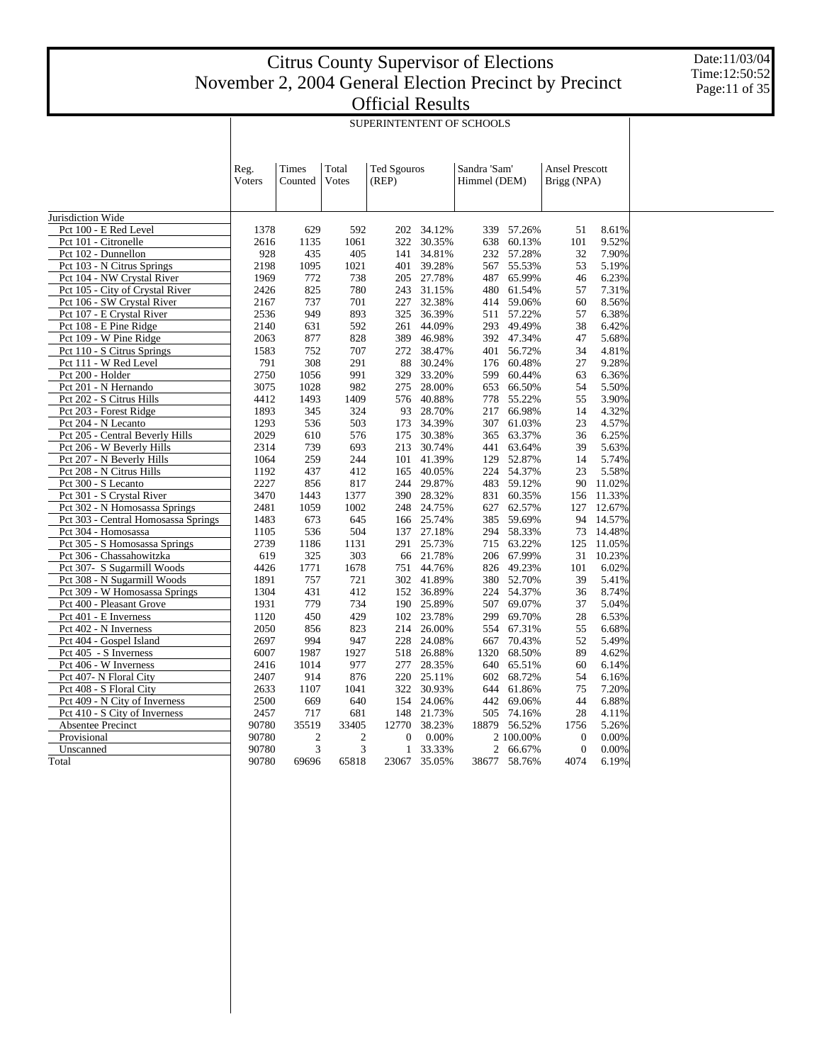|                                     | SUPERINTENTENT OF SCHOOLS |                  |                |                             |        |                              |           |                                      |        |  |  |
|-------------------------------------|---------------------------|------------------|----------------|-----------------------------|--------|------------------------------|-----------|--------------------------------------|--------|--|--|
|                                     | Reg.<br>Voters            | Times<br>Counted | Total<br>Votes | <b>Ted Sgouros</b><br>(REP) |        | Sandra 'Sam'<br>Himmel (DEM) |           | <b>Ansel Prescott</b><br>Brigg (NPA) |        |  |  |
| Jurisdiction Wide                   |                           |                  |                |                             |        |                              |           |                                      |        |  |  |
| Pct 100 - E Red Level               | 1378                      | 629              | 592            | 202                         | 34.12% | 339                          | 57.26%    | 51                                   | 8.61%  |  |  |
| Pct 101 - Citronelle                | 2616                      | 1135             | 1061           | 322                         | 30.35% | 638                          | 60.13%    | 101                                  | 9.52%  |  |  |
| Pct 102 - Dunnellon                 | 928                       | 435              | 405            | 141                         | 34.81% | 232                          | 57.28%    | 32                                   | 7.90%  |  |  |
| Pct 103 - N Citrus Springs          | 2198                      | 1095             | 1021           | 401                         | 39.28% | 567                          | 55.53%    | 53                                   | 5.19%  |  |  |
| Pct 104 - NW Crystal River          | 1969                      | 772              | 738            | 205                         | 27.78% | 487                          | 65.99%    | 46                                   | 6.23%  |  |  |
| Pct 105 - City of Crystal River     | 2426                      | 825              | 780            | 243                         | 31.15% | 480                          | 61.54%    | 57                                   | 7.31%  |  |  |
| Pct 106 - SW Crystal River          | 2167                      | 737              | 701            | 227                         | 32.38% | 414                          | 59.06%    | 60                                   | 8.56%  |  |  |
| Pct 107 - E Crystal River           | 2536                      | 949              | 893            | 325                         | 36.39% | 511                          | 57.22%    | 57                                   | 6.38%  |  |  |
| Pct 108 - E Pine Ridge              | 2140                      | 631              | 592            | 261                         | 44.09% | 293                          | 49.49%    | 38                                   | 6.42%  |  |  |
| Pct 109 - W Pine Ridge              | 2063                      | 877              | 828            | 389                         | 46.98% | 392                          | 47.34%    | 47                                   | 5.68%  |  |  |
| Pct 110 - S Citrus Springs          | 1583                      | 752              | 707            | 272                         | 38.47% | 401                          | 56.72%    | 34                                   | 4.81%  |  |  |
| Pct 111 - W Red Level               | 791                       | 308              | 291            | 88                          | 30.24% | 176                          | 60.48%    | 27                                   | 9.28%  |  |  |
| Pct 200 - Holder                    | 2750                      | 1056             | 991            | 329                         | 33.20% | 599                          | 60.44%    | 63                                   | 6.36%  |  |  |
| Pct 201 - N Hernando                | 3075                      | 1028             | 982            | 275                         | 28.00% | 653                          | 66.50%    | 54                                   | 5.50%  |  |  |
| Pct 202 - S Citrus Hills            | 4412                      | 1493             | 1409           | 576                         | 40.88% | 778                          | 55.22%    | 55                                   | 3.90%  |  |  |
| Pct 203 - Forest Ridge              | 1893                      | 345              | 324            | 93                          | 28.70% | 217                          | 66.98%    | 14                                   | 4.32%  |  |  |
| Pct 204 - N Lecanto                 | 1293                      | 536              | 503            | 173                         | 34.39% | 307                          | 61.03%    | 23                                   | 4.57%  |  |  |
| Pct 205 - Central Beverly Hills     | 2029                      | 610              | 576            | 175                         | 30.38% | 365                          | 63.37%    | 36                                   | 6.25%  |  |  |
| Pct 206 - W Beverly Hills           | 2314                      | 739              | 693            | 213                         | 30.74% | 441                          | 63.64%    | 39                                   | 5.63%  |  |  |
| Pct 207 - N Beverly Hills           | 1064                      | 259              | 244            | 101                         | 41.39% | 129                          | 52.87%    | 14                                   | 5.74%  |  |  |
| Pct 208 - N Citrus Hills            | 1192                      | 437              | 412            | 165                         | 40.05% | 224                          | 54.37%    | 23                                   | 5.58%  |  |  |
| Pct 300 - S Lecanto                 | 2227                      | 856              | 817            | 244                         | 29.87% | 483                          | 59.12%    | 90                                   | 11.02% |  |  |
| Pct 301 - S Crystal River           | 3470                      | 1443             | 1377           | 390                         | 28.32% | 831                          | 60.35%    | 156                                  | 11.33% |  |  |
| Pct 302 - N Homosassa Springs       | 2481                      | 1059             | 1002           | 248                         | 24.75% | 627                          | 62.57%    | 127                                  | 12.67% |  |  |
| Pct 303 - Central Homosassa Springs | 1483                      | 673              | 645            | 166                         | 25.74% | 385                          | 59.69%    | 94                                   | 14.57% |  |  |
| Pct 304 - Homosassa                 | 1105                      | 536              | 504            | 137                         | 27.18% | 294                          | 58.33%    | 73                                   | 14.48% |  |  |
| Pct 305 - S Homosassa Springs       | 2739                      | 1186             | 1131           | 291                         | 25.73% | 715                          | 63.22%    | 125                                  | 11.05% |  |  |
| Pct 306 - Chassahowitzka            | 619                       | 325              | 303            | 66                          | 21.78% | 206                          | 67.99%    | 31                                   | 10.23% |  |  |
| Pct 307- S Sugarmill Woods          | 4426                      | 1771             | 1678           | 751                         | 44.76% | 826                          | 49.23%    | 101                                  | 6.02%  |  |  |
| Pct 308 - N Sugarmill Woods         | 1891                      | 757              | 721            | 302                         | 41.89% | 380                          | 52.70%    | 39                                   | 5.41%  |  |  |
| Pct 309 - W Homosassa Springs       | 1304                      | 431              | 412            | 152                         | 36.89% | 224                          | 54.37%    | 36                                   | 8.74%  |  |  |
| Pct 400 - Pleasant Grove            | 1931                      | 779              | 734            | 190                         | 25.89% | 507                          | 69.07%    | 37                                   | 5.04%  |  |  |
| Pct 401 - E Inverness               | 1120                      | 450              | 429            | 102                         | 23.78% | 299                          | 69.70%    | 28                                   | 6.53%  |  |  |
| Pct 402 - N Inverness               | 2050                      | 856              | 823            | 214                         | 26.00% | 554                          | 67.31%    | 55                                   | 6.68%  |  |  |
| Pct 404 - Gospel Island             | 2697                      | 994              | 947            | 228                         | 24.08% | 667                          | 70.43%    | 52                                   | 5.49%  |  |  |
| Pct 405 - S Inverness               | 6007                      | 1987             | 1927           | 518                         | 26.88% | 1320                         | 68.50%    | 89                                   | 4.62%  |  |  |
| Pct 406 - W Inverness               | 2416                      | 1014             | 977            | 277                         | 28.35% | 640                          | 65.51%    | 60                                   | 6.14%  |  |  |
| Pct 407- N Floral City              | 2407                      | 914              | 876            | 220                         | 25.11% | 602                          | 68.72%    | 54                                   | 6.16%  |  |  |
| Pct 408 - S Floral City             | 2633                      | 1107             | 1041           | 322                         | 30.93% | 644                          | 61.86%    | 75                                   | 7.20%  |  |  |
| Pct 409 - N City of Inverness       | 2500                      | 669              | 640            | 154                         | 24.06% | 442                          | 69.06%    | 44                                   | 6.88%  |  |  |
| Pct 410 - S City of Inverness       | 2457                      | 717              | 681            | 148                         | 21.73% | 505                          | 74.16%    | 28                                   | 4.11%  |  |  |
| Absentee Precinct                   | 90780                     | 35519            | 33405          | 12770                       | 38.23% | 18879                        | 56.52%    | 1756                                 | 5.26%  |  |  |
| Provisional                         | 90780                     | $\mathfrak{2}$   | $\overline{2}$ | $\mathbf{0}$                | 0.00%  |                              | 2 100.00% | $\overline{0}$                       | 0.00%  |  |  |
| Unscanned                           | 90780                     | 3                | 3              | 1                           | 33.33% | 2                            | 66.67%    | $\overline{0}$                       | 0.00%  |  |  |
| Total                               | 90780                     | 69696            | 65818          | 23067                       | 35.05% | 38677                        | 58.76%    | 4074                                 | 6.19%  |  |  |
|                                     |                           |                  |                |                             |        |                              |           |                                      |        |  |  |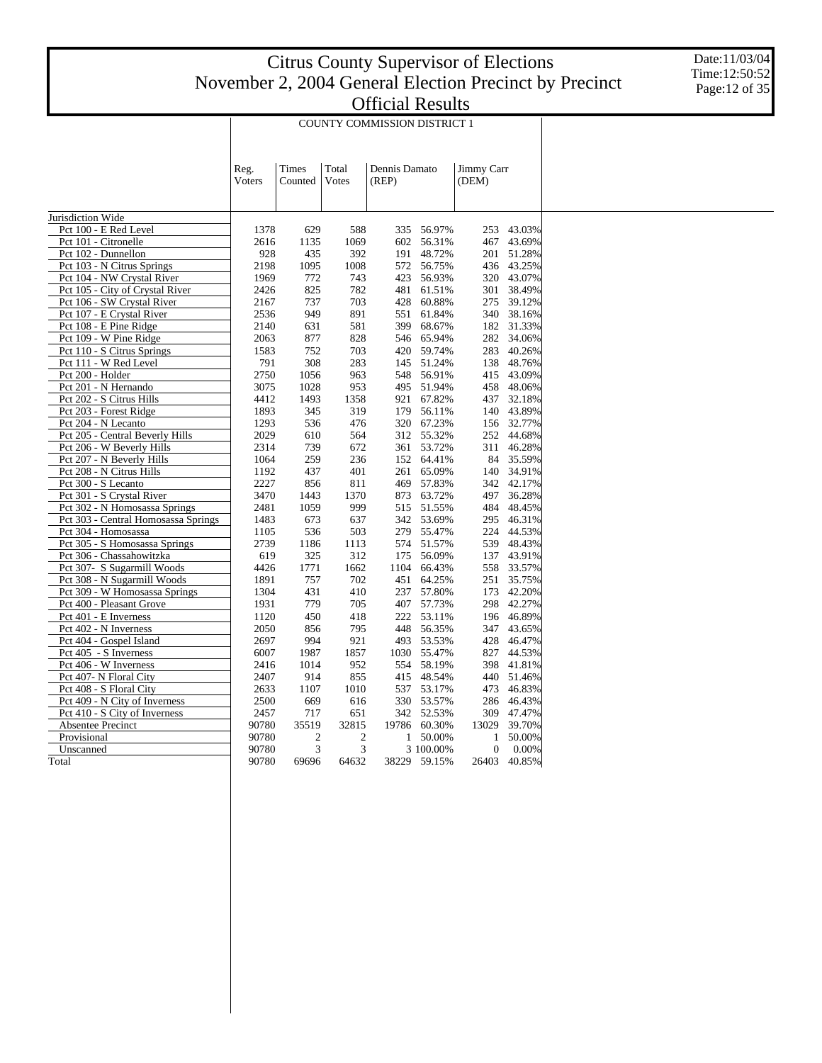Date:11/03/04 Time:12:50:52 Page:12 of 35

|                                     | <b>COUNTY COMMISSION DISTRICT 1</b> |                  |                |                        |              |                     |              |  |  |
|-------------------------------------|-------------------------------------|------------------|----------------|------------------------|--------------|---------------------|--------------|--|--|
|                                     | Reg.<br>Voters                      | Times<br>Counted | Total<br>Votes | Dennis Damato<br>(REP) |              | Jimmy Carr<br>(DEM) |              |  |  |
| Jurisdiction Wide                   |                                     |                  |                |                        |              |                     |              |  |  |
| Pct 100 - E Red Level               | 1378                                | 629              | 588            | 335                    | 56.97%       | 253                 | 43.03%       |  |  |
| Pct 101 - Citronelle                | 2616                                | 1135             | 1069           | 602                    | 56.31%       | 467                 | 43.69%       |  |  |
| Pct 102 - Dunnellon                 | 928                                 | 435              | 392            | 191                    | 48.72%       |                     | 201 51.28%   |  |  |
| Pct 103 - N Citrus Springs          | 2198                                | 1095             | 1008           | 572                    | 56.75%       |                     | 436 43.25%   |  |  |
| Pct 104 - NW Crystal River          | 1969                                | 772              | 743            | 423                    | 56.93%       |                     | 320 43.07%   |  |  |
| Pct 105 - City of Crystal River     | 2426                                | 825              | 782            | 481                    | 61.51%       | 301                 | 38.49%       |  |  |
| Pct 106 - SW Crystal River          | 2167                                | 737              | 703            | 428                    | 60.88%       | 275                 | 39.12%       |  |  |
| Pct 107 - E Crystal River           | 2536                                | 949              | 891            | 551                    | 61.84%       |                     | 340 38.16%   |  |  |
| Pct 108 - E Pine Ridge              | 2140                                | 631              | 581            | 399                    | 68.67%       |                     | 182 31.33%   |  |  |
| Pct 109 - W Pine Ridge              | 2063                                | 877              | 828            | 546                    | 65.94%       | 282                 | 34.06%       |  |  |
| Pct 110 - S Citrus Springs          | 1583                                | 752              | 703            | 420                    | 59.74%       | 283                 | 40.26%       |  |  |
| Pct 111 - W Red Level               | 791                                 | 308              | 283            | 145                    | 51.24%       | 138                 | 48.76%       |  |  |
| Pct 200 - Holder                    | 2750                                | 1056             | 963            | 548                    | 56.91%       | 415                 | 43.09%       |  |  |
| Pct 201 - N Hernando                | 3075                                | 1028             | 953            | 495                    | 51.94%       | 458                 | 48.06%       |  |  |
| Pct 202 - S Citrus Hills            | 4412                                | 1493             | 1358           | 921                    | 67.82%       | 437                 | 32.18%       |  |  |
| Pct 203 - Forest Ridge              | 1893                                | 345              | 319            | 179                    | 56.11%       | 140                 | 43.89%       |  |  |
| Pct 204 - N Lecanto                 | 1293                                | 536              | 476            | 320                    | 67.23%       |                     | 156 32.77%   |  |  |
| Pct 205 - Central Beverly Hills     | 2029                                | 610              | 564            | 312                    | 55.32%       | 252                 | 44.68%       |  |  |
| Pct 206 - W Beverly Hills           | 2314                                | 739              | 672            | 361                    | 53.72%       | 311                 | 46.28%       |  |  |
| Pct 207 - N Beverly Hills           | 1064                                | 259              | 236            | 152                    | 64.41%       | 84                  | 35.59%       |  |  |
| Pct 208 - N Citrus Hills            | 1192                                | 437              | 401            | 261                    | 65.09%       |                     | 140 34.91%   |  |  |
| Pct 300 - S Lecanto                 | 2227                                | 856              | 811            | 469                    | 57.83%       | 342                 | 42.17%       |  |  |
| Pct 301 - S Crystal River           | 3470                                | 1443             | 1370           | 873                    | 63.72%       | 497                 | 36.28%       |  |  |
| Pct 302 - N Homosassa Springs       | 2481                                | 1059             | 999            | 515                    | 51.55%       | 484                 | 48.45%       |  |  |
| Pct 303 - Central Homosassa Springs | 1483                                | 673              | 637            | 342                    | 53.69%       |                     | 295 46.31%   |  |  |
| Pct 304 - Homosassa                 | 1105                                | 536              | 503            | 279                    | 55.47%       | 224                 | 44.53%       |  |  |
| Pct 305 - S Homosassa Springs       | 2739                                | 1186             | 1113           | 574                    | 51.57%       | 539                 | 48.43%       |  |  |
| Pct 306 - Chassahowitzka            | 619                                 | 325              | 312            | 175                    | 56.09%       |                     | 137 43.91%   |  |  |
| Pct 307- S Sugarmill Woods          | 4426                                | 1771             | 1662           | 1104                   | 66.43%       | 558                 | 33.57%       |  |  |
| Pct 308 - N Sugarmill Woods         | 1891                                | 757              | 702            | 451                    | 64.25%       | 251                 | 35.75%       |  |  |
| Pct 309 - W Homosassa Springs       | 1304                                | 431              | 410            | 237                    | 57.80%       | 173                 | 42.20%       |  |  |
| Pct 400 - Pleasant Grove            | 1931                                | 779              | 705            | 407                    | 57.73%       | 298                 | 42.27%       |  |  |
| Pct 401 - E Inverness               | 1120                                | 450              | 418            | 222                    | 53.11%       |                     | 196 46.89%   |  |  |
| Pct 402 - N Inverness               | 2050                                | 856              | 795            | 448                    | 56.35%       | 347                 | 43.65%       |  |  |
| Pct 404 - Gospel Island             | 2697                                | 994              | 921            | 493                    | 53.53%       | 428                 | 46.47%       |  |  |
| Pct 405 - S Inverness               | 6007                                | 1987             | 1857           | 1030                   | 55.47%       | 827                 | 44.53%       |  |  |
| Pct 406 - W Inverness               | 2416                                | 1014             | 952            | 554                    | 58.19%       | 398                 | 41.81%       |  |  |
| Pct 407- N Floral City              | 2407                                | 914              | 855            | 415                    | 48.54%       |                     | 440 51.46%   |  |  |
| Pct 408 - S Floral City             | 2633                                | 1107             | 1010           | 537                    | 53.17%       | 473                 | 46.83%       |  |  |
| Pct 409 - N City of Inverness       | 2500                                | 669              | 616            | 330                    | 53.57%       | 286                 | 46.43%       |  |  |
| Pct 410 - S City of Inverness       | 2457                                | 717              | 651            | 342                    | 52.53%       | 309                 | 47.47%       |  |  |
| Absentee Precinct                   | 90780                               | 35519            | 32815          | 19786                  | 60.30%       | 13029               | 39.70%       |  |  |
| Provisional                         | 90780                               | $\mathfrak{2}$   | $\mathfrak{2}$ | 1                      | 50.00%       | 1                   | 50.00%       |  |  |
| Unscanned                           | 90780                               | 3                | 3              |                        | 3 100.00%    | 0                   | 0.00%        |  |  |
| Total                               | 90780                               | 69696            | 64632          |                        | 38229 59.15% |                     | 26403 40.85% |  |  |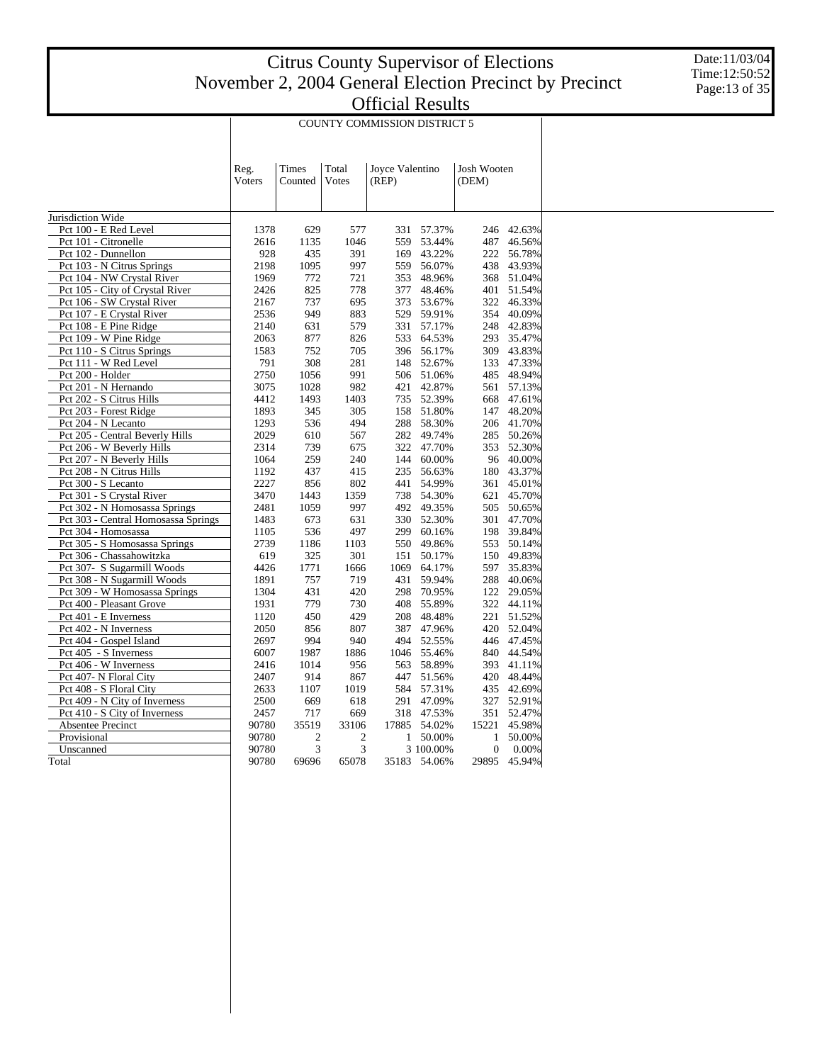Date:11/03/04 Time:12:50:52 Page:13 of 35

|                                     |                |                  |                | <b>COUNTY COMMISSION DISTRICT 5</b> |              |                             |              |
|-------------------------------------|----------------|------------------|----------------|-------------------------------------|--------------|-----------------------------|--------------|
|                                     | Reg.<br>Voters | Times<br>Counted | Total<br>Votes | Joyce Valentino<br>(REP)            |              | <b>Josh Wooten</b><br>(DEM) |              |
| Jurisdiction Wide                   |                |                  |                |                                     |              |                             |              |
| Pct 100 - E Red Level               | 1378           | 629              | 577            | 331                                 | 57.37%       | 246                         | 42.63%       |
| Pct 101 - Citronelle                | 2616           | 1135             | 1046           | 559                                 | 53.44%       | 487                         | 46.56%       |
| Pct 102 - Dunnellon                 | 928            | 435              | 391            | 169                                 | 43.22%       | 222                         | 56.78%       |
| Pct 103 - N Citrus Springs          | 2198           | 1095             | 997            | 559                                 | 56.07%       | 438                         | 43.93%       |
| Pct 104 - NW Crystal River          | 1969           | 772              | 721            | 353                                 | 48.96%       |                             | 368 51.04%   |
| Pct 105 - City of Crystal River     | 2426           | 825              | 778            | 377                                 | 48.46%       | 401                         | 51.54%       |
| Pct 106 - SW Crystal River          | 2167           | 737              | 695            | 373                                 | 53.67%       | 322                         | 46.33%       |
| Pct 107 - E Crystal River           | 2536           | 949              | 883            | 529                                 | 59.91%       | 354                         | 40.09%       |
| Pct 108 - E Pine Ridge              | 2140           | 631              | 579            | 331                                 | 57.17%       | 248                         | 42.83%       |
| Pct 109 - W Pine Ridge              | 2063           | 877              | 826            | 533                                 | 64.53%       | 293                         | 35.47%       |
| Pct 110 - S Citrus Springs          | 1583           | 752              | 705            | 396                                 | 56.17%       | 309                         | 43.83%       |
| Pct 111 - W Red Level               | 791            | 308              | 281            | 148                                 | 52.67%       | 133                         | 47.33%       |
| Pct 200 - Holder                    | 2750           | 1056             | 991            | 506                                 | 51.06%       | 485                         | 48.94%       |
| Pct 201 - N Hernando                | 3075           | 1028             | 982            | 421                                 | 42.87%       |                             | 561 57.13%   |
| Pct 202 - S Citrus Hills            | 4412           | 1493             | 1403           | 735                                 | 52.39%       | 668                         | 47.61%       |
| Pct 203 - Forest Ridge              | 1893           | 345              | 305            | 158                                 | 51.80%       | 147                         | 48.20%       |
| Pct 204 - N Lecanto                 | 1293           | 536              | 494            | 288                                 | 58.30%       | 206                         | 41.70%       |
| Pct 205 - Central Beverly Hills     | 2029           | 610              | 567            | 282                                 | 49.74%       |                             | 285 50.26%   |
| Pct 206 - W Beverly Hills           | 2314           | 739              | 675            | 322                                 | 47.70%       | 353                         | 52.30%       |
| Pct 207 - N Beverly Hills           | 1064           | 259              | 240            | 144                                 | 60.00%       | 96                          | 40.00%       |
| Pct 208 - N Citrus Hills            | 1192           | 437              | 415            | 235                                 | 56.63%       | 180                         | 43.37%       |
| Pct 300 - S Lecanto                 | 2227           | 856              | 802            | 441                                 | 54.99%       | 361                         | 45.01%       |
| Pct 301 - S Crystal River           | 3470           | 1443             | 1359           | 738                                 | 54.30%       | 621                         | 45.70%       |
| Pct 302 - N Homosassa Springs       | 2481           | 1059             | 997            | 492                                 | 49.35%       | 505                         | 50.65%       |
| Pct 303 - Central Homosassa Springs | 1483           | 673              | 631            | 330                                 | 52.30%       | 301                         | 47.70%       |
| Pct 304 - Homosassa                 | 1105           | 536              | 497            | 299                                 | 60.16%       |                             | 198 39.84%   |
| Pct 305 - S Homosassa Springs       | 2739           | 1186             | 1103           | 550                                 | 49.86%       | 553                         | 50.14%       |
| Pct 306 - Chassahowitzka            | 619            | 325              | 301            | 151                                 | 50.17%       | 150                         | 49.83%       |
| Pct 307- S Sugarmill Woods          | 4426           | 1771             | 1666           | 1069                                | 64.17%       | 597                         | 35.83%       |
| Pct 308 - N Sugarmill Woods         | 1891           | 757              | 719            | 431                                 | 59.94%       | 288                         | 40.06%       |
| Pct 309 - W Homosassa Springs       | 1304           | 431              | 420            | 298                                 | 70.95%       | 122                         | 29.05%       |
| Pct 400 - Pleasant Grove            | 1931           | 779              | 730            | 408                                 | 55.89%       | 322                         | 44.11%       |
| Pct 401 - E Inverness               | 1120           | 450              | 429            | 208                                 | 48.48%       |                             | 221 51.52%   |
| Pct 402 - N Inverness               | 2050           | 856              | 807            | 387                                 | 47.96%       | 420                         | 52.04%       |
| Pct 404 - Gospel Island             | 2697           | 994              | 940            | 494                                 | 52.55%       | 446                         | 47.45%       |
| Pct 405 - S Inverness               | 6007           | 1987             | 1886           | 1046                                | 55.46%       | 840                         | 44.54%       |
| Pct 406 - W Inverness               | 2416           | 1014             | 956            | 563                                 | 58.89%       | 393                         | 41.11%       |
| Pct 407- N Floral City              | 2407           | 914              | 867            | 447                                 | 51.56%       | 420                         | 48.44%       |
| Pct 408 - S Floral City             | 2633           | 1107             | 1019           | 584                                 | 57.31%       | 435                         | 42.69%       |
| Pct 409 - N City of Inverness       | 2500           | 669              | 618            | 291                                 | 47.09%       | 327                         | 52.91%       |
| Pct 410 - S City of Inverness       | 2457           | 717              | 669            | 318                                 | 47.53%       |                             | 351 52.47%   |
| Absentee Precinct                   | 90780          | 35519            | 33106          | 17885                               | 54.02%       | 15221                       | 45.98%       |
| Provisional                         | 90780          | $\overline{2}$   | $\mathbf{2}$   | 1                                   | 50.00%       | 1                           | 50.00%       |
| Unscanned                           | 90780          | 3                | 3              |                                     | 3 100.00%    | 0                           | 0.00%        |
| Total                               | 90780          | 69696            | 65078          |                                     | 35183 54.06% |                             | 29895 45.94% |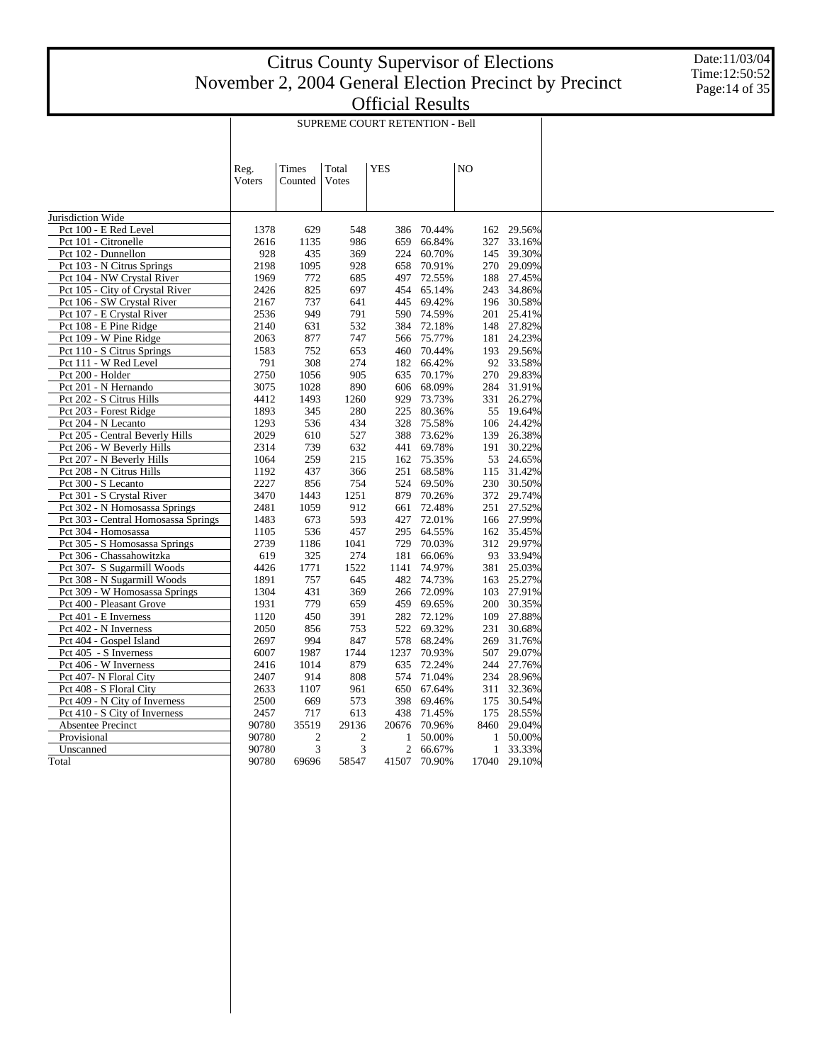Date:11/03/04 Time:12:50:52 Page:14 of 35

|                                     |                |                  |                | SUPREME COURT RETENTION - Bell |        |    |              |            |
|-------------------------------------|----------------|------------------|----------------|--------------------------------|--------|----|--------------|------------|
|                                     | Reg.<br>Voters | Times<br>Counted | Total<br>Votes | <b>YES</b>                     |        | NO |              |            |
| Jurisdiction Wide                   |                |                  |                |                                |        |    |              |            |
| Pct 100 - E Red Level               | 1378           | 629              | 548            | 386                            | 70.44% |    | 162          | 29.56%     |
| Pct 101 - Citronelle                | 2616           | 1135             | 986            | 659                            | 66.84% |    | 327          | 33.16%     |
| Pct 102 - Dunnellon                 | 928            | 435              | 369            | 224                            | 60.70% |    | 145          | 39.30%     |
| Pct 103 - N Citrus Springs          | 2198           | 1095             | 928            | 658                            | 70.91% |    | 270          | 29.09%     |
| Pct 104 - NW Crystal River          | 1969           | 772              | 685            | 497                            | 72.55% |    | 188          | 27.45%     |
| Pct 105 - City of Crystal River     | 2426           | 825              | 697            | 454                            | 65.14% |    | 243          | 34.86%     |
| Pct 106 - SW Crystal River          | 2167           | 737              | 641            | 445                            | 69.42% |    | 196          | 30.58%     |
| Pct 107 - E Crystal River           | 2536           | 949              | 791            | 590                            | 74.59% |    | 201          | 25.41%     |
| Pct 108 - E Pine Ridge              | 2140           | 631              | 532            | 384                            | 72.18% |    | 148          | 27.82%     |
| Pct 109 - W Pine Ridge              | 2063           | 877              | 747            | 566                            | 75.77% |    |              | 181 24.23% |
| Pct 110 - S Citrus Springs          | 1583           | 752              | 653            | 460                            | 70.44% |    | 193          | 29.56%     |
| Pct 111 - W Red Level               | 791            | 308              | 274            | 182                            | 66.42% |    | 92           | 33.58%     |
| Pct 200 - Holder                    | 2750           | 1056             | 905            | 635                            | 70.17% |    | 270          | 29.83%     |
| Pct 201 - N Hernando                | 3075           | 1028             | 890            | 606                            | 68.09% |    | 284          | 31.91%     |
| Pct 202 - S Citrus Hills            | 4412           | 1493             | 1260           | 929                            | 73.73% |    | 331          | 26.27%     |
| Pct 203 - Forest Ridge              | 1893           | 345              | 280            | 225                            | 80.36% |    | 55           | 19.64%     |
| Pct 204 - N Lecanto                 | 1293           | 536              | 434            | 328                            | 75.58% |    | 106          | 24.42%     |
| Pct 205 - Central Beverly Hills     | 2029           | 610              | 527            | 388                            | 73.62% |    | 139          | 26.38%     |
| Pct 206 - W Beverly Hills           | 2314           | 739              | 632            | 441                            | 69.78% |    | 191          | 30.22%     |
| Pct 207 - N Beverly Hills           | 1064           | 259              | 215            | 162                            | 75.35% |    | 53           | 24.65%     |
| Pct 208 - N Citrus Hills            | 1192           | 437              | 366            | 251                            | 68.58% |    | 115          | 31.42%     |
| Pct 300 - S Lecanto                 | 2227           | 856              | 754            | 524                            | 69.50% |    | 230          | 30.50%     |
| Pct 301 - S Crystal River           | 3470           | 1443             | 1251           | 879                            | 70.26% |    | 372          | 29.74%     |
| Pct 302 - N Homosassa Springs       | 2481           | 1059             | 912            | 661                            | 72.48% |    |              | 251 27.52% |
| Pct 303 - Central Homosassa Springs | 1483           | 673              | 593            | 427                            | 72.01% |    |              | 166 27.99% |
| Pct 304 - Homosassa                 | 1105           | 536              | 457            | 295                            | 64.55% |    | 162          | 35.45%     |
| Pct 305 - S Homosassa Springs       | 2739           | 1186             | 1041           | 729                            | 70.03% |    | 312          | 29.97%     |
| Pct 306 - Chassahowitzka            | 619            | 325              | 274            | 181                            | 66.06% |    | 93           | 33.94%     |
| Pct 307- S Sugarmill Woods          | 4426           | 1771             | 1522           | 1141                           | 74.97% |    | 381          | 25.03%     |
| Pct 308 - N Sugarmill Woods         | 1891           | 757              | 645            | 482                            | 74.73% |    | 163          | 25.27%     |
| Pct 309 - W Homosassa Springs       | 1304           | 431              | 369            | 266                            | 72.09% |    | 103          | 27.91%     |
| Pct 400 - Pleasant Grove            | 1931           | 779              | 659            | 459                            | 69.65% |    | 200          | 30.35%     |
| Pct 401 - E Inverness               | 1120           | 450              | 391            | 282                            | 72.12% |    | 109          | 27.88%     |
| Pct 402 - N Inverness               | 2050           | 856              | 753            | 522                            | 69.32% |    | 231          | 30.68%     |
| Pct 404 - Gospel Island             | 2697           | 994              | 847            | 578                            | 68.24% |    | 269          | 31.76%     |
| Pct 405 - S Inverness               | 6007           | 1987             | 1744           | 1237                           | 70.93% |    | 507          | 29.07%     |
| Pct 406 - W Inverness               | 2416           | 1014             | 879            | 635                            | 72.24% |    | 244          | 27.76%     |
| Pct 407- N Floral City              | 2407           | 914              | 808            | 574                            | 71.04% |    | 234          | 28.96%     |
| Pct 408 - S Floral City             | 2633           | 1107             | 961            | 650                            | 67.64% |    | 311          | 32.36%     |
| Pct 409 - N City of Inverness       | 2500           | 669              | 573            | 398                            | 69.46% |    | 175          | 30.54%     |
| Pct 410 - S City of Inverness       | 2457           | 717              | 613            | 438                            | 71.45% |    | 175          | 28.55%     |
| Absentee Precinct                   | 90780          | 35519            | 29136          | 20676                          | 70.96% |    | 8460         | 29.04%     |
| Provisional                         | 90780          | 2                | $\overline{2}$ |                                | 50.00% |    | 1            | 50.00%     |
| Unscanned                           | 90780          | 3                | 3              | $\overline{c}$                 | 66.67% |    | $\mathbf{1}$ | 33.33%     |
| Total                               | 90780          | 69696            | 58547          | 41507                          | 70.90% |    | 17040        | 29.10%     |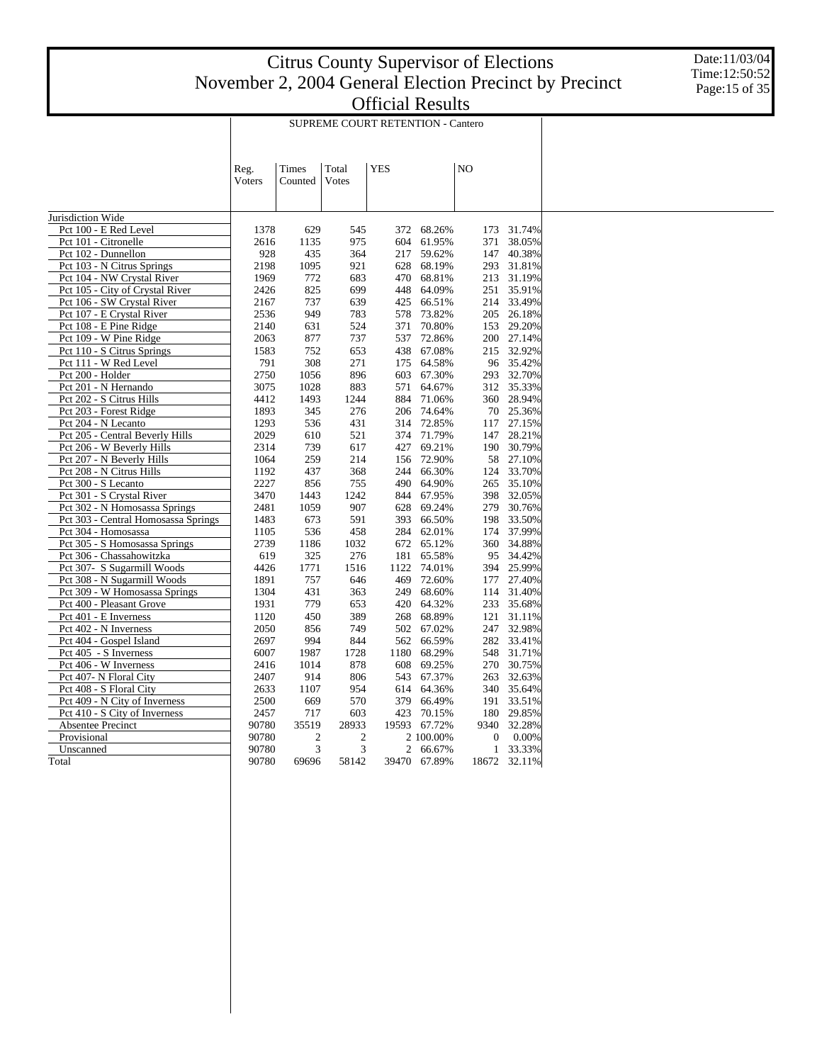Date:11/03/04 Time:12:50:52 Page:15 of 35

|                                                   |             |                |            | <b>SUPREME COURT RETENTION - Cantero</b> |                  |    |                  |                  |
|---------------------------------------------------|-------------|----------------|------------|------------------------------------------|------------------|----|------------------|------------------|
|                                                   |             |                |            |                                          |                  |    |                  |                  |
|                                                   |             |                |            |                                          |                  |    |                  |                  |
|                                                   | Reg.        | Times          | Total      | <b>YES</b>                               |                  | NO |                  |                  |
|                                                   | Voters      | Counted        | Votes      |                                          |                  |    |                  |                  |
|                                                   |             |                |            |                                          |                  |    |                  |                  |
|                                                   |             |                |            |                                          |                  |    |                  |                  |
| Jurisdiction Wide                                 |             |                |            |                                          |                  |    |                  |                  |
| Pct 100 - E Red Level                             | 1378        | 629            | 545        | 372                                      | 68.26%           |    | 173              | 31.74%           |
| Pct 101 - Citronelle                              | 2616        | 1135           | 975        | 604                                      | 61.95%           |    | 371              | 38.05%           |
| Pct 102 - Dunnellon<br>Pct 103 - N Citrus Springs | 928<br>2198 | 435<br>1095    | 364<br>921 | 217                                      | 59.62%<br>68.19% |    | 147<br>293       | 40.38%<br>31.81% |
| Pct 104 - NW Crystal River                        | 1969        | 772            | 683        | 628<br>470                               | 68.81%           |    | 213              | 31.19%           |
| Pct 105 - City of Crystal River                   | 2426        | 825            | 699        | 448                                      | 64.09%           |    | 251              | 35.91%           |
| Pct 106 - SW Crystal River                        | 2167        | 737            | 639        | 425                                      | 66.51%           |    |                  | 214 33.49%       |
| Pct 107 - E Crystal River                         | 2536        | 949            | 783        | 578                                      | 73.82%           |    |                  | 205 26.18%       |
| Pct 108 - E Pine Ridge                            | 2140        | 631            | 524        | 371                                      | 70.80%           |    | 153              | 29.20%           |
| Pct 109 - W Pine Ridge                            | 2063        | 877            | 737        | 537                                      | 72.86%           |    |                  | 200 27.14%       |
| Pct 110 - S Citrus Springs                        | 1583        | 752            | 653        | 438                                      | 67.08%           |    | 215              | 32.92%           |
| Pct 111 - W Red Level                             | 791         | 308            | 271        | 175                                      | 64.58%           |    |                  | 96 35.42%        |
| Pct 200 - Holder                                  | 2750        | 1056           | 896        | 603                                      | 67.30%           |    |                  | 293 32.70%       |
| Pct 201 - N Hernando                              | 3075        | 1028           | 883        | 571                                      | 64.67%           |    |                  | 312 35.33%       |
| Pct 202 - S Citrus Hills                          | 4412        | 1493           | 1244       | 884                                      | 71.06%           |    |                  | 360 28.94%       |
| Pct 203 - Forest Ridge                            | 1893        | 345            | 276        | 206                                      | 74.64%           |    | 70               | 25.36%           |
| Pct 204 - N Lecanto                               | 1293        | 536            | 431        | 314                                      | 72.85%           |    | 117              | 27.15%           |
| Pct 205 - Central Beverly Hills                   | 2029        | 610            | 521        | 374                                      | 71.79%           |    | 147              | 28.21%           |
| Pct 206 - W Beverly Hills                         | 2314        | 739            | 617        | 427                                      | 69.21%           |    | 190              | 30.79%           |
| Pct 207 - N Beverly Hills                         | 1064        | 259            | 214        | 156                                      | 72.90%           |    | 58               | 27.10%           |
| Pct 208 - N Citrus Hills                          | 1192        | 437            | 368        | 244                                      | 66.30%           |    | 124              | 33.70%           |
| Pct 300 - S Lecanto                               | 2227        | 856            | 755        | 490                                      | 64.90%           |    | 265              | 35.10%           |
| Pct 301 - S Crystal River                         | 3470        | 1443           | 1242       | 844                                      | 67.95%           |    | 398              | 32.05%           |
| Pct 302 - N Homosassa Springs                     | 2481        | 1059           | 907        | 628                                      | 69.24%           |    | 279              | 30.76%           |
| Pct 303 - Central Homosassa Springs               | 1483        | 673            | 591        | 393                                      | 66.50%           |    | 198              | 33.50%           |
| Pct 304 - Homosassa                               | 1105        | 536            | 458        | 284                                      | 62.01%           |    | 174              | 37.99%           |
| Pct 305 - S Homosassa Springs                     | 2739        | 1186           | 1032       | 672                                      | 65.12%           |    | 360              | 34.88%           |
| Pct 306 - Chassahowitzka                          | 619         | 325            | 276        | 181                                      | 65.58%           |    | 95               | 34.42%           |
| Pct 307- S Sugarmill Woods                        | 4426        | 1771           | 1516       | 1122                                     | 74.01%           |    | 394              | 25.99%           |
| Pct 308 - N Sugarmill Woods                       | 1891        | 757            | 646        | 469                                      | 72.60%           |    | 177              | 27.40%           |
| Pct 309 - W Homosassa Springs                     | 1304        | 431            | 363        | 249                                      | 68.60%           |    | 114              | 31.40%           |
| Pct 400 - Pleasant Grove                          | 1931        | 779            | 653        | 420                                      | 64.32%           |    | 233              | 35.68%           |
| Pct 401 - E Inverness                             | 1120        | 450            | 389        | 268                                      | 68.89%           |    | 121              | 31.11%           |
| Pct 402 - N Inverness                             | 2050        | 856            | 749        | 502                                      | 67.02%           |    | 247              | 32.98%           |
| Pct 404 - Gospel Island                           | 2697        | 994            | 844        | 562                                      | 66.59%           |    | 282              | 33.41%           |
| Pct 405 - S Inverness                             | 6007        | 1987           | 1728       | 1180                                     | 68.29%           |    | 548              | 31.71%           |
| Pct 406 - W Inverness                             | 2416        | 1014           | 878        | 608                                      | 69.25%           |    | 270              | 30.75%           |
| Pct 407- N Floral City                            | 2407        | 914            | 806        | 543                                      | 67.37%           |    | 263              | 32.63%           |
| Pct 408 - S Floral City                           | 2633        | 1107           | 954        | 614                                      | 64.36%           |    | 340              | 35.64%           |
| Pct 409 - N City of Inverness                     | 2500        | 669            | 570        | 379                                      | 66.49%           |    | 191              | 33.51%           |
| Pct 410 - S City of Inverness                     | 2457        | 717            | 603        | 423                                      | 70.15%           |    | 180              | 29.85%           |
| Absentee Precinct                                 | 90780       | 35519          | 28933      | 19593                                    | 67.72%           |    | 9340             | 32.28%           |
| Provisional                                       | 90780       | $\overline{2}$ | 2          |                                          | 2 100.00%        |    | $\boldsymbol{0}$ | 0.00%            |
| Unscanned                                         | 90780       | 3              | 3          | 2                                        | 66.67%           |    | 1                | 33.33%           |
| Total                                             | 90780       | 69696          | 58142      | 39470                                    | 67.89%           |    | 18672            | 32.11%           |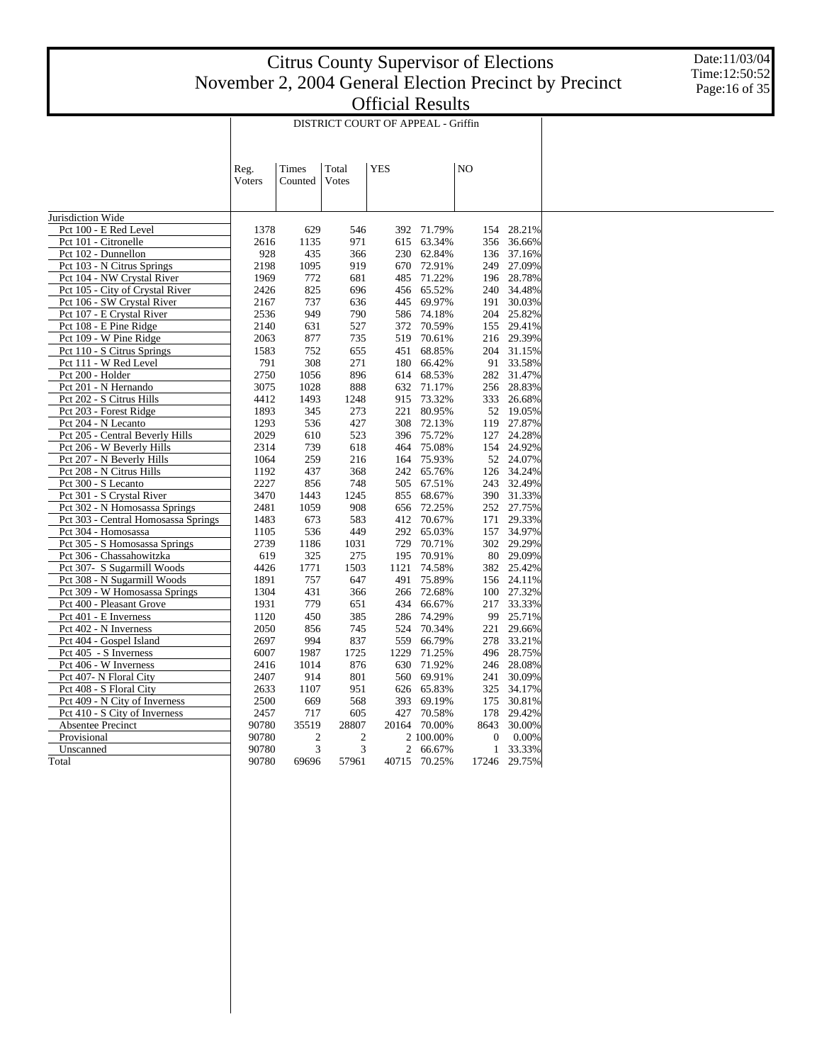Date:11/03/04 Time:12:50:52 Page:16 of 35

|                                                   |             |                |            | DISTRICT COURT OF APPEAL - Griffin |                  |    |              |                  |
|---------------------------------------------------|-------------|----------------|------------|------------------------------------|------------------|----|--------------|------------------|
|                                                   |             |                |            |                                    |                  |    |              |                  |
|                                                   | Reg.        | Times          | Total      | <b>YES</b>                         |                  | NO |              |                  |
|                                                   | Voters      | Counted        | Votes      |                                    |                  |    |              |                  |
|                                                   |             |                |            |                                    |                  |    |              |                  |
|                                                   |             |                |            |                                    |                  |    |              |                  |
| Jurisdiction Wide                                 |             |                |            |                                    |                  |    |              |                  |
| Pct 100 - E Red Level                             | 1378        | 629            | 546        | 392                                | 71.79%           |    | 154          | 28.21%           |
| Pct 101 - Citronelle                              | 2616<br>928 | 1135<br>435    | 971        | 615<br>230                         | 63.34%<br>62.84% |    | 356          | 36.66%<br>37.16% |
| Pct 102 - Dunnellon<br>Pct 103 - N Citrus Springs | 2198        | 1095           | 366<br>919 | 670                                | 72.91%           |    | 136          | 249 27.09%       |
| Pct 104 - NW Crystal River                        | 1969        | 772            | 681        | 485                                | 71.22%           |    |              | 196 28.78%       |
| Pct 105 - City of Crystal River                   | 2426        | 825            | 696        | 456                                | 65.52%           |    | 240          | 34.48%           |
| Pct 106 - SW Crystal River                        | 2167        | 737            | 636        | 445                                | 69.97%           |    | 191          | 30.03%           |
| Pct 107 - E Crystal River                         | 2536        | 949            | 790        | 586                                | 74.18%           |    | 204          | 25.82%           |
| Pct 108 - E Pine Ridge                            | 2140        | 631            | 527        | 372                                | 70.59%           |    |              | 155 29.41%       |
| Pct 109 - W Pine Ridge                            | 2063        | 877            | 735        | 519                                | 70.61%           |    |              | 216 29.39%       |
| Pct 110 - S Citrus Springs                        | 1583        | 752            | 655        | 451                                | 68.85%           |    |              | 204 31.15%       |
| Pct 111 - W Red Level                             | 791         | 308            | 271        | 180                                | 66.42%           |    |              | 91 33.58%        |
| Pct 200 - Holder                                  | 2750        | 1056           | 896        | 614                                | 68.53%           |    | 282          | 31.47%           |
| Pct 201 - N Hernando                              | 3075        | 1028           | 888        | 632                                | 71.17%           |    | 256          | 28.83%           |
| Pct 202 - S Citrus Hills                          | 4412        | 1493           | 1248       | 915                                | 73.32%           |    |              | 333 26.68%       |
| Pct 203 - Forest Ridge                            | 1893        | 345            | 273        | 221                                | 80.95%           |    | 52           | 19.05%           |
| Pct 204 - N Lecanto                               | 1293        | 536            | 427        | 308                                | 72.13%           |    |              | 119 27.87%       |
| Pct 205 - Central Beverly Hills                   | 2029        | 610            | 523        | 396                                | 75.72%           |    | 127          | 24.28%           |
| Pct 206 - W Beverly Hills                         | 2314        | 739            | 618        | 464                                | 75.08%           |    | 154          | 24.92%           |
| Pct 207 - N Beverly Hills                         | 1064        | 259            | 216        | 164                                | 75.93%           |    |              | 52 24.07%        |
| Pct 208 - N Citrus Hills                          | 1192        | 437            | 368        | 242                                | 65.76%           |    | 126          | 34.24%           |
| Pct 300 - S Lecanto                               | 2227        | 856            | 748        | 505                                | 67.51%           |    |              | 243 32.49%       |
| Pct 301 - S Crystal River                         | 3470        | 1443           | 1245       | 855                                | 68.67%           |    |              | 390 31.33%       |
| Pct 302 - N Homosassa Springs                     | 2481        | 1059           | 908        | 656                                | 72.25%           |    |              | 252 27.75%       |
| Pct 303 - Central Homosassa Springs               | 1483        | 673            | 583        | 412                                | 70.67%           |    | 171          | 29.33%           |
| Pct 304 - Homosassa                               | 1105        | 536            | 449        | 292                                | 65.03%           |    | 157          | 34.97%           |
| Pct 305 - S Homosassa Springs                     | 2739        | 1186           | 1031       | 729                                | 70.71%           |    |              | 302 29.29%       |
| Pct 306 - Chassahowitzka                          | 619         | 325            | 275        | 195                                | 70.91%           |    | 80           | 29.09%           |
| Pct 307- S Sugarmill Woods                        | 4426        | 1771           | 1503       | 1121                               | 74.58%           |    |              | 382 25.42%       |
| Pct 308 - N Sugarmill Woods                       | 1891        | 757            | 647        | 491                                | 75.89%           |    |              | 156 24.11%       |
| Pct 309 - W Homosassa Springs                     | 1304        | 431            | 366        | 266                                | 72.68%           |    |              | 100 27.32%       |
| Pct 400 - Pleasant Grove                          | 1931        | 779            | 651        | 434                                | 66.67%           |    | 217          | 33.33%           |
| Pct 401 - E Inverness                             | 1120        | 450            | 385        | 286                                | 74.29%           |    | 99           | 25.71%           |
| Pct 402 - N Inverness                             | 2050        | 856            | 745        | 524                                | 70.34%           |    | 221          | 29.66%           |
| Pct 404 - Gospel Island                           | 2697        | 994            | 837        | 559                                | 66.79%           |    |              | 278 33.21%       |
| Pct 405 - S Inverness                             | 6007        | 1987           | 1725       | 1229                               | 71.25%           |    | 496          | 28.75%           |
| Pct 406 - W Inverness                             | 2416        | 1014           | 876        | 630                                | 71.92%           |    | 246          | 28.08%           |
| Pct 407- N Floral City                            | 2407        | 914            | 801        | 560                                | 69.91%           |    | 241          | 30.09%           |
| Pct 408 - S Floral City                           | 2633        | 1107           | 951        | 626                                | 65.83%           |    | 325          | 34.17%           |
| Pct 409 - N City of Inverness                     | 2500        | 669            | 568        | 393                                | 69.19%           |    | 175          | 30.81%           |
| Pct 410 - S City of Inverness                     | 2457        | 717            | 605        | 427                                | 70.58%           |    | 178          | 29.42%           |
| Absentee Precinct                                 | 90780       | 35519          | 28807      | 20164                              | 70.00%           |    | 8643         | 30.00%           |
| Provisional                                       | 90780       | $\overline{2}$ | 2          |                                    | 2 100.00%        |    | $\mathbf{0}$ | 0.00%            |
| Unscanned                                         | 90780       | 3              | 3          | 2                                  | 66.67%           |    | $\mathbf{1}$ | 33.33%           |
| Total                                             | 90780       | 69696          | 57961      | 40715                              | 70.25%           |    | 17246        | 29.75%           |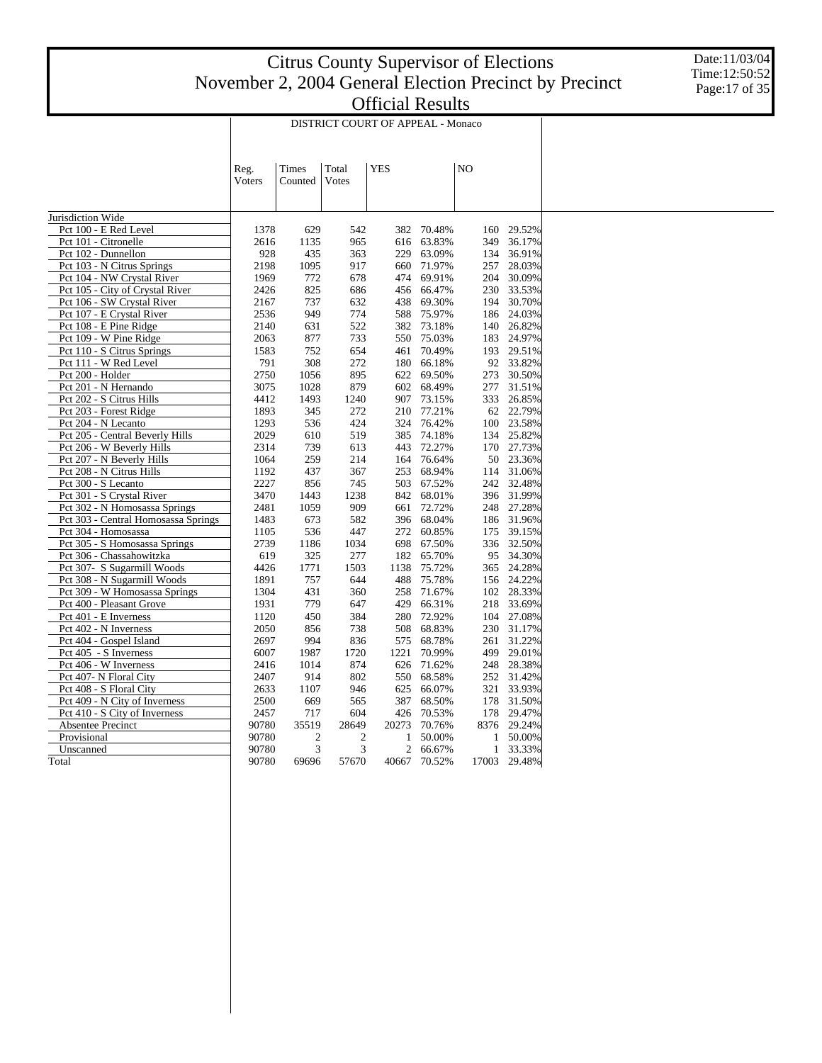Date:11/03/04 Time:12:50:52 Page:17 of 35

|                                                          |                |                  |                | DISTRICT COURT OF APPEAL - Monaco |                  |    |              |                  |
|----------------------------------------------------------|----------------|------------------|----------------|-----------------------------------|------------------|----|--------------|------------------|
|                                                          | Reg.<br>Voters | Times<br>Counted | Total<br>Votes | <b>YES</b>                        |                  | NO |              |                  |
|                                                          |                |                  |                |                                   |                  |    |              |                  |
| Jurisdiction Wide                                        |                |                  |                |                                   |                  |    |              |                  |
| Pct 100 - E Red Level                                    | 1378           | 629              | 542            | 382                               | 70.48%           |    | 160          | 29.52%           |
| Pct 101 - Citronelle                                     | 2616           | 1135             | 965            | 616                               | 63.83%           |    | 349          | 36.17%           |
| Pct 102 - Dunnellon                                      | 928<br>2198    | 435<br>1095      | 363            | 229                               | 63.09%<br>71.97% |    | 134          | 36.91%           |
| Pct 103 - N Citrus Springs<br>Pct 104 - NW Crystal River | 1969           | 772              | 917<br>678     | 660<br>474                        | 69.91%           |    | 257<br>204   | 28.03%<br>30.09% |
| Pct 105 - City of Crystal River                          | 2426           | 825              | 686            | 456                               | 66.47%           |    | 230          | 33.53%           |
| Pct 106 - SW Crystal River                               | 2167           | 737              | 632            | 438                               | 69.30%           |    | 194          | 30.70%           |
| Pct 107 - E Crystal River                                | 2536           | 949              | 774            | 588                               | 75.97%           |    | 186          | 24.03%           |
| Pct 108 - E Pine Ridge                                   | 2140           | 631              | 522            | 382                               | 73.18%           |    | 140          | 26.82%           |
| Pct 109 - W Pine Ridge                                   | 2063           | 877              | 733            | 550                               | 75.03%           |    |              | 183 24.97%       |
| Pct 110 - S Citrus Springs                               | 1583           | 752              | 654            | 461                               | 70.49%           |    |              | 193 29.51%       |
| Pct 111 - W Red Level                                    | 791            | 308              | 272            | 180                               | 66.18%           |    |              | 92 33.82%        |
| Pct 200 - Holder                                         | 2750           | 1056             | 895            | 622                               | 69.50%           |    | 273          | 30.50%           |
| Pct 201 - N Hernando                                     | 3075           | 1028             | 879            | 602                               | 68.49%           |    | 277          | 31.51%           |
| Pct 202 - S Citrus Hills                                 | 4412           | 1493             | 1240           | 907                               | 73.15%           |    |              | 333 26.85%       |
| Pct 203 - Forest Ridge                                   | 1893           | 345              | 272            | 210                               | 77.21%           |    | 62           | 22.79%           |
| Pct 204 - N Lecanto                                      | 1293           | 536              | 424            | 324                               | 76.42%           |    | 100          | 23.58%           |
| Pct 205 - Central Beverly Hills                          | 2029           | 610              | 519            | 385                               | 74.18%           |    |              | 134 25.82%       |
| Pct 206 - W Beverly Hills                                | 2314           | 739              | 613            | 443                               | 72.27%           |    | 170          | 27.73%           |
| Pct 207 - N Beverly Hills                                | 1064           | 259              | 214            | 164                               | 76.64%           |    |              | 50 23.36%        |
| Pct 208 - N Citrus Hills                                 | 1192           | 437              | 367            | 253                               | 68.94%           |    | 114          | 31.06%           |
| Pct 300 - S Lecanto                                      | 2227           | 856              | 745            | 503                               | 67.52%           |    |              | 242 32.48%       |
| Pct 301 - S Crystal River                                | 3470           | 1443             | 1238           | 842                               | 68.01%           |    |              | 396 31.99%       |
| Pct 302 - N Homosassa Springs                            | 2481           | 1059             | 909            | 661                               | 72.72%           |    |              | 248 27.28%       |
| Pct 303 - Central Homosassa Springs                      | 1483           | 673              | 582            | 396                               | 68.04%           |    |              | 186 31.96%       |
| Pct 304 - Homosassa                                      | 1105           | 536              | 447            | 272                               | 60.85%           |    | 175          | 39.15%           |
| Pct 305 - S Homosassa Springs                            | 2739           | 1186             | 1034           | 698                               | 67.50%           |    | 336          | 32.50%           |
| Pct 306 - Chassahowitzka                                 | 619            | 325              | 277            | 182                               | 65.70%           |    | 95           | 34.30%           |
| Pct 307- S Sugarmill Woods                               | 4426           | 1771             | 1503           | 1138                              | 75.72%           |    |              | 365 24.28%       |
| Pct 308 - N Sugarmill Woods                              | 1891           | 757              | 644            | 488                               | 75.78%           |    |              | 156 24.22%       |
| Pct 309 - W Homosassa Springs                            | 1304           | 431              | 360            | 258                               | 71.67%           |    |              | 102 28.33%       |
| Pct 400 - Pleasant Grove                                 | 1931           | 779              | 647            | 429                               | 66.31%           |    | 218          | 33.69%           |
| Pct 401 - E Inverness                                    | 1120           | 450              | 384            | 280                               | 72.92%           |    |              | 104 27.08%       |
| Pct 402 - N Inverness                                    | 2050           | 856              | 738            | 508                               | 68.83%           |    | 230          | 31.17%           |
| Pct 404 - Gospel Island                                  | 2697           | 994              | 836            | 575                               | 68.78%           |    | 261          | 31.22%           |
| Pct 405 - S Inverness                                    | 6007           | 1987             | 1720           | 1221                              | 70.99%           |    | 499          | 29.01%           |
| Pct 406 - W Inverness                                    | 2416           | 1014             | 874            | 626                               | 71.62%           |    |              | 248 28.38%       |
| Pct 407- N Floral City                                   | 2407           | 914              | 802            | 550                               | 68.58%           |    |              | 252 31.42%       |
| Pct 408 - S Floral City                                  | 2633           | 1107             | 946            | 625                               | 66.07%           |    | 321          | 33.93%           |
| Pct 409 - N City of Inverness                            | 2500           | 669              | 565            | 387                               | 68.50%           |    | 178          | 31.50%           |
| Pct 410 - S City of Inverness                            | 2457           | 717              | 604            | 426                               | 70.53%           |    |              | 178 29.47%       |
| Absentee Precinct                                        | 90780          | 35519            | 28649          | 20273                             | 70.76%           |    | 8376         | 29.24%           |
| Provisional                                              | 90780          | $\overline{2}$   | $\mathfrak{2}$ | 1                                 | 50.00%           |    | 1            | 50.00%           |
| Unscanned                                                | 90780          | 3                | 3              | 2                                 | 66.67%           |    | $\mathbf{1}$ | 33.33%           |
| Total                                                    | 90780          | 69696            | 57670          | 40667                             | 70.52%           |    | 17003        | 29.48%           |
|                                                          |                |                  |                |                                   |                  |    |              |                  |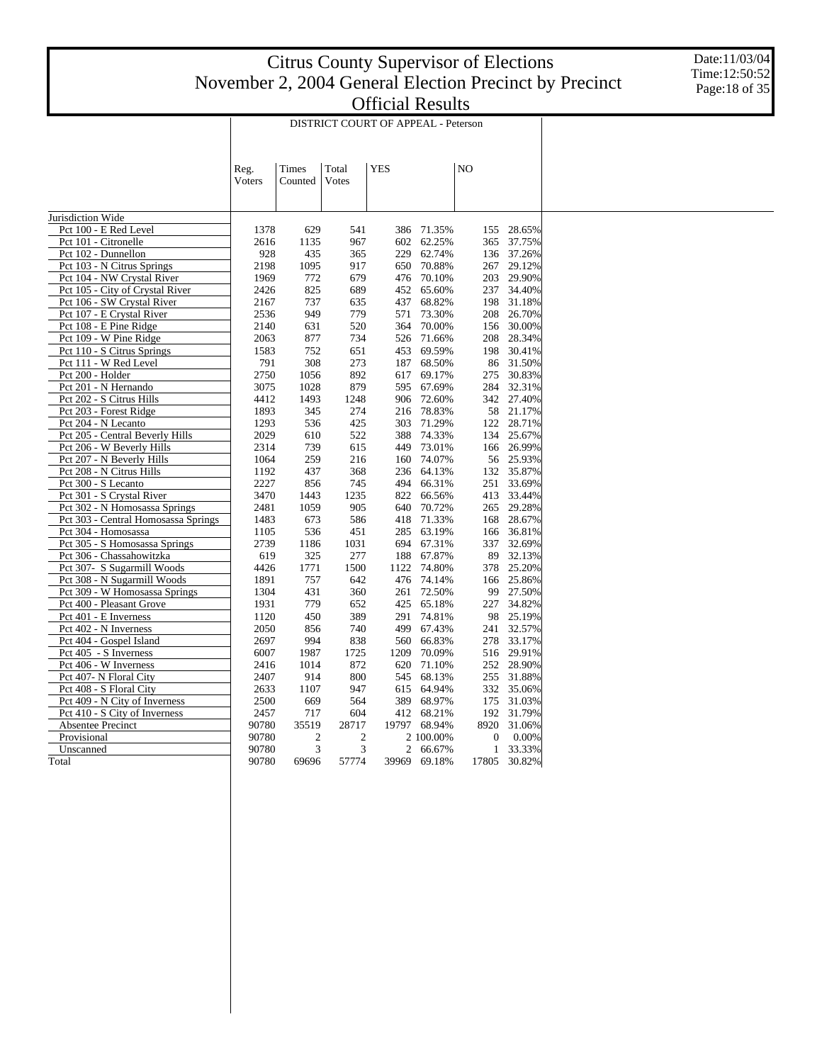Date:11/03/04 Time:12:50:52 Page:18 of 35

|                                     |        |                |       | DISTRICT COURT OF APPEAL - Peterson |            |       |                  |            |
|-------------------------------------|--------|----------------|-------|-------------------------------------|------------|-------|------------------|------------|
|                                     | Reg.   | Times          | Total | <b>YES</b>                          |            | NO    |                  |            |
|                                     | Voters | Counted        | Votes |                                     |            |       |                  |            |
| Jurisdiction Wide                   |        |                |       |                                     |            |       |                  |            |
| Pct 100 - E Red Level               | 1378   | 629            | 541   | 386                                 | 71.35%     |       | 155              | 28.65%     |
| Pct 101 - Citronelle                | 2616   | 1135           | 967   | 602                                 | 62.25%     |       | 365              | 37.75%     |
| Pct 102 - Dunnellon                 | 928    | 435            | 365   | 229                                 | 62.74%     |       | 136              | 37.26%     |
| Pct 103 - N Citrus Springs          | 2198   | 1095           | 917   | 650                                 | 70.88%     |       | 267              | 29.12%     |
| Pct 104 - NW Crystal River          | 1969   | 772            | 679   | 476                                 | 70.10%     |       |                  | 203 29.90% |
| Pct 105 - City of Crystal River     | 2426   | 825            | 689   | 452                                 | 65.60%     |       | 237              | 34.40%     |
| Pct 106 - SW Crystal River          | 2167   | 737            | 635   | 437                                 | 68.82%     |       | 198              | 31.18%     |
| Pct 107 - E Crystal River           | 2536   | 949            | 779   | 571                                 | 73.30%     |       | 208              | 26.70%     |
| Pct 108 - E Pine Ridge              | 2140   | 631            | 520   | 364                                 | 70.00%     |       | 156              | 30.00%     |
| Pct 109 - W Pine Ridge              | 2063   | 877            | 734   | 526                                 | 71.66%     |       |                  | 208 28.34% |
| Pct 110 - S Citrus Springs          | 1583   | 752            | 651   | 453                                 | 69.59%     |       | 198              | 30.41%     |
| Pct 111 - W Red Level               | 791    | 308            | 273   | 187                                 | 68.50%     |       | 86               | 31.50%     |
| Pct 200 - Holder                    | 2750   | 1056           | 892   | 617                                 | 69.17%     |       | 275              | 30.83%     |
| Pct 201 - N Hernando                | 3075   | 1028           | 879   | 595                                 | 67.69%     |       | 284              | 32.31%     |
| Pct 202 - S Citrus Hills            | 4412   | 1493           | 1248  | 906                                 | 72.60%     |       |                  | 342 27.40% |
| Pct 203 - Forest Ridge              | 1893   | 345            | 274   | 216                                 | 78.83%     |       |                  | 58 21.17%  |
| Pct 204 - N Lecanto                 | 1293   | 536            | 425   | 303                                 | 71.29%     |       |                  | 122 28.71% |
| Pct 205 - Central Beverly Hills     | 2029   | 610            | 522   | 388                                 | 74.33%     |       |                  | 134 25.67% |
| Pct 206 - W Beverly Hills           | 2314   | 739            | 615   | 449                                 | 73.01%     |       |                  | 166 26.99% |
| Pct 207 - N Beverly Hills           | 1064   | 259            | 216   | 160                                 | 74.07%     |       |                  | 56 25.93%  |
| Pct 208 - N Citrus Hills            | 1192   | 437            | 368   | 236                                 | 64.13%     |       | 132              | 35.87%     |
| Pct 300 - S Lecanto                 | 2227   | 856            | 745   | 494                                 | 66.31%     |       | 251              | 33.69%     |
| Pct 301 - S Crystal River           | 3470   | 1443           | 1235  | 822                                 | 66.56%     |       |                  | 413 33.44% |
| Pct 302 - N Homosassa Springs       | 2481   | 1059           | 905   | 640                                 | 70.72%     |       | 265              | 29.28%     |
| Pct 303 - Central Homosassa Springs | 1483   | 673            | 586   | 418                                 | 71.33%     |       | 168              | 28.67%     |
| Pct 304 - Homosassa                 | 1105   | 536            | 451   | 285                                 | 63.19%     |       | 166              | 36.81%     |
| Pct 305 - S Homosassa Springs       | 2739   | 1186           | 1031  | 694                                 | 67.31%     |       | 337              | 32.69%     |
| Pct 306 - Chassahowitzka            | 619    | 325            | 277   | 188                                 | 67.87%     |       | 89               | 32.13%     |
| Pct 307- S Sugarmill Woods          | 4426   | 1771           | 1500  | 1122                                | 74.80%     |       |                  | 378 25.20% |
| Pct 308 - N Sugarmill Woods         | 1891   | 757            | 642   | 476                                 | 74.14%     |       |                  | 166 25.86% |
| Pct 309 - W Homosassa Springs       | 1304   | 431            | 360   | 261                                 | 72.50%     |       | 99               | 27.50%     |
| Pct 400 - Pleasant Grove            | 1931   | 779            | 652   | 425                                 | 65.18%     |       | 227              | 34.82%     |
| Pct 401 - E Inverness               | 1120   | 450            | 389   | 291                                 | 74.81%     |       |                  | 98 25.19%  |
| Pct 402 - N Inverness               | 2050   | 856            | 740   | 499                                 | 67.43%     |       | 241              | 32.57%     |
| Pct 404 - Gospel Island             | 2697   | 994            | 838   | 560                                 | 66.83%     |       |                  | 278 33.17% |
| Pct 405 - S Inverness               | 6007   | 1987           | 1725  | 1209                                | 70.09%     |       |                  | 516 29.91% |
| Pct 406 - W Inverness               | 2416   | 1014           | 872   | 620                                 | 71.10%     |       |                  | 252 28.90% |
| Pct 407- N Floral City              | 2407   | 914            | 800   | 545                                 | 68.13%     |       |                  | 255 31.88% |
| Pct 408 - S Floral City             | 2633   | 1107           | 947   | 615                                 | 64.94%     |       |                  | 332 35.06% |
| Pct 409 - N City of Inverness       | 2500   | 669            | 564   | 389                                 | 68.97%     |       | 175              | 31.03%     |
| Pct 410 - S City of Inverness       | 2457   | 717            | 604   |                                     | 412 68.21% |       |                  | 192 31.79% |
| Absentee Precinct                   | 90780  | 35519          | 28717 | 19797                               | 68.94%     |       | 8920             | 31.06%     |
| Provisional                         | 90780  | $\overline{2}$ | 2     |                                     | 2 100.00%  |       | $\boldsymbol{0}$ | 0.00%      |
| Unscanned                           | 90780  | 3              | 3     | 2                                   | 66.67%     |       | $\mathbf{1}$     | 33.33%     |
| Total                               | 90780  | 69696          | 57774 | 39969                               | 69.18%     | 17805 |                  | 30.82%     |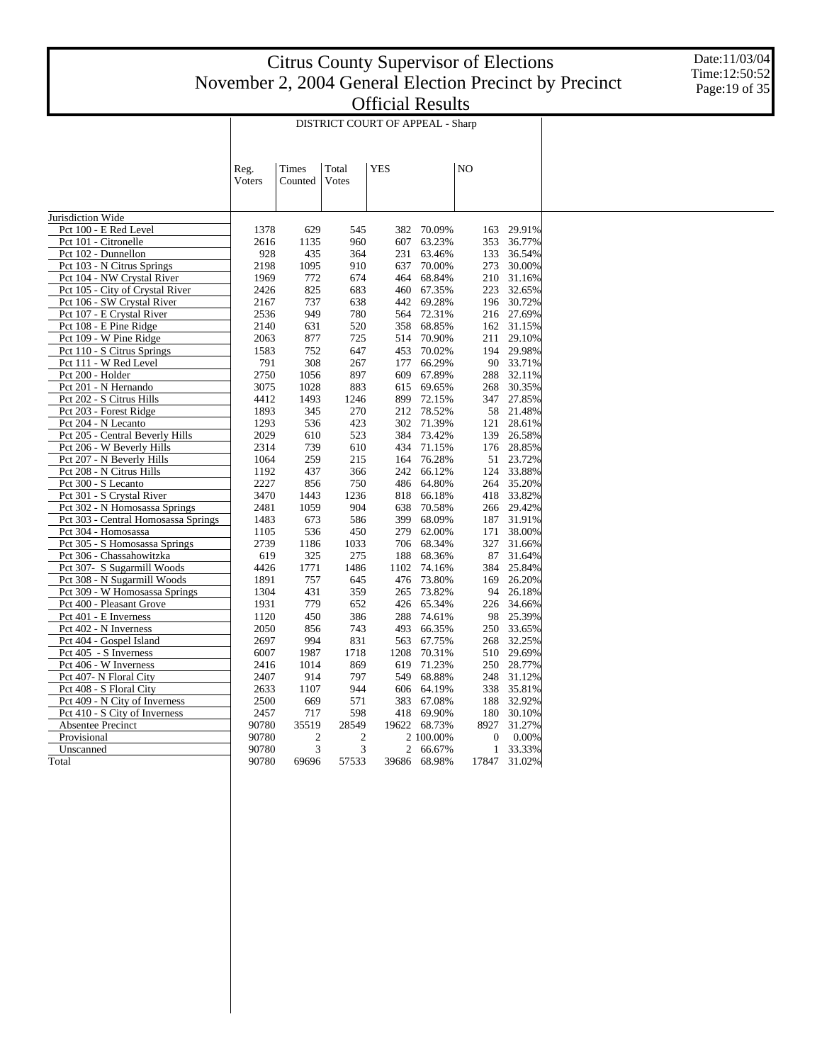Date:11/03/04 Time:12:50:52 Page:19 of 35

|                                                   | DISTRICT COURT OF APPEAL - Sharp |                         |              |            |                  |    |              |                  |  |
|---------------------------------------------------|----------------------------------|-------------------------|--------------|------------|------------------|----|--------------|------------------|--|
|                                                   |                                  |                         |              |            |                  |    |              |                  |  |
|                                                   | Reg.                             | Times                   | Total        | <b>YES</b> |                  | NO |              |                  |  |
|                                                   | Voters                           | Counted                 | Votes        |            |                  |    |              |                  |  |
|                                                   |                                  |                         |              |            |                  |    |              |                  |  |
|                                                   |                                  |                         |              |            |                  |    |              |                  |  |
| Jurisdiction Wide                                 |                                  |                         |              |            |                  |    |              |                  |  |
| Pct 100 - E Red Level                             | 1378                             | 629                     | 545          | 382        | 70.09%           |    | 163          | 29.91%           |  |
| Pct 101 - Citronelle                              | 2616<br>928                      | 1135<br>435             | 960          | 607<br>231 | 63.23%           |    | 353<br>133   | 36.77%<br>36.54% |  |
| Pct 102 - Dunnellon<br>Pct 103 - N Citrus Springs | 2198                             | 1095                    | 364<br>910   | 637        | 63.46%<br>70.00% |    | 273          | 30.00%           |  |
| Pct 104 - NW Crystal River                        | 1969                             | 772                     | 674          | 464        | 68.84%           |    | 210          | 31.16%           |  |
| Pct 105 - City of Crystal River                   | 2426                             | 825                     | 683          | 460        | 67.35%           |    | 223          | 32.65%           |  |
| Pct 106 - SW Crystal River                        | 2167                             | 737                     | 638          | 442        | 69.28%           |    | 196          | 30.72%           |  |
| Pct 107 - E Crystal River                         | 2536                             | 949                     | 780          | 564        | 72.31%           |    |              | 216 27.69%       |  |
| Pct 108 - E Pine Ridge                            | 2140                             | 631                     | 520          | 358        | 68.85%           |    |              | 162 31.15%       |  |
| Pct 109 - W Pine Ridge                            | 2063                             | 877                     | 725          | 514        | 70.90%           |    | 211          | 29.10%           |  |
| Pct 110 - S Citrus Springs                        | 1583                             | 752                     | 647          | 453        | 70.02%           |    | 194          | 29.98%           |  |
| Pct 111 - W Red Level                             | 791                              | 308                     | 267          | 177        | 66.29%           |    |              | 90 33.71%        |  |
| Pct 200 - Holder                                  | 2750                             | 1056                    | 897          | 609        | 67.89%           |    | 288          | 32.11%           |  |
| Pct 201 - N Hernando                              | 3075                             | 1028                    | 883          | 615        | 69.65%           |    | 268          | 30.35%           |  |
| Pct 202 - S Citrus Hills                          | 4412                             | 1493                    | 1246         | 899        | 72.15%           |    |              | 347 27.85%       |  |
| Pct 203 - Forest Ridge                            | 1893                             | 345                     | 270          | 212        | 78.52%           |    | 58           | 21.48%           |  |
| Pct 204 - N Lecanto                               | 1293                             | 536                     | 423          | 302        | 71.39%           |    | 121          | 28.61%           |  |
| Pct 205 - Central Beverly Hills                   | 2029                             | 610                     | 523          | 384        | 73.42%           |    | 139          | 26.58%           |  |
| Pct 206 - W Beverly Hills                         | 2314                             | 739                     | 610          | 434        | 71.15%           |    |              | 176 28.85%       |  |
| Pct 207 - N Beverly Hills                         | 1064                             | 259                     | 215          | 164        | 76.28%           |    |              | 51 23.72%        |  |
| Pct 208 - N Citrus Hills                          | 1192                             | 437                     | 366          | 242        | 66.12%           |    |              | 124 33.88%       |  |
| Pct 300 - S Lecanto                               | 2227                             | 856                     | 750          | 486        | 64.80%           |    |              | 264 35.20%       |  |
| Pct 301 - S Crystal River                         | 3470                             | 1443                    | 1236         | 818        | 66.18%           |    |              | 418 33.82%       |  |
| Pct 302 - N Homosassa Springs                     | 2481                             | 1059                    | 904          | 638        | 70.58%           |    |              | 266 29.42%       |  |
| Pct 303 - Central Homosassa Springs               | 1483                             | 673                     | 586          | 399        | 68.09%           |    |              | 187 31.91%       |  |
| Pct 304 - Homosassa                               | 1105                             | 536                     | 450          | 279        | 62.00%           |    | 171          | 38.00%           |  |
| Pct 305 - S Homosassa Springs                     | 2739                             | 1186                    | 1033         | 706        | 68.34%           |    | 327          | 31.66%           |  |
| Pct 306 - Chassahowitzka                          | 619                              | 325                     | 275          | 188        | 68.36%           |    | 87           | 31.64%           |  |
| Pct 307- S Sugarmill Woods                        | 4426                             | 1771                    | 1486         | 1102       | 74.16%           |    | 384          | 25.84%           |  |
| Pct 308 - N Sugarmill Woods                       | 1891                             | 757                     | 645          | 476        | 73.80%           |    |              | 169 26.20%       |  |
| Pct 309 - W Homosassa Springs                     | 1304                             | 431                     | 359          | 265        | 73.82%           |    | 94           | 26.18%           |  |
| Pct 400 - Pleasant Grove                          | 1931                             | 779                     | 652          | 426        | 65.34%           |    |              | 226 34.66%       |  |
| Pct 401 - E Inverness                             | 1120                             | 450                     | 386          | 288        | 74.61%           |    |              | 98 25.39%        |  |
| Pct 402 - N Inverness                             | 2050                             | 856                     | 743          | 493        | 66.35%           |    |              | 250 33.65%       |  |
| Pct 404 - Gospel Island                           | 2697                             | 994                     | 831          | 563        | 67.75%           |    | 268          | 32.25%           |  |
| Pct 405 - S Inverness                             | 6007                             | 1987                    | 1718         | 1208       | 70.31%           |    |              | 510 29.69%       |  |
| Pct 406 - W Inverness                             | 2416                             | 1014                    | 869          | 619        | 71.23%           |    |              | 250 28.77%       |  |
| Pct 407- N Floral City                            | 2407                             | 914                     | 797          | 549        | 68.88%           |    | 248          | 31.12%           |  |
| Pct 408 - S Floral City                           | 2633                             | 1107                    | 944          | 606        | 64.19%           |    | 338          | 35.81%           |  |
| Pct 409 - N City of Inverness                     | 2500                             | 669                     | 571          | 383        | 67.08%           |    | 188          | 32.92%           |  |
| Pct 410 - S City of Inverness                     | 2457                             | 717                     | 598          | 418        | 69.90%           |    | 180          | 30.10%           |  |
| Absentee Precinct                                 | 90780                            | 35519                   | 28549        | 19622      | 68.73%           |    | 8927         | 31.27%           |  |
| Provisional                                       | 90780                            | $\overline{\mathbf{c}}$ | $\mathbf{2}$ |            | 2 100.00%        |    | $\mathbf{0}$ | 0.00%            |  |
| Unscanned                                         | 90780                            | 3                       | 3            | 2          | 66.67%           |    | $\mathbf{1}$ | 33.33%           |  |
| Total                                             | 90780                            | 69696                   | 57533        | 39686      | 68.98%           |    | 17847        | 31.02%           |  |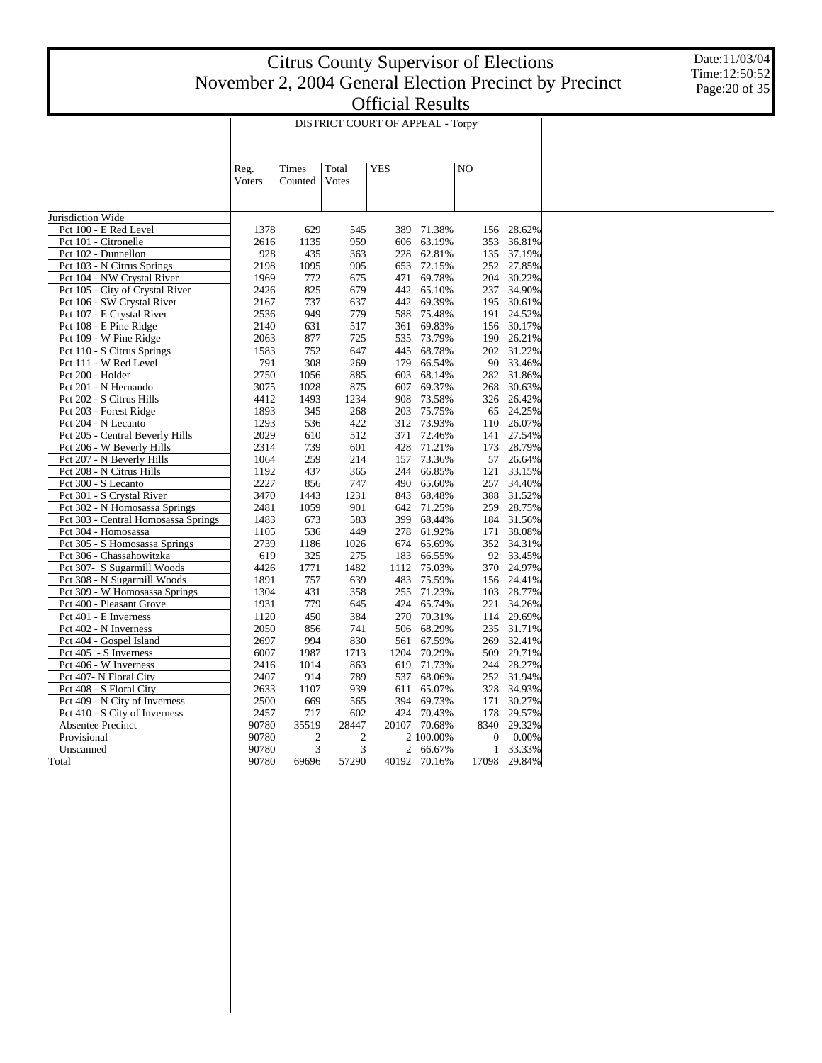Date:11/03/04 Time:12:50:52 Page:20 of 35

|                                                     |             |                |            | DISTRICT COURT OF APPEAL - Torpy |                  |    |                  |                         |
|-----------------------------------------------------|-------------|----------------|------------|----------------------------------|------------------|----|------------------|-------------------------|
|                                                     |             |                |            |                                  |                  |    |                  |                         |
|                                                     |             |                |            |                                  |                  |    |                  |                         |
|                                                     | Reg.        | Times          | Total      | <b>YES</b>                       |                  | NO |                  |                         |
|                                                     | Voters      | Counted        | Votes      |                                  |                  |    |                  |                         |
|                                                     |             |                |            |                                  |                  |    |                  |                         |
|                                                     |             |                |            |                                  |                  |    |                  |                         |
| Jurisdiction Wide                                   |             |                |            |                                  |                  |    |                  |                         |
| Pct 100 - E Red Level                               | 1378        | 629            | 545        | 389                              | 71.38%           |    | 156              | 28.62%                  |
| Pct 101 - Citronelle                                | 2616        | 1135           | 959        | 606                              | 63.19%           |    | 353              | 36.81%                  |
| Pct 102 - Dunnellon                                 | 928         | 435            | 363        | 228                              | 62.81%           |    | 135              | 37.19%                  |
| Pct 103 - N Citrus Springs                          | 2198        | 1095           | 905        | 653                              | 72.15%           |    |                  | 252 27.85%              |
| Pct 104 - NW Crystal River                          | 1969        | 772            | 675        | 471                              | 69.78%           |    | 204              | 30.22%                  |
| Pct 105 - City of Crystal River                     | 2426        | 825            | 679        | 442                              | 65.10%           |    | 237              | 34.90%                  |
| Pct 106 - SW Crystal River                          | 2167        | 737            | 637        | 442                              | 69.39%           |    | 195              | 30.61%                  |
| Pct 107 - E Crystal River                           | 2536        | 949            | 779        | 588                              | 75.48%           |    | 191              | 24.52%                  |
| Pct 108 - E Pine Ridge                              | 2140        | 631            | 517        | 361                              | 69.83%           |    | 156              | 30.17%                  |
| Pct 109 - W Pine Ridge                              | 2063        | 877            | 725        | 535                              | 73.79%           |    | 190              | 26.21%                  |
| Pct 110 - S Citrus Springs<br>Pct 111 - W Red Level | 1583<br>791 | 752<br>308     | 647<br>269 | 445<br>179                       | 68.78%<br>66.54% |    |                  | 202 31.22%<br>90 33.46% |
| Pct 200 - Holder                                    | 2750        | 1056           | 885        | 603                              | 68.14%           |    | 282              | 31.86%                  |
| Pct 201 - N Hernando                                | 3075        | 1028           | 875        | 607                              | 69.37%           |    | 268              | 30.63%                  |
| Pct 202 - S Citrus Hills                            | 4412        | 1493           | 1234       | 908                              | 73.58%           |    |                  | 326 26.42%              |
| Pct 203 - Forest Ridge                              | 1893        | 345            | 268        | 203                              | 75.75%           |    | 65               | 24.25%                  |
| Pct 204 - N Lecanto                                 | 1293        | 536            | 422        | 312                              | 73.93%           |    | 110              | 26.07%                  |
| Pct 205 - Central Beverly Hills                     | 2029        | 610            | 512        | 371                              | 72.46%           |    | 141              | 27.54%                  |
| Pct 206 - W Beverly Hills                           | 2314        | 739            | 601        | 428                              | 71.21%           |    | 173              | 28.79%                  |
| Pct 207 - N Beverly Hills                           | 1064        | 259            | 214        | 157                              | 73.36%           |    |                  | 57 26.64%               |
| Pct 208 - N Citrus Hills                            | 1192        | 437            | 365        | 244                              | 66.85%           |    | 121              | 33.15%                  |
| Pct 300 - S Lecanto                                 | 2227        | 856            | 747        | 490                              | 65.60%           |    | 257              | 34.40%                  |
| Pct 301 - S Crystal River                           | 3470        | 1443           | 1231       | 843                              | 68.48%           |    | 388              | 31.52%                  |
| Pct 302 - N Homosassa Springs                       | 2481        | 1059           | 901        | 642                              | 71.25%           |    | 259              | 28.75%                  |
| Pct 303 - Central Homosassa Springs                 | 1483        | 673            | 583        | 399                              | 68.44%           |    |                  | 184 31.56%              |
| Pct 304 - Homosassa                                 | 1105        | 536            | 449        | 278                              | 61.92%           |    | 171              | 38.08%                  |
| Pct 305 - S Homosassa Springs                       | 2739        | 1186           | 1026       | 674                              | 65.69%           |    |                  | 352 34.31%              |
| Pct 306 - Chassahowitzka                            | 619         | 325            | 275        | 183                              | 66.55%           |    |                  | 92 33.45%               |
| Pct 307- S Sugarmill Woods                          | 4426        | 1771           | 1482       | 1112                             | 75.03%           |    |                  | 370 24.97%              |
| Pct 308 - N Sugarmill Woods                         | 1891        | 757            | 639        | 483                              | 75.59%           |    |                  | 156 24.41%              |
| Pct 309 - W Homosassa Springs                       | 1304        | 431            | 358        | 255                              | 71.23%           |    | 103              | 28.77%                  |
| Pct 400 - Pleasant Grove                            | 1931        | 779            | 645        | 424                              | 65.74%           |    | 221              | 34.26%                  |
| Pct 401 - E Inverness                               | 1120        | 450            | 384        | 270                              | 70.31%           |    |                  | 114 29.69%              |
| Pct 402 - N Inverness                               | 2050        | 856            | 741        | 506                              | 68.29%           |    | 235              | 31.71%                  |
| Pct 404 - Gospel Island                             | 2697        | 994            | 830        | 561                              | 67.59%           |    | 269              | 32.41%                  |
| Pct 405 - S Inverness                               | 6007        | 1987           | 1713       | 1204                             | 70.29%           |    | 509              | 29.71%                  |
| Pct 406 - W Inverness                               | 2416        | 1014           | 863        | 619                              | 71.73%           |    |                  | 244 28.27%              |
| Pct 407- N Floral City                              | 2407        | 914            | 789        | 537                              | 68.06%           |    |                  | 252 31.94%              |
| Pct 408 - S Floral City                             | 2633        | 1107           | 939        | 611                              | 65.07%           |    | 328              | 34.93%                  |
| Pct 409 - N City of Inverness                       | 2500        | 669            | 565        | 394                              | 69.73%           |    | 171              | 30.27%                  |
| Pct 410 - S City of Inverness                       | 2457        | 717            | 602        | 424                              | 70.43%           |    | 178              | 29.57%                  |
| Absentee Precinct                                   | 90780       | 35519          | 28447      | 20107                            | 70.68%           |    | 8340             | 29.32%                  |
| Provisional                                         | 90780       | $\overline{2}$ | 2          |                                  | 2 100.00%        |    | $\boldsymbol{0}$ | 0.00%                   |
| Unscanned                                           | 90780       | 3              | 3          | 2                                | 66.67%           |    | $\mathbf{1}$     | 33.33%                  |
| Total                                               | 90780       | 69696          | 57290      |                                  | 40192 70.16%     |    | 17098            | 29.84%                  |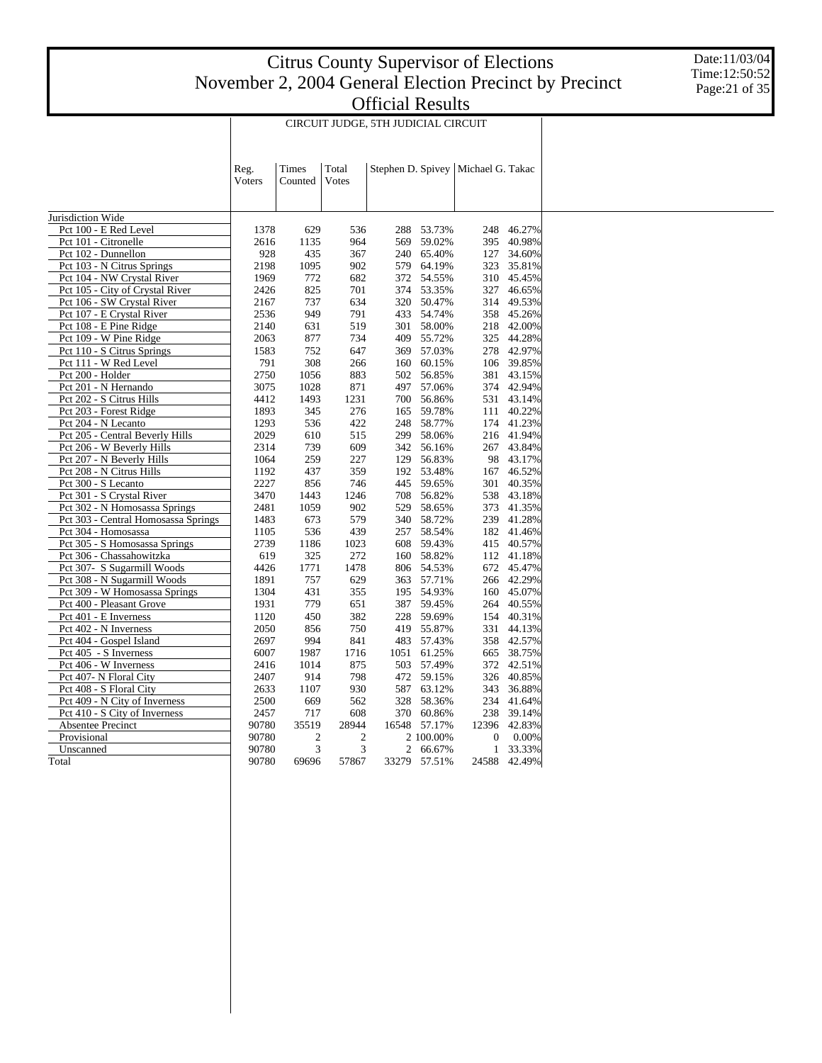Date:11/03/04 Time:12:50:52 Page:21 of 35

|                                     |                |                  |                         | CIRCUIT JUDGE, 5TH JUDICIAL CIRCUIT |              |                                      |            |
|-------------------------------------|----------------|------------------|-------------------------|-------------------------------------|--------------|--------------------------------------|------------|
|                                     | Reg.<br>Voters | Times<br>Counted | Total<br>Votes          |                                     |              | Stephen D. Spivey   Michael G. Takac |            |
| Jurisdiction Wide                   |                |                  |                         |                                     |              |                                      |            |
| Pct 100 - E Red Level               | 1378           | 629              | 536                     | 288                                 | 53.73%       | 248                                  | 46.27%     |
| Pct 101 - Citronelle                | 2616           | 1135             | 964                     | 569                                 | 59.02%       | 395                                  | 40.98%     |
| Pct 102 - Dunnellon                 | 928            | 435              | 367                     | 240                                 | 65.40%       | 127                                  | 34.60%     |
| Pct 103 - N Citrus Springs          | 2198           | 1095             | 902                     | 579                                 | 64.19%       | 323                                  | 35.81%     |
| Pct 104 - NW Crystal River          | 1969           | 772              | 682                     |                                     | 372 54.55%   | 310                                  | 45.45%     |
| Pct 105 - City of Crystal River     | 2426           | 825              | 701                     | 374                                 | 53.35%       | 327                                  | 46.65%     |
| Pct 106 - SW Crystal River          | 2167           | 737              | 634                     | 320                                 | 50.47%       | 314                                  | 49.53%     |
| Pct 107 - E Crystal River           | 2536           | 949              | 791                     | 433                                 | 54.74%       | 358                                  | 45.26%     |
| Pct 108 - E Pine Ridge              | 2140           | 631              | 519                     | 301                                 | 58.00%       | 218                                  | 42.00%     |
| Pct 109 - W Pine Ridge              | 2063           | 877              | 734                     | 409                                 | 55.72%       | 325                                  | 44.28%     |
| Pct 110 - S Citrus Springs          | 1583           | 752              | 647                     | 369                                 | 57.03%       | 278                                  | 42.97%     |
| Pct 111 - W Red Level               | 791            | 308              | 266                     | 160                                 | 60.15%       | 106                                  | 39.85%     |
| Pct 200 - Holder                    | 2750           | 1056             | 883                     | 502                                 | 56.85%       | 381                                  | 43.15%     |
| Pct 201 - N Hernando                | 3075           | 1028             | 871                     | 497                                 | 57.06%       | 374                                  | 42.94%     |
| Pct 202 - S Citrus Hills            | 4412           | 1493             | 1231                    | 700                                 | 56.86%       | 531                                  | 43.14%     |
| Pct 203 - Forest Ridge              | 1893           | 345              | 276                     | 165                                 | 59.78%       | 111                                  | 40.22%     |
| Pct 204 - N Lecanto                 | 1293           | 536              | 422                     | 248                                 | 58.77%       | 174                                  | 41.23%     |
| Pct 205 - Central Beverly Hills     | 2029           | 610              | 515                     | 299                                 | 58.06%       |                                      | 216 41.94% |
| Pct 206 - W Beverly Hills           | 2314           | 739              | 609                     |                                     | 342 56.16%   | 267                                  | 43.84%     |
| Pct 207 - N Beverly Hills           | 1064           | 259              | 227                     | 129                                 | 56.83%       | 98                                   | 43.17%     |
| Pct 208 - N Citrus Hills            | 1192           | 437              | 359                     | 192                                 | 53.48%       | 167                                  | 46.52%     |
| Pct 300 - S Lecanto                 | 2227           | 856              | 746                     | 445                                 | 59.65%       | 301                                  | 40.35%     |
| Pct 301 - S Crystal River           | 3470           | 1443             | 1246                    | 708                                 | 56.82%       | 538                                  | 43.18%     |
| Pct 302 - N Homosassa Springs       | 2481           | 1059             | 902                     | 529                                 | 58.65%       | 373                                  | 41.35%     |
| Pct 303 - Central Homosassa Springs | 1483           | 673              | 579                     | 340                                 | 58.72%       | 239                                  | 41.28%     |
| Pct 304 - Homosassa                 | 1105           | 536              | 439                     | 257                                 | 58.54%       | 182                                  | 41.46%     |
| Pct 305 - S Homosassa Springs       | 2739           | 1186             | 1023                    | 608                                 | 59.43%       | 415                                  | 40.57%     |
| Pct 306 - Chassahowitzka            | 619            | 325              | 272                     | 160                                 | 58.82%       |                                      | 112 41.18% |
| Pct 307- S Sugarmill Woods          | 4426           | 1771             | 1478                    | 806                                 | 54.53%       | 672                                  | 45.47%     |
| Pct 308 - N Sugarmill Woods         | 1891           | 757              | 629                     | 363                                 | 57.71%       | 266                                  | 42.29%     |
| Pct 309 - W Homosassa Springs       | 1304           | 431              | 355                     | 195                                 | 54.93%       | 160                                  | 45.07%     |
| Pct 400 - Pleasant Grove            | 1931           | 779              | 651                     | 387                                 | 59.45%       | 264                                  | 40.55%     |
| Pct 401 - E Inverness               | 1120           | 450              | 382                     |                                     | 228 59.69%   | 154                                  | 40.31%     |
| Pct 402 - N Inverness               | 2050           | 856              | 750                     | 419                                 | 55.87%       | 331                                  | 44.13%     |
| Pct 404 - Gospel Island             | 2697           | 994              | 841                     | 483                                 | 57.43%       | 358                                  | 42.57%     |
| Pct 405 - S Inverness               | 6007           | 1987             | 1716                    | 1051                                | 61.25%       | 665                                  | 38.75%     |
| Pct 406 - W Inverness               | 2416           | 1014             | 875                     | 503                                 | 57.49%       | 372                                  | 42.51%     |
| Pct 407- N Floral City              | 2407           | 914              | 798                     |                                     | 472 59.15%   | 326                                  | 40.85%     |
| Pct 408 - S Floral City             | 2633           | 1107             | 930                     | 587                                 | 63.12%       | 343                                  | 36.88%     |
| Pct 409 - N City of Inverness       | 2500           | 669              | 562                     | 328                                 | 58.36%       | 234                                  | 41.64%     |
| Pct 410 - S City of Inverness       | 2457           | 717              | 608                     | 370                                 | 60.86%       | 238                                  | 39.14%     |
| Absentee Precinct                   | 90780          | 35519            | 28944                   | 16548                               | 57.17%       | 12396                                | 42.83%     |
| Provisional                         | 90780          | $\boldsymbol{2}$ | $\overline{\mathbf{c}}$ |                                     | 2 100.00%    | $\boldsymbol{0}$                     | 0.00%      |
| Unscanned                           | 90780          | 3                | 3                       | $\overline{c}$                      | 66.67%       | 1                                    | 33.33%     |
| Total                               | 90780          | 69696            | 57867                   |                                     | 33279 57.51% | 24588                                | 42.49%     |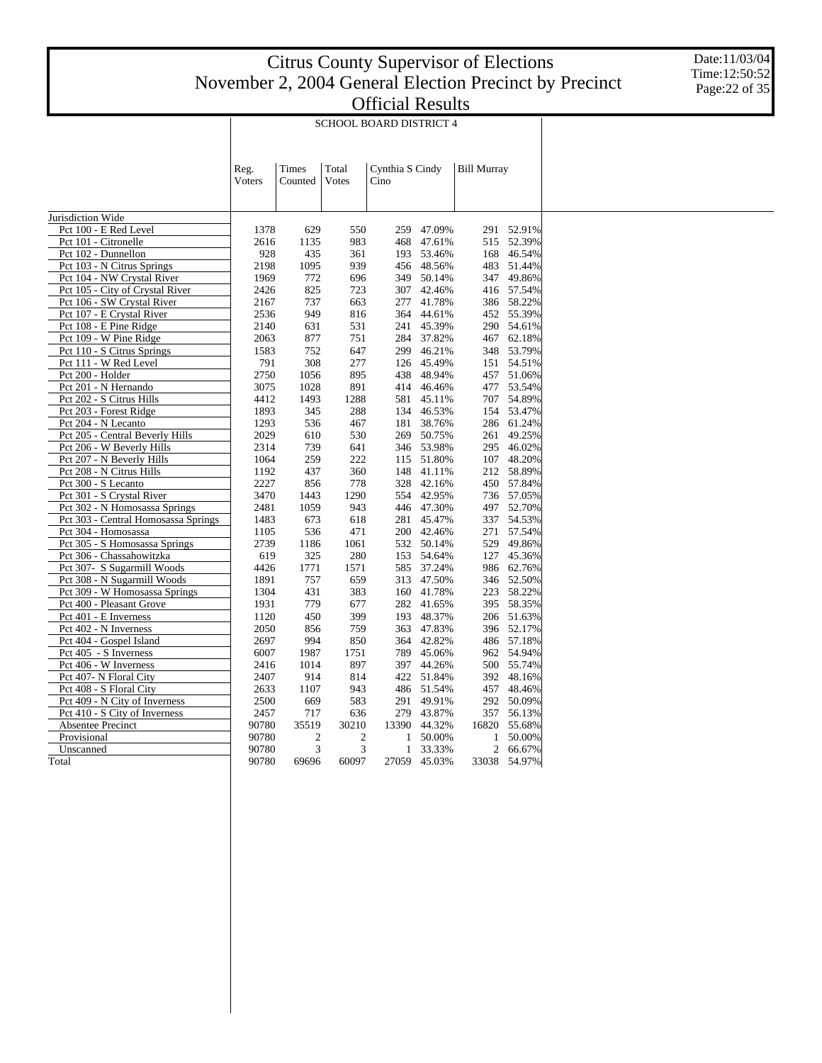T

Date:11/03/04 Time:12:50:52 Page:22 of 35

| <b>SCHOOL BOARD DISTRICT 4</b> |  |
|--------------------------------|--|

|                                                   |        |                | SCHOOL BOARD DISTRICT 4 |                 |                      |                    |                  |  |
|---------------------------------------------------|--------|----------------|-------------------------|-----------------|----------------------|--------------------|------------------|--|
|                                                   |        |                |                         |                 |                      |                    |                  |  |
|                                                   |        |                |                         |                 |                      |                    |                  |  |
|                                                   |        |                |                         |                 |                      |                    |                  |  |
|                                                   | Reg.   | Times          | Total                   | Cynthia S Cindy |                      | <b>Bill Murray</b> |                  |  |
|                                                   | Voters | Counted        | Votes                   | Cino            |                      |                    |                  |  |
|                                                   |        |                |                         |                 |                      |                    |                  |  |
|                                                   |        |                |                         |                 |                      |                    |                  |  |
| Jurisdiction Wide                                 |        |                |                         |                 |                      |                    |                  |  |
| Pct 100 - E Red Level                             | 1378   | 629            | 550                     | 259             | 47.09%               | 291                | 52.91%           |  |
| Pct 101 - Citronelle                              | 2616   | 1135           | 983                     | 468             | 47.61%               | 515                | 52.39%           |  |
| Pct 102 - Dunnellon                               | 928    | 435            | 361                     | 193             | 53.46%               | 168                | 46.54%           |  |
| Pct 103 - N Citrus Springs                        | 2198   | 1095           | 939                     |                 | 456 48.56%           | 483                | 51.44%           |  |
| Pct 104 - NW Crystal River                        | 1969   | 772            | 696                     | 349             | 50.14%               | 347                | 49.86%           |  |
| Pct 105 - City of Crystal River                   | 2426   | 825            | 723                     | 307             | 42.46%               | 416                | 57.54%           |  |
| Pct 106 - SW Crystal River                        | 2167   | 737            | 663                     | 277             | 41.78%               | 386                | 58.22%           |  |
| Pct 107 - E Crystal River                         | 2536   | 949            | 816                     | 364             | 44.61%               | 452                | 55.39%           |  |
| Pct 108 - E Pine Ridge                            | 2140   | 631            | 531                     | 241             | 45.39%               | 290                | 54.61%           |  |
| Pct 109 - W Pine Ridge                            | 2063   | 877            | 751                     | 284             | 37.82%               | 467                | 62.18%           |  |
| Pct 110 - S Citrus Springs                        | 1583   | 752            | 647                     | 299             | 46.21%               | 348                | 53.79%           |  |
| Pct 111 - W Red Level                             | 791    | 308            | 277                     | 126             | 45.49%               | 151                | 54.51%           |  |
| Pct 200 - Holder                                  | 2750   | 1056           | 895                     | 438             | 48.94%               | 457                | 51.06%           |  |
| Pct 201 - N Hernando                              | 3075   | 1028           | 891                     | 414             | 46.46%               | 477                | 53.54%           |  |
| Pct 202 - S Citrus Hills                          | 4412   | 1493           | 1288                    | 581             | 45.11%               | 707                | 54.89%           |  |
| Pct 203 - Forest Ridge                            | 1893   | 345            | 288                     | 134             | 46.53%               | 154                | 53.47%           |  |
| Pct 204 - N Lecanto                               | 1293   | 536            | 467                     | 181             | 38.76%               |                    | 286 61.24%       |  |
| Pct 205 - Central Beverly Hills                   | 2029   | 610            | 530                     | 269             | 50.75%               | 261                | 49.25%           |  |
| Pct 206 - W Beverly Hills                         | 2314   | 739            | 641                     | 346             | 53.98%               | 295                | 46.02%           |  |
| Pct 207 - N Beverly Hills                         | 1064   | 259            | 222                     | 115             | 51.80%               | 107                | 48.20%           |  |
| Pct 208 - N Citrus Hills                          | 1192   | 437            | 360                     | 148             | 41.11%               | 212                | 58.89%           |  |
| Pct 300 - S Lecanto                               | 2227   | 856            | 778                     | 328             | 42.16%               | 450                | 57.84%           |  |
| Pct 301 - S Crystal River                         | 3470   | 1443           | 1290                    | 554             | 42.95%               | 736                | 57.05%           |  |
| Pct 302 - N Homosassa Springs                     | 2481   | 1059           | 943                     | 446             | 47.30%               | 497                | 52.70%           |  |
| Pct 303 - Central Homosassa Springs               | 1483   | 673            | 618                     | 281             | 45.47%               |                    | 337 54.53%       |  |
| Pct 304 - Homosassa                               | 1105   | 536            | 471                     | 200             | 42.46%               | 271                | 57.54%           |  |
| Pct 305 - S Homosassa Springs                     | 2739   | 1186           | 1061                    | 532             | 50.14%               | 529                | 49.86%           |  |
| Pct 306 - Chassahowitzka                          | 619    | 325            | 280                     | 153             | 54.64%               | 127                | 45.36%           |  |
| Pct 307- S Sugarmill Woods                        | 4426   | 1771           | 1571                    | 585             | 37.24%               | 986                | 62.76%           |  |
| Pct 308 - N Sugarmill Woods                       | 1891   | 757            | 659                     | 313             | 47.50%               | 346                | 52.50%           |  |
| Pct 309 - W Homosassa Springs                     | 1304   | 431            | 383                     | 160             | 41.78%               | 223                | 58.22%           |  |
| Pct 400 - Pleasant Grove                          | 1931   | 779            | 677                     | 282             | 41.65%               | 395                | 58.35%           |  |
| Pct 401 - E Inverness                             | 1120   | 450            | 399                     | 193             | 48.37%               | 206                | 51.63%           |  |
| Pct 402 - N Inverness                             | 2050   | 856            | 759                     | 363             | 47.83%               | 396                | 52.17%           |  |
| Pct 404 - Gospel Island                           | 2697   | 994            | 850                     | 364             | 42.82%               | 486                | 57.18%           |  |
| Pct 405 - S Inverness                             | 6007   | 1987           | 1751                    | 789             | 45.06%               | 962                | 54.94%           |  |
| Pct 406 - W Inverness                             | 2416   | 1014           | 897                     | 397             | 44.26%               | 500                | 55.74%           |  |
|                                                   | 2407   | 914            | 814                     |                 |                      | 392                |                  |  |
| Pct 407- N Floral City<br>Pct 408 - S Floral City | 2633   | 1107           | 943                     | 486             | 422 51.84%<br>51.54% | 457                | 48.16%<br>48.46% |  |
|                                                   |        |                | 583                     |                 |                      | 292                | 50.09%           |  |
| Pct 409 - N City of Inverness                     | 2500   | 669            |                         | 291             | 49.91%               |                    |                  |  |
| Pct 410 - S City of Inverness                     | 2457   | 717            | 636                     |                 | 279 43.87%           | 357                | 56.13%           |  |
| Absentee Precinct                                 | 90780  | 35519          | 30210                   | 13390           | 44.32%               | 16820              | 55.68%           |  |
| Provisional                                       | 90780  | $\mathfrak{2}$ | $\overline{c}$          | 1               | 50.00%               | $\mathbf{1}$       | 50.00%           |  |
| Unscanned                                         | 90780  | 3              | 3                       | $\mathbf{1}$    | 33.33%               |                    | 2 66.67%         |  |
| Total                                             | 90780  | 69696          | 60097                   |                 | 27059 45.03%         |                    | 33038 54.97%     |  |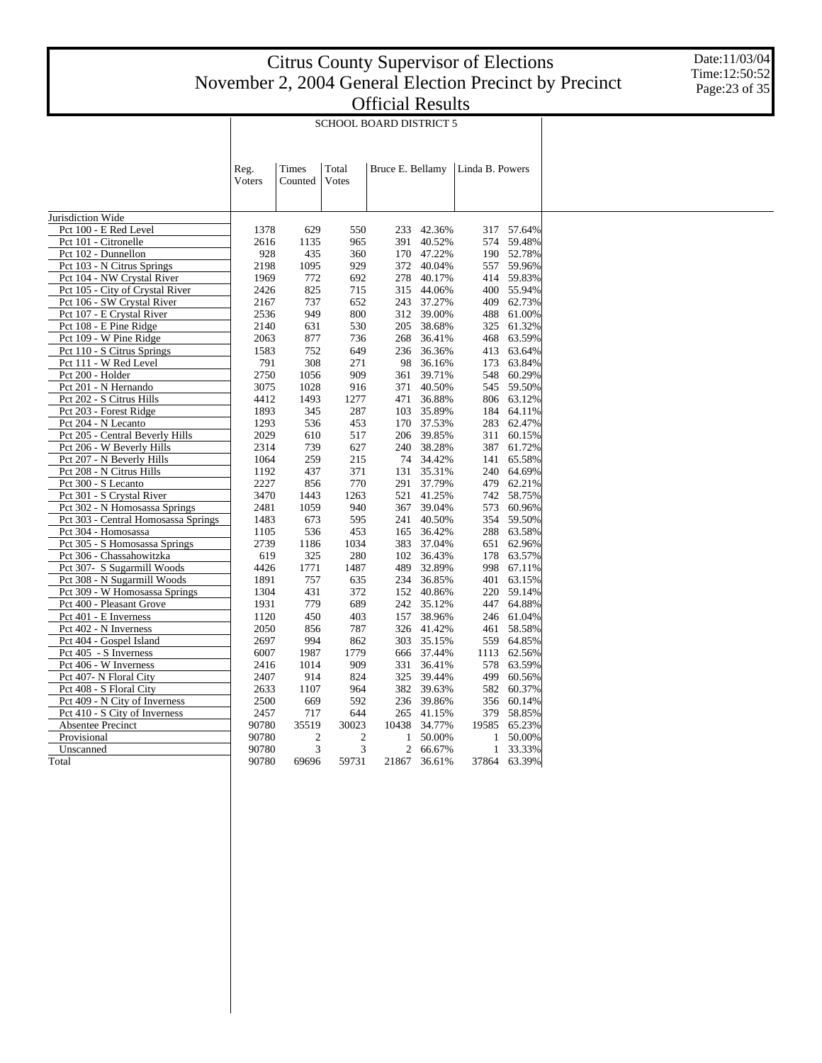Τ

Date:11/03/04 Time:12:50:52 Page:23 of 35

| <b>UHRAN INSUIN</b>            |  |
|--------------------------------|--|
| <b>SCHOOL BOARD DISTRICT 5</b> |  |

Τ

|                                     | Reg.<br>Voters | Times<br>Counted | Total<br>Votes | Bruce E. Bellamy |        | Linda B. Powers |            |
|-------------------------------------|----------------|------------------|----------------|------------------|--------|-----------------|------------|
|                                     |                |                  |                |                  |        |                 |            |
|                                     |                |                  |                |                  |        |                 |            |
| Jurisdiction Wide                   |                |                  |                |                  |        |                 |            |
| Pct 100 - E Red Level               | 1378           | 629              | 550            | 233              | 42.36% |                 | 317 57.64% |
| Pct 101 - Citronelle                | 2616           | 1135             | 965            | 391              | 40.52% | 574             | 59.48%     |
| Pct 102 - Dunnellon                 | 928            | 435              | 360            | 170              | 47.22% |                 | 190 52.78% |
| Pct 103 - N Citrus Springs          | 2198           | 1095             | 929            | 372              | 40.04% | 557             | 59.96%     |
| Pct 104 - NW Crystal River          | 1969           | 772              | 692            | 278              | 40.17% | 414             | 59.83%     |
| Pct 105 - City of Crystal River     | 2426           | 825              | 715            | 315              | 44.06% |                 | 400 55.94% |
| Pct 106 - SW Crystal River          | 2167           | 737              | 652            | 243              | 37.27% | 409             | 62.73%     |
| Pct 107 - E Crystal River           | 2536           | 949              | 800            | 312              | 39.00% | 488             | 61.00%     |
| Pct 108 - E Pine Ridge              | 2140           | 631              | 530            | 205              | 38.68% | 325             | 61.32%     |
| Pct 109 - W Pine Ridge              | 2063           | 877              | 736            | 268              | 36.41% | 468             | 63.59%     |
| Pct 110 - S Citrus Springs          | 1583           | 752              | 649            | 236              | 36.36% | 413             | 63.64%     |
| Pct 111 - W Red Level               | 791            | 308              | 271            | 98               | 36.16% | 173             | 63.84%     |
| Pct 200 - Holder                    | 2750           | 1056             | 909            | 361              | 39.71% | 548             | 60.29%     |
| Pct 201 - N Hernando                | 3075           | 1028             | 916            | 371              | 40.50% | 545             | 59.50%     |
| Pct 202 - S Citrus Hills            | 4412           | 1493             | 1277           | 471              | 36.88% |                 | 806 63.12% |
| Pct 203 - Forest Ridge              | 1893           | 345              | 287            | 103              | 35.89% | 184             | 64.11%     |
| Pct 204 - N Lecanto                 | 1293           | 536              | 453            | 170              | 37.53% | 283             | 62.47%     |
| Pct 205 - Central Beverly Hills     | 2029           | 610              | 517            | 206              | 39.85% | 311             | 60.15%     |
| Pct 206 - W Beverly Hills           | 2314           | 739              | 627            | 240              | 38.28% | 387             | 61.72%     |
| Pct 207 - N Beverly Hills           | 1064           | 259              | 215            | 74               | 34.42% |                 | 141 65.58% |
| Pct 208 - N Citrus Hills            | 1192           | 437              | 371            | 131              | 35.31% | 240             | 64.69%     |
| Pct 300 - S Lecanto                 | 2227           | 856              | 770            | 291              | 37.79% | 479             | 62.21%     |
| Pct 301 - S Crystal River           | 3470           | 1443             | 1263           | 521              | 41.25% |                 | 742 58.75% |
| Pct 302 - N Homosassa Springs       | 2481           | 1059             | 940            | 367              | 39.04% | 573             | 60.96%     |
| Pct 303 - Central Homosassa Springs | 1483           | 673              | 595            | 241              | 40.50% | 354             | 59.50%     |
| Pct 304 - Homosassa                 | 1105           | 536              | 453            | 165              | 36.42% | 288             | 63.58%     |
| Pct 305 - S Homosassa Springs       | 2739           | 1186             | 1034           | 383              | 37.04% |                 | 651 62.96% |
| Pct 306 - Chassahowitzka            | 619            | 325              | 280            | 102              | 36.43% | 178             | 63.57%     |
| Pct 307- S Sugarmill Woods          | 4426           | 1771             | 1487           | 489              | 32.89% | 998             | 67.11%     |
| Pct 308 - N Sugarmill Woods         | 1891           | 757              | 635            | 234              | 36.85% | 401             | 63.15%     |
| Pct 309 - W Homosassa Springs       | 1304           | 431              | 372            | 152              | 40.86% | 220             | 59.14%     |
| Pct 400 - Pleasant Grove            | 1931           | 779              | 689            | 242              | 35.12% |                 | 447 64.88% |
| Pct 401 - E Inverness               | 1120           | 450              | 403            | 157              | 38.96% | 246             | 61.04%     |
| Pct 402 - N Inverness               | 2050           | 856              | 787            | 326              | 41.42% | 461             | 58.58%     |
| Pct 404 - Gospel Island             | 2697           | 994              | 862            | 303              | 35.15% | 559             | 64.85%     |
| Pct 405 - S Inverness               | 6007           | 1987             | 1779           | 666              | 37.44% | 1113            | 62.56%     |
| Pct 406 - W Inverness               | 2416           | 1014             | 909            | 331              | 36.41% | 578             | 63.59%     |
| Pct 407- N Floral City              | 2407           | 914              | 824            | 325              | 39.44% | 499             | 60.56%     |
| Pct 408 - S Floral City             | 2633           | 1107             | 964            | 382              | 39.63% | 582             | 60.37%     |
| Pct 409 - N City of Inverness       | 2500           | 669              | 592            | 236              | 39.86% | 356             | 60.14%     |
| Pct 410 - S City of Inverness       | 2457           | 717              | 644            | 265              | 41.15% | 379             | 58.85%     |
| Absentee Precinct                   | 90780          | 35519            | 30023          | 10438            | 34.77% | 19585           | 65.23%     |
| Provisional                         | 90780          | $\overline{2}$   | $\mathfrak{2}$ | $\mathbf{1}$     | 50.00% | $\mathbf{1}$    | 50.00%     |
| Unscanned                           | 90780          | 3                | 3              | $\overline{c}$   | 66.67% | $\mathbf{1}$    | 33.33%     |
| Total                               | 90780          | 69696            | 59731          | 21867            | 36.61% | 37864           | 63.39%     |
|                                     |                |                  |                |                  |        |                 |            |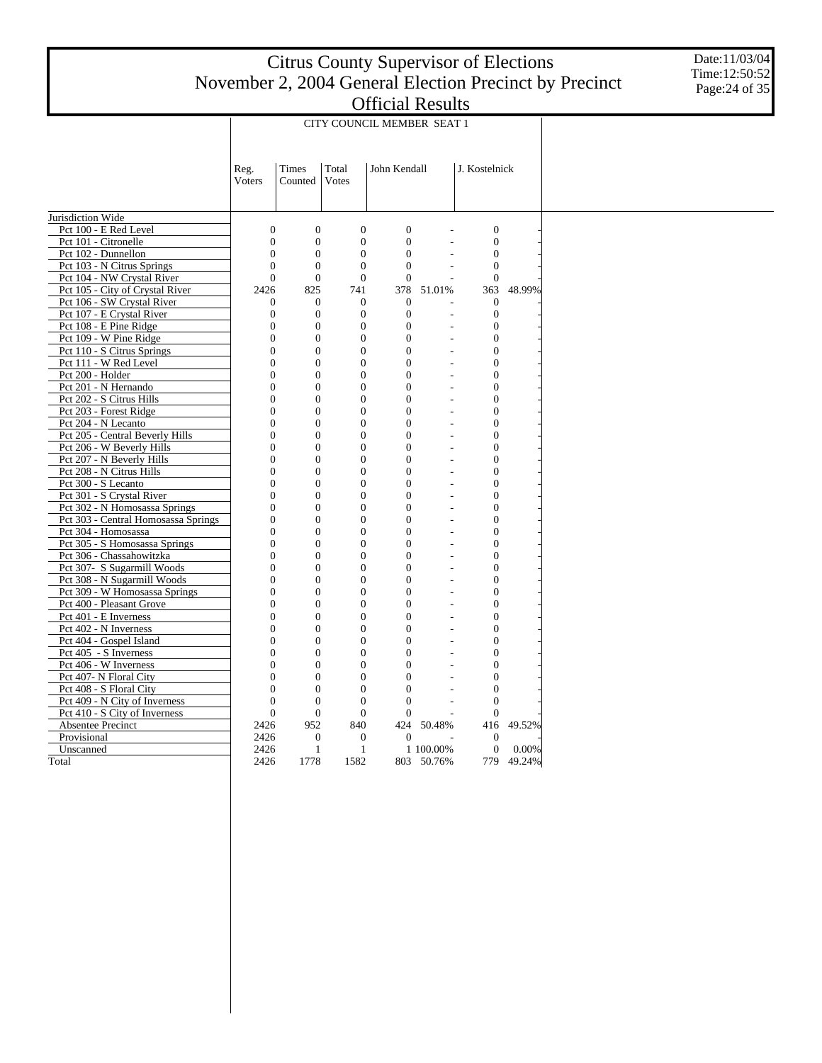Date:11/03/04 Time:12:50:52 Page:24 of 35

|                                                           | CITY COUNCIL MEMBER SEAT 1         |                                |                                    |                            |                |                                      |        |  |  |  |  |
|-----------------------------------------------------------|------------------------------------|--------------------------------|------------------------------------|----------------------------|----------------|--------------------------------------|--------|--|--|--|--|
|                                                           |                                    |                                |                                    |                            |                |                                      |        |  |  |  |  |
|                                                           | Reg.                               | Times                          | Total                              | John Kendall               |                | J. Kostelnick                        |        |  |  |  |  |
|                                                           | Voters                             | Counted                        | Votes                              |                            |                |                                      |        |  |  |  |  |
|                                                           |                                    |                                |                                    |                            |                |                                      |        |  |  |  |  |
| Jurisdiction Wide                                         |                                    |                                |                                    |                            |                |                                      |        |  |  |  |  |
| Pct 100 - E Red Level                                     | $\overline{0}$                     | $\overline{0}$                 | $\overline{0}$                     | $\theta$                   |                | $\boldsymbol{0}$                     |        |  |  |  |  |
| Pct 101 - Citronelle                                      | $\overline{0}$                     | $\mathbf{0}$                   | $\boldsymbol{0}$                   | $\mathbf{0}$               |                | $\boldsymbol{0}$                     |        |  |  |  |  |
| Pct 102 - Dunnellon                                       | 0                                  | $\mathbf{0}$                   | $\mathbf{0}$                       | $\overline{0}$             |                | $\mathbf{0}$                         |        |  |  |  |  |
| Pct 103 - N Citrus Springs                                | $\theta$                           | $\boldsymbol{0}$               | $\mathbf{0}$                       | $\Omega$                   |                | $\boldsymbol{0}$                     |        |  |  |  |  |
| Pct 104 - NW Crystal River                                | $\theta$                           | $\overline{0}$                 | $\overline{0}$                     | $\Omega$                   |                | $\theta$                             |        |  |  |  |  |
| Pct 105 - City of Crystal River                           | 2426                               | 825                            | 741                                | 378                        | 51.01%         | 363                                  | 48.99% |  |  |  |  |
| Pct 106 - SW Crystal River                                | 0                                  | $\mathbf{0}$                   | $\boldsymbol{0}$                   | $\boldsymbol{0}$           |                | $\boldsymbol{0}$                     |        |  |  |  |  |
| Pct 107 - E Crystal River                                 | 0                                  | $\mathbf{0}$                   | $\overline{0}$                     | $\mathbf{0}$               |                | $\mathbf{0}$                         |        |  |  |  |  |
| Pct 108 - E Pine Ridge                                    | $\boldsymbol{0}$<br>$\overline{0}$ | $\mathbf{0}$<br>$\overline{0}$ | $\mathbf{0}$<br>$\overline{0}$     | $\overline{0}$<br>$\theta$ |                | $\boldsymbol{0}$<br>$\overline{0}$   |        |  |  |  |  |
| Pct 109 - W Pine Ridge<br>Pct 110 - S Citrus Springs      | $\overline{0}$                     | $\mathbf{0}$                   | $\overline{0}$                     | $\overline{0}$             |                | $\boldsymbol{0}$                     |        |  |  |  |  |
| Pct 111 - W Red Level                                     | $\overline{0}$                     | $\mathbf{0}$                   | $\overline{0}$                     | $\overline{0}$             |                | $\overline{0}$                       |        |  |  |  |  |
| Pct 200 - Holder                                          | $\overline{0}$                     | $\overline{0}$                 | $\overline{0}$                     | $\overline{0}$             |                | $\boldsymbol{0}$                     |        |  |  |  |  |
| Pct 201 - N Hernando                                      | $\overline{0}$                     | $\mathbf{0}$                   | $\overline{0}$                     | $\overline{0}$             |                | $\boldsymbol{0}$                     |        |  |  |  |  |
| Pct 202 - S Citrus Hills                                  | $\overline{0}$                     | $\mathbf{0}$                   | $\overline{0}$                     | $\overline{0}$             | $\overline{a}$ | $\overline{0}$                       |        |  |  |  |  |
| Pct 203 - Forest Ridge                                    | $\overline{0}$                     | $\mathbf{0}$                   | $\overline{0}$                     | $\overline{0}$             |                | $\overline{0}$                       |        |  |  |  |  |
| Pct 204 - N Lecanto                                       | $\overline{0}$                     | $\mathbf{0}$                   | $\overline{0}$                     | $\overline{0}$             |                | $\boldsymbol{0}$                     |        |  |  |  |  |
| Pct 205 - Central Beverly Hills                           | $\overline{0}$                     | $\overline{0}$                 | $\overline{0}$                     | $\theta$                   | L,             | $\overline{0}$                       |        |  |  |  |  |
| Pct 206 - W Beverly Hills                                 | $\overline{0}$                     | $\overline{0}$                 | $\overline{0}$                     | $\overline{0}$             |                | $\mathbf{0}$                         |        |  |  |  |  |
| Pct 207 - N Beverly Hills                                 | $\boldsymbol{0}$                   | $\mathbf{0}$                   | $\mathbf{0}$                       | $\boldsymbol{0}$           | ä,             | $\boldsymbol{0}$                     |        |  |  |  |  |
| Pct 208 - N Citrus Hills                                  | $\theta$                           | $\overline{0}$                 | $\overline{0}$                     | $\overline{0}$             |                | $\overline{0}$                       |        |  |  |  |  |
| Pct 300 - S Lecanto                                       | $\overline{0}$                     | $\mathbf{0}$                   | $\overline{0}$                     | $\overline{0}$             |                | $\boldsymbol{0}$                     |        |  |  |  |  |
| Pct 301 - S Crystal River                                 | $\overline{0}$                     | $\overline{0}$                 | $\overline{0}$                     | $\theta$                   | L              | $\overline{0}$                       |        |  |  |  |  |
| Pct 302 - N Homosassa Springs                             | $\overline{0}$                     | $\mathbf{0}$                   | $\mathbf{0}$                       | 0                          | L.             | $\boldsymbol{0}$                     |        |  |  |  |  |
| Pct 303 - Central Homosassa Springs                       | $\overline{0}$                     | $\mathbf{0}$                   | $\mathbf{0}$                       | $\overline{0}$             |                | $\boldsymbol{0}$                     |        |  |  |  |  |
| Pct 304 - Homosassa                                       | $\theta$                           | $\overline{0}$                 | $\overline{0}$                     | $\overline{0}$             |                | $\overline{0}$                       |        |  |  |  |  |
| Pct 305 - S Homosassa Springs                             | $\overline{0}$                     | $\overline{0}$                 | $\overline{0}$                     | $\theta$                   |                | $\overline{0}$                       |        |  |  |  |  |
| Pct 306 - Chassahowitzka                                  | $\overline{0}$                     | $\overline{0}$                 | $\overline{0}$                     | $\overline{0}$             | $\overline{a}$ | $\overline{0}$                       |        |  |  |  |  |
| Pct 307- S Sugarmill Woods<br>Pct 308 - N Sugarmill Woods | $\overline{0}$<br>$\overline{0}$   | $\mathbf{0}$<br>$\mathbf{0}$   | $\overline{0}$<br>$\boldsymbol{0}$ | 0<br>$\overline{0}$        | $\overline{a}$ | $\boldsymbol{0}$<br>$\boldsymbol{0}$ |        |  |  |  |  |
| Pct 309 - W Homosassa Springs                             | $\theta$                           | $\overline{0}$                 | $\theta$                           | $\theta$                   |                | $\overline{0}$                       |        |  |  |  |  |
| Pct 400 - Pleasant Grove                                  | $\theta$                           | $\overline{0}$                 | $\overline{0}$                     | $\theta$                   |                | $\overline{0}$                       |        |  |  |  |  |
| Pct 401 - E Inverness                                     | $\overline{0}$                     | $\mathbf{0}$                   | $\mathbf{0}$                       | 0                          | L,             | $\boldsymbol{0}$                     |        |  |  |  |  |
| Pct 402 - N Inverness                                     | $\overline{0}$                     | $\overline{0}$                 | $\overline{0}$                     | $\overline{0}$             |                | $\overline{0}$                       |        |  |  |  |  |
| Pct 404 - Gospel Island                                   | $\overline{0}$                     | $\mathbf{0}$                   | $\overline{0}$                     | $\overline{0}$             |                | $\boldsymbol{0}$                     |        |  |  |  |  |
| Pct 405 - S Inverness                                     | $\theta$                           | $\theta$                       | $\theta$                           | $\theta$                   |                | $\boldsymbol{0}$                     |        |  |  |  |  |
| Pct 406 - W Inverness                                     | $\overline{0}$                     | $\mathbf{0}$                   | $\overline{0}$                     | $\overline{0}$             |                | $\mathbf{0}$                         |        |  |  |  |  |
| Pct 407- N Floral City                                    | $\overline{0}$                     | $\mathbf{0}$                   | $\overline{0}$                     | 0                          |                | $\overline{0}$                       |        |  |  |  |  |
| Pct 408 - S Floral City                                   | $\overline{0}$                     | $\overline{0}$                 | $\overline{0}$                     | 0                          |                | $\overline{0}$                       |        |  |  |  |  |
| Pct 409 - N City of Inverness                             | $\mathbf{0}$                       | $\boldsymbol{0}$               | $\overline{0}$                     | $\Omega$                   |                | $\overline{0}$                       |        |  |  |  |  |
| Pct 410 - S City of Inverness                             | $\theta$                           | $\boldsymbol{0}$               | $\theta$                           | $\Omega$                   |                | $\theta$                             |        |  |  |  |  |
| <b>Absentee Precinct</b>                                  | 2426                               | 952                            | 840                                | 424                        | 50.48%         | 416                                  | 49.52% |  |  |  |  |
| Provisional                                               | 2426                               | $\theta$                       | $\overline{0}$                     | $\Omega$                   |                | $\mathbf{0}$                         |        |  |  |  |  |
| Unscanned                                                 | 2426                               | 1                              | 1                                  |                            | 1 100.00%      | $\mathbf{0}$                         | 0.00%  |  |  |  |  |
| Total                                                     | 2426                               | 1778                           | 1582                               |                            | 803 50.76%     | 779                                  | 49.24% |  |  |  |  |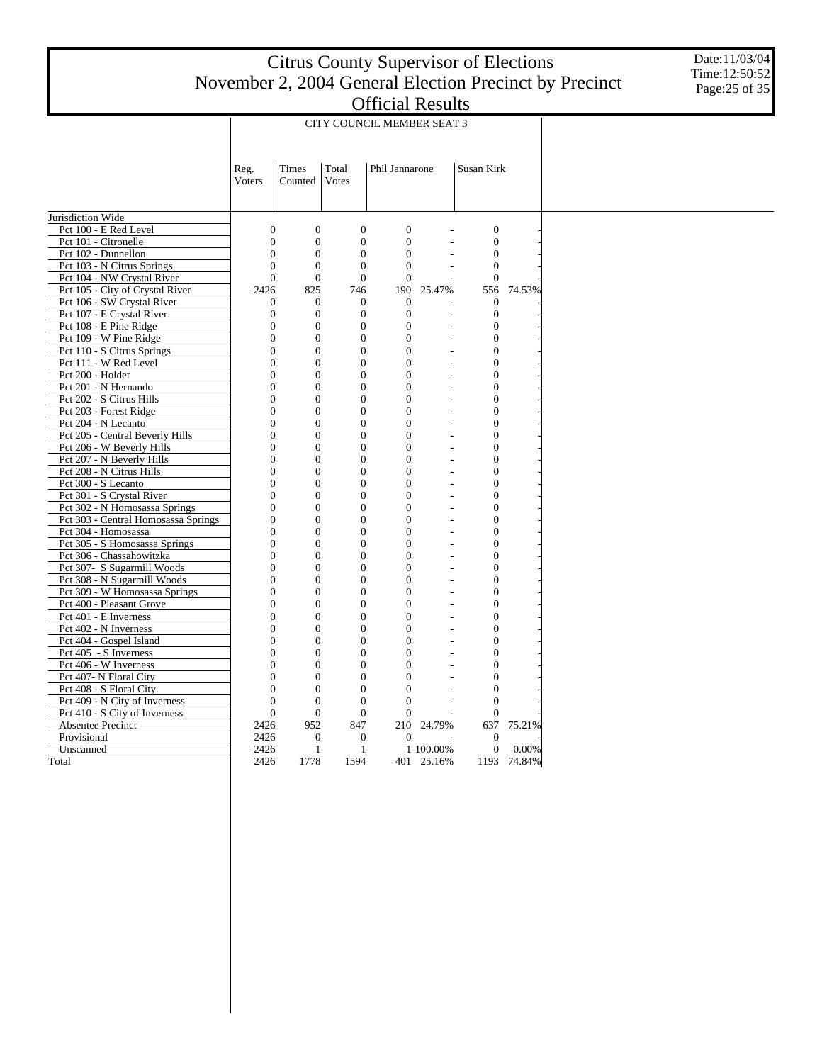Date:11/03/04 Time:12:50:52 Page:25 of 35

|                                            | CITY COUNCIL MEMBER SEAT 3 |                  |                  |                  |                |                  |             |  |  |  |  |
|--------------------------------------------|----------------------------|------------------|------------------|------------------|----------------|------------------|-------------|--|--|--|--|
|                                            |                            |                  |                  |                  |                |                  |             |  |  |  |  |
|                                            | Reg.                       | Times            | Total            | Phil Jannarone   |                | Susan Kirk       |             |  |  |  |  |
|                                            | Voters                     | Counted          | Votes            |                  |                |                  |             |  |  |  |  |
|                                            |                            |                  |                  |                  |                |                  |             |  |  |  |  |
|                                            |                            |                  |                  |                  |                |                  |             |  |  |  |  |
| Jurisdiction Wide<br>Pct 100 - E Red Level | $\overline{0}$             | $\overline{0}$   | $\overline{0}$   | $\overline{0}$   |                | $\boldsymbol{0}$ |             |  |  |  |  |
| Pct 101 - Citronelle                       | $\boldsymbol{0}$           | $\mathbf{0}$     | $\mathbf{0}$     | $\overline{0}$   |                | $\boldsymbol{0}$ |             |  |  |  |  |
| Pct 102 - Dunnellon                        | $\overline{0}$             | $\overline{0}$   | $\overline{0}$   | $\overline{0}$   |                | $\mathbf{0}$     |             |  |  |  |  |
| Pct 103 - N Citrus Springs                 | $\mathbf{0}$               | $\boldsymbol{0}$ | $\overline{0}$   | $\overline{0}$   |                | $\boldsymbol{0}$ |             |  |  |  |  |
| Pct 104 - NW Crystal River                 | $\theta$                   | $\Omega$         | $\theta$         | $\Omega$         |                | $\theta$         |             |  |  |  |  |
| Pct 105 - City of Crystal River            | 2426                       | 825              | 746              | 190              | 25.47%         | 556              | 74.53%      |  |  |  |  |
| Pct 106 - SW Crystal River                 | $\mathbf{0}$               | $\theta$         | $\mathbf{0}$     | $\mathbf{0}$     |                | $\mathbf{0}$     |             |  |  |  |  |
| Pct 107 - E Crystal River                  | 0                          | $\mathbf{0}$     | $\overline{0}$   | $\mathbf{0}$     | L.             | $\boldsymbol{0}$ |             |  |  |  |  |
| Pct 108 - E Pine Ridge                     | $\overline{0}$             | $\mathbf{0}$     | $\overline{0}$   | $\overline{0}$   |                | $\boldsymbol{0}$ |             |  |  |  |  |
| Pct 109 - W Pine Ridge                     | $\mathbf{0}$               | $\mathbf{0}$     | $\mathbf{0}$     | $\overline{0}$   | $\overline{a}$ | $\boldsymbol{0}$ |             |  |  |  |  |
| Pct 110 - S Citrus Springs                 | $\overline{0}$             | $\overline{0}$   | $\overline{0}$   | $\overline{0}$   |                | $\overline{0}$   |             |  |  |  |  |
| Pct 111 - W Red Level                      | $\overline{0}$             | $\mathbf{0}$     | $\overline{0}$   | $\overline{0}$   |                | $\overline{0}$   |             |  |  |  |  |
| Pct 200 - Holder                           | $\overline{0}$             | $\overline{0}$   | $\overline{0}$   | $\theta$         | L,             | $\overline{0}$   |             |  |  |  |  |
| Pct 201 - N Hernando                       | $\overline{0}$             | $\overline{0}$   | $\overline{0}$   | $\overline{0}$   |                | $\mathbf{0}$     |             |  |  |  |  |
| Pct 202 - S Citrus Hills                   | $\mathbf{0}$               | $\mathbf{0}$     | $\mathbf{0}$     | 0                | L.             | $\boldsymbol{0}$ |             |  |  |  |  |
| Pct 203 - Forest Ridge                     | $\overline{0}$             | $\overline{0}$   | $\overline{0}$   | $\overline{0}$   |                | $\overline{0}$   |             |  |  |  |  |
| Pct 204 - N Lecanto                        | $\overline{0}$             | $\mathbf{0}$     | $\overline{0}$   | $\overline{0}$   |                | $\overline{0}$   |             |  |  |  |  |
| Pct 205 - Central Beverly Hills            | $\theta$                   | $\overline{0}$   | $\overline{0}$   | $\theta$         | $\overline{a}$ | $\overline{0}$   |             |  |  |  |  |
| Pct 206 - W Beverly Hills                  | $\overline{0}$             | $\overline{0}$   | $\overline{0}$   | $\overline{0}$   |                | $\boldsymbol{0}$ |             |  |  |  |  |
| Pct 207 - N Beverly Hills                  | $\overline{0}$             | $\mathbf{0}$     | $\overline{0}$   | $\overline{0}$   |                | $\overline{0}$   |             |  |  |  |  |
| Pct 208 - N Citrus Hills                   | $\overline{0}$             | 0                | $\overline{0}$   | 0                | L.             | $\boldsymbol{0}$ |             |  |  |  |  |
| Pct 300 - S Lecanto                        | $\overline{0}$             | $\overline{0}$   | $\overline{0}$   | $\overline{0}$   |                | $\mathbf{0}$     |             |  |  |  |  |
| Pct 301 - S Crystal River                  | $\overline{0}$             | $\mathbf{0}$     | $\overline{0}$   | $\overline{0}$   | $\overline{a}$ | $\overline{0}$   |             |  |  |  |  |
| Pct 302 - N Homosassa Springs              | $\overline{0}$             | $\mathbf{0}$     | $\overline{0}$   | $\overline{0}$   | $\overline{a}$ | $\overline{0}$   |             |  |  |  |  |
| Pct 303 - Central Homosassa Springs        | $\overline{0}$             | $\mathbf{0}$     | $\overline{0}$   | $\overline{0}$   |                | $\overline{0}$   |             |  |  |  |  |
| Pct 304 - Homosassa                        | $\overline{0}$             | $\overline{0}$   | $\overline{0}$   | $\overline{0}$   | L,             | $\overline{0}$   |             |  |  |  |  |
| Pct 305 - S Homosassa Springs              | $\overline{0}$             | $\overline{0}$   | $\overline{0}$   | $\overline{0}$   |                | $\mathbf{0}$     |             |  |  |  |  |
| Pct 306 - Chassahowitzka                   | $\boldsymbol{0}$           | $\mathbf{0}$     | $\boldsymbol{0}$ | $\boldsymbol{0}$ | ä,             | $\boldsymbol{0}$ |             |  |  |  |  |
| Pct 307- S Sugarmill Woods                 | $\theta$                   | $\overline{0}$   | $\overline{0}$   | $\theta$         |                | $\overline{0}$   |             |  |  |  |  |
| Pct 308 - N Sugarmill Woods                | $\overline{0}$             | $\mathbf{0}$     | $\overline{0}$   | $\overline{0}$   |                | $\boldsymbol{0}$ |             |  |  |  |  |
| Pct 309 - W Homosassa Springs              | $\overline{0}$             | $\overline{0}$   | $\overline{0}$   | $\theta$         | L,             | $\overline{0}$   |             |  |  |  |  |
| Pct 400 - Pleasant Grove                   | $\overline{0}$             | $\overline{0}$   | $\overline{0}$   | 0                | L.             | $\boldsymbol{0}$ |             |  |  |  |  |
| Pct 401 - E Inverness                      | $\overline{0}$             | $\mathbf{0}$     | $\overline{0}$   | $\overline{0}$   |                | $\overline{0}$   |             |  |  |  |  |
| Pct 402 - N Inverness                      | $\theta$                   | $\theta$         | $\mathbf{0}$     | $\theta$         |                | $\boldsymbol{0}$ |             |  |  |  |  |
| Pct 404 - Gospel Island                    | $\theta$                   | $\overline{0}$   | $\overline{0}$   | $\theta$         |                | $\overline{0}$   |             |  |  |  |  |
| Pct 405 - S Inverness                      | $\overline{0}$             | $\overline{0}$   | $\overline{0}$   | $\overline{0}$   |                | $\overline{0}$   |             |  |  |  |  |
| Pct 406 - W Inverness                      | $\overline{0}$             | $\mathbf{0}$     | $\overline{0}$   | 0                |                | $\boldsymbol{0}$ |             |  |  |  |  |
| Pct 407- N Floral City                     | $\overline{0}$             | $\overline{0}$   | $\overline{0}$   | 0                |                | $\boldsymbol{0}$ |             |  |  |  |  |
| Pct 408 - S Floral City                    | $\overline{0}$             | $\boldsymbol{0}$ | $\overline{0}$   | $\overline{0}$   |                | $\overline{0}$   |             |  |  |  |  |
| Pct 409 - N City of Inverness              | $\theta$                   | $\mathbf{0}$     | $\theta$         | $\Omega$         |                | $\mathbf{0}$     |             |  |  |  |  |
| Pct 410 - S City of Inverness              | $\overline{0}$             | $\theta$         | $\overline{0}$   | $\mathbf{0}$     |                | $\mathbf{0}$     |             |  |  |  |  |
| Absentee Precinct                          | 2426                       | 952              | 847              | 210              | 24.79%         | 637              | 75.21%      |  |  |  |  |
| Provisional                                | 2426                       | $\mathbf{0}$     | $\boldsymbol{0}$ | $\mathbf{0}$     |                | $\boldsymbol{0}$ |             |  |  |  |  |
| Unscanned                                  | 2426                       | $\mathbf{1}$     | $\mathbf{1}$     |                  | 1 100.00%      | $\boldsymbol{0}$ | 0.00%       |  |  |  |  |
| Total                                      | 2426                       | 1778             | 1594             |                  | 401 25.16%     |                  | 1193 74.84% |  |  |  |  |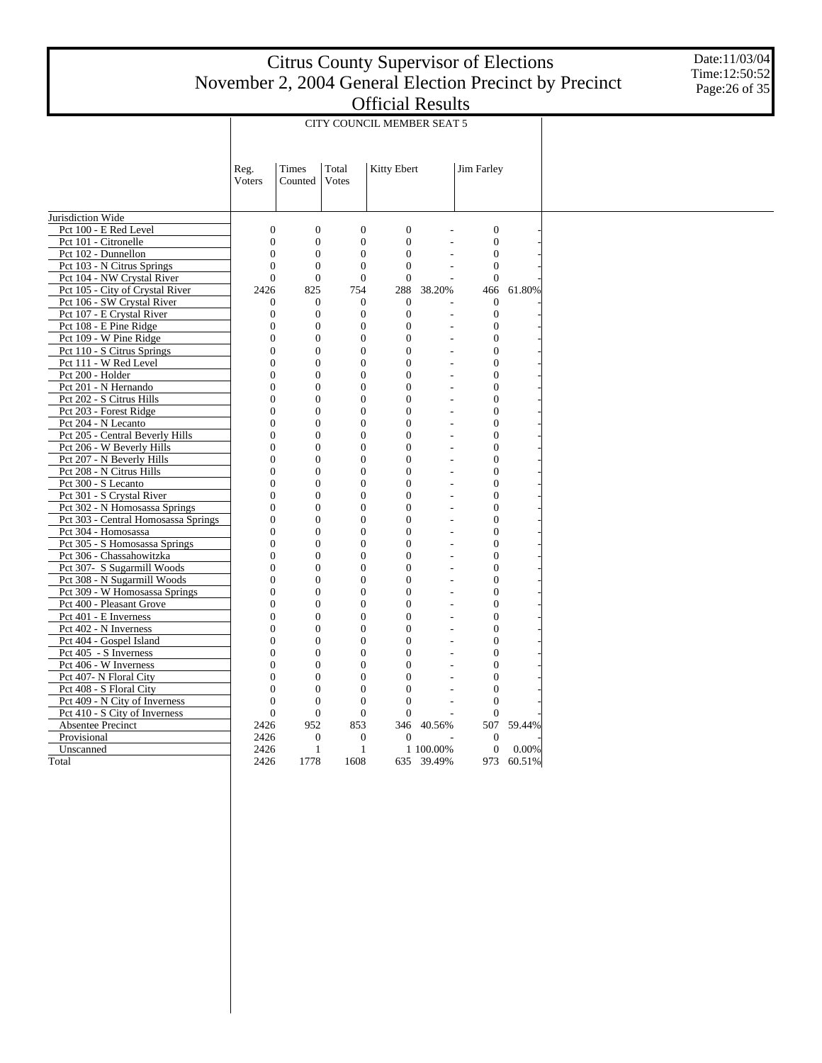Date:11/03/04 Time:12:50:52 Page:26 of 35

|                                                 | CITY COUNCIL MEMBER SEAT 5     |                              |                                    |                                    |                                  |                                    |        |  |  |  |
|-------------------------------------------------|--------------------------------|------------------------------|------------------------------------|------------------------------------|----------------------------------|------------------------------------|--------|--|--|--|
|                                                 |                                |                              |                                    |                                    |                                  |                                    |        |  |  |  |
|                                                 | Reg.                           | Times                        | Total                              | Kitty Ebert                        |                                  | <b>Jim Farley</b>                  |        |  |  |  |
|                                                 | Voters                         | Counted                      | Votes                              |                                    |                                  |                                    |        |  |  |  |
|                                                 |                                |                              |                                    |                                    |                                  |                                    |        |  |  |  |
| Jurisdiction Wide                               |                                |                              |                                    |                                    |                                  |                                    |        |  |  |  |
| Pct 100 - E Red Level                           | $\overline{0}$                 | $\theta$                     | $\overline{0}$                     | $\theta$                           |                                  | $\overline{0}$                     |        |  |  |  |
| Pct 101 - Citronelle                            | $\overline{0}$                 | $\mathbf{0}$                 | $\overline{0}$                     | $\mathbf{0}$                       |                                  | $\overline{0}$                     |        |  |  |  |
| Pct 102 - Dunnellon                             | $\overline{0}$                 | $\mathbf{0}$                 | $\overline{0}$                     | $\mathbf{0}$                       |                                  | $\mathbf{0}$                       |        |  |  |  |
| Pct 103 - N Citrus Springs                      | $\overline{0}$                 | $\mathbf{0}$                 | $\overline{0}$                     | $\mathbf{0}$                       |                                  | $\mathbf{0}$                       |        |  |  |  |
| Pct 104 - NW Crystal River                      | $\overline{0}$                 | $\mathbf{0}$                 | $\overline{0}$                     | $\overline{0}$                     |                                  | $\overline{0}$                     |        |  |  |  |
| Pct 105 - City of Crystal River                 | 2426                           | 825                          | 754                                | 288                                | 38.20%                           | 466                                | 61.80% |  |  |  |
| Pct 106 - SW Crystal River                      | $\boldsymbol{0}$               | $\boldsymbol{0}$             | $\boldsymbol{0}$                   | $\mathbf{0}$                       |                                  | $\boldsymbol{0}$                   |        |  |  |  |
| Pct 107 - E Crystal River                       | $\overline{0}$                 | $\mathbf{0}$                 | $\overline{0}$                     | $\overline{0}$                     | $\overline{a}$                   | $\overline{0}$                     |        |  |  |  |
| Pct 108 - E Pine Ridge                          | $\overline{0}$                 | $\mathbf{0}$                 | $\overline{0}$                     | $\mathbf{0}$                       | L.                               | $\boldsymbol{0}$                   |        |  |  |  |
| Pct 109 - W Pine Ridge                          | $\overline{0}$                 | $\mathbf{0}$                 | $\overline{0}$                     | $\mathbf{0}$                       | L,                               | $\overline{0}$                     |        |  |  |  |
| Pct 110 - S Citrus Springs                      | $\overline{0}$                 | $\mathbf{0}$                 | $\mathbf{0}$                       | $\mathbf{0}$                       | ÷.                               | $\boldsymbol{0}$                   |        |  |  |  |
| Pct 111 - W Red Level                           | $\overline{0}$                 | $\overline{0}$               | $\overline{0}$                     | $\overline{0}$                     | L,                               | $\mathbf{0}$                       |        |  |  |  |
| Pct 200 - Holder                                | $\overline{0}$                 | $\mathbf{0}$                 | $\overline{0}$                     | $\mathbf{0}$                       | L,                               | $\mathbf{0}$                       |        |  |  |  |
| Pct 201 - N Hernando                            | $\theta$                       | $\theta$                     | $\theta$                           | $\theta$                           |                                  | $\mathbf{0}$                       |        |  |  |  |
| Pct 202 - S Citrus Hills                        | $\overline{0}$                 | $\mathbf{0}$                 | $\overline{0}$                     | $\mathbf{0}$                       | $\overline{a}$                   | $\mathbf{0}$                       |        |  |  |  |
| Pct 203 - Forest Ridge                          | $\overline{0}$                 | $\overline{0}$               | $\overline{0}$                     | $\mathbf{0}$                       | $\overline{a}$                   | $\overline{0}$                     |        |  |  |  |
| Pct 204 - N Lecanto                             | $\overline{0}$                 | $\mathbf{0}$                 | $\overline{0}$                     | $\mathbf{0}$                       |                                  | $\boldsymbol{0}$                   |        |  |  |  |
| Pct 205 - Central Beverly Hills                 | $\overline{0}$                 | $\mathbf{0}$                 | $\overline{0}$                     | $\overline{0}$                     | $\overline{a}$                   | $\boldsymbol{0}$                   |        |  |  |  |
| Pct 206 - W Beverly Hills                       | $\overline{0}$                 | $\overline{0}$               | $\overline{0}$                     | $\overline{0}$                     | L,                               | $\mathbf{0}$                       |        |  |  |  |
| Pct 207 - N Beverly Hills                       | $\mathbf{0}$<br>$\overline{0}$ | $\boldsymbol{0}$<br>$\theta$ | $\boldsymbol{0}$<br>$\overline{0}$ | $\boldsymbol{0}$<br>$\overline{0}$ | $\overline{a}$<br>$\overline{a}$ | $\boldsymbol{0}$<br>$\overline{0}$ |        |  |  |  |
| Pct 208 - N Citrus Hills<br>Pct 300 - S Lecanto | $\overline{0}$                 | $\mathbf{0}$                 | $\overline{0}$                     | $\mathbf{0}$                       | L,                               | $\overline{0}$                     |        |  |  |  |
| Pct 301 - S Crystal River                       | $\overline{0}$                 | $\overline{0}$               | $\overline{0}$                     | $\mathbf{0}$                       | $\overline{a}$                   | $\overline{0}$                     |        |  |  |  |
| Pct 302 - N Homosassa Springs                   | $\overline{0}$                 | $\mathbf{0}$                 | $\overline{0}$                     | $\mathbf{0}$                       | L,                               | $\boldsymbol{0}$                   |        |  |  |  |
| Pct 303 - Central Homosassa Springs             | $\boldsymbol{0}$               | $\mathbf{0}$                 | $\overline{0}$                     | $\mathbf{0}$                       | L,                               | $\boldsymbol{0}$                   |        |  |  |  |
| Pct 304 - Homosassa                             | $\overline{0}$                 | $\mathbf{0}$                 | $\overline{0}$                     | $\mathbf{0}$                       | Ĭ.                               | $\mathbf{0}$                       |        |  |  |  |
| Pct 305 - S Homosassa Springs                   | $\theta$                       | $\theta$                     | $\theta$                           | $\theta$                           | L,                               | $\overline{0}$                     |        |  |  |  |
| Pct 306 - Chassahowitzka                        | $\overline{0}$                 | $\mathbf{0}$                 | $\overline{0}$                     | $\mathbf{0}$                       | $\overline{a}$                   | $\mathbf{0}$                       |        |  |  |  |
| Pct 307- S Sugarmill Woods                      | $\overline{0}$                 | $\overline{0}$               | $\overline{0}$                     | $\mathbf{0}$                       | L,                               | $\overline{0}$                     |        |  |  |  |
| Pct 308 - N Sugarmill Woods                     | $\overline{0}$                 | $\mathbf{0}$                 | $\overline{0}$                     | $\mathbf{0}$                       | L,                               | $\mathbf{0}$                       |        |  |  |  |
| Pct 309 - W Homosassa Springs                   | $\overline{0}$                 | $\mathbf{0}$                 | $\overline{0}$                     | $\mathbf{0}$                       | ÷,                               | $\boldsymbol{0}$                   |        |  |  |  |
| Pct 400 - Pleasant Grove                        | $\overline{0}$                 | $\overline{0}$               | $\overline{0}$                     | $\overline{0}$                     | Ĭ.                               | $\mathbf{0}$                       |        |  |  |  |
| Pct 401 - E Inverness                           | $\mathbf{0}$                   | $\boldsymbol{0}$             | $\boldsymbol{0}$                   | $\boldsymbol{0}$                   | ٠                                | $\boldsymbol{0}$                   |        |  |  |  |
| Pct 402 - N Inverness                           | $\theta$                       | $\theta$                     | $\overline{0}$                     | $\overline{0}$                     | $\overline{a}$                   | $\overline{0}$                     |        |  |  |  |
| Pct 404 - Gospel Island                         | $\overline{0}$                 | $\mathbf{0}$                 | $\overline{0}$                     | $\mathbf{0}$                       | L.                               | $\overline{0}$                     |        |  |  |  |
| Pct 405 - S Inverness                           | $\overline{0}$                 | $\overline{0}$               | $\overline{0}$                     | $\mathbf{0}$                       | L,                               | $\overline{0}$                     |        |  |  |  |
| Pct 406 - W Inverness                           | $\overline{0}$                 | $\overline{0}$               | $\overline{0}$                     | $\mathbf{0}$                       | L.                               | $\boldsymbol{0}$                   |        |  |  |  |
| Pct 407- N Floral City                          | $\overline{0}$                 | $\mathbf{0}$                 | $\overline{0}$                     | $\overline{0}$                     |                                  | $\boldsymbol{0}$                   |        |  |  |  |
| Pct 408 - S Floral City                         | $\overline{0}$                 | $\overline{0}$               | $\boldsymbol{0}$                   | $\mathbf{0}$                       |                                  | $\boldsymbol{0}$                   |        |  |  |  |
| Pct 409 - N City of Inverness                   | $\mathbf{0}$                   | $\boldsymbol{0}$             | $\theta$                           | $\theta$                           |                                  | $\boldsymbol{0}$                   |        |  |  |  |
| Pct 410 - S City of Inverness                   | $\overline{0}$                 | $\mathbf{0}$                 | $\mathbf{0}$                       | $\mathbf{0}$                       |                                  | $\overline{0}$                     |        |  |  |  |
| <b>Absentee Precinct</b>                        | 2426                           | 952                          | 853                                | 346                                | 40.56%                           | 507                                | 59.44% |  |  |  |
| Provisional                                     | 2426                           | $\mathbf{0}$                 | $\mathbf{0}$                       | $\mathbf{0}$                       |                                  | $\mathbf{0}$                       |        |  |  |  |
| Unscanned                                       | 2426                           | 1                            | $\mathbf{1}$                       |                                    | 1 100.00%                        | $\boldsymbol{0}$                   | 0.00%  |  |  |  |
| Total                                           | 2426                           | 1778                         | 1608                               |                                    | 635 39.49%                       | 973                                | 60.51% |  |  |  |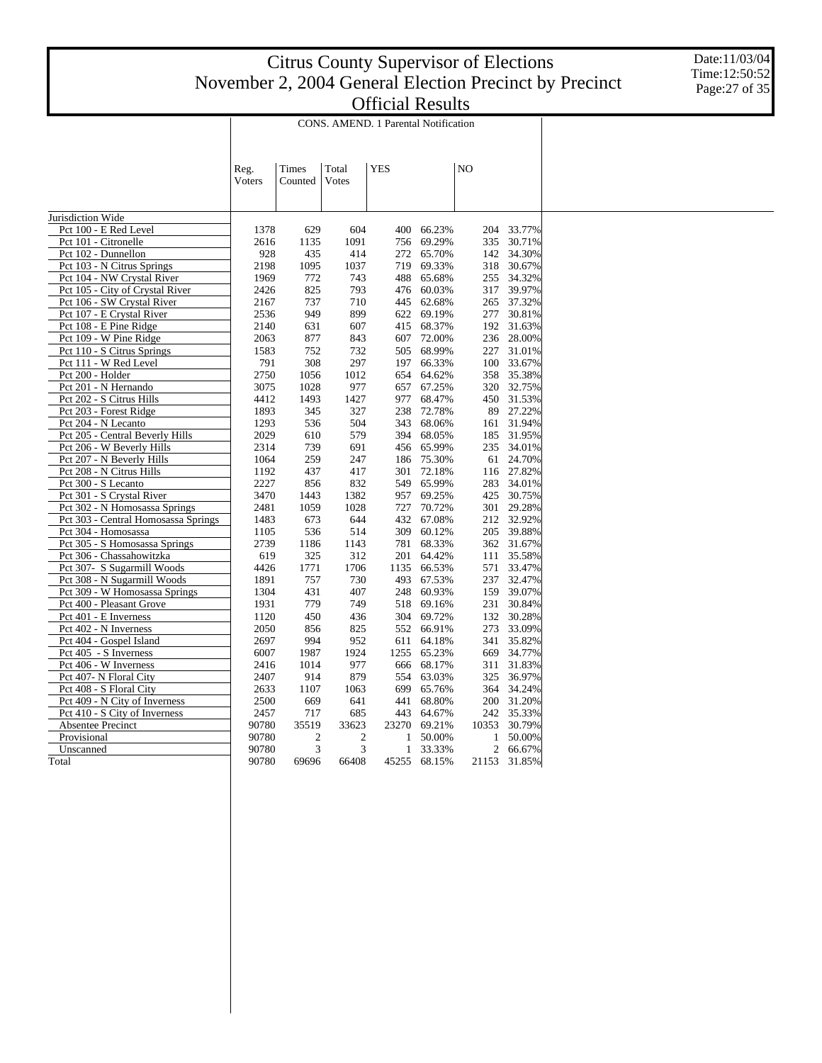Date:11/03/04 Time:12:50:52 Page:27 of 35

|                                     | CONS. AMEND. 1 Parental Notification |                |                |            |        |                |              |            |  |  |
|-------------------------------------|--------------------------------------|----------------|----------------|------------|--------|----------------|--------------|------------|--|--|
|                                     | Reg.                                 | Times          | Total          | <b>YES</b> |        | N <sub>O</sub> |              |            |  |  |
|                                     | Voters                               | Counted        | Votes          |            |        |                |              |            |  |  |
| Jurisdiction Wide                   |                                      |                |                |            |        |                |              |            |  |  |
| Pct 100 - E Red Level               | 1378                                 | 629            | 604            | 400        | 66.23% |                | 204          | 33.77%     |  |  |
| Pct 101 - Citronelle                | 2616                                 | 1135           | 1091           | 756        | 69.29% |                | 335          | 30.71%     |  |  |
| Pct 102 - Dunnellon                 | 928                                  | 435            | 414            | 272        | 65.70% |                | 142          | 34.30%     |  |  |
| Pct 103 - N Citrus Springs          | 2198                                 | 1095           | 1037           | 719        | 69.33% |                | 318          | 30.67%     |  |  |
| Pct 104 - NW Crystal River          | 1969                                 | 772            | 743            | 488        | 65.68% |                | 255          | 34.32%     |  |  |
| Pct 105 - City of Crystal River     | 2426                                 | 825            | 793            | 476        | 60.03% |                | 317          | 39.97%     |  |  |
| Pct 106 - SW Crystal River          | 2167                                 | 737            | 710            | 445        | 62.68% |                | 265          | 37.32%     |  |  |
| Pct 107 - E Crystal River           | 2536                                 | 949            | 899            | 622        | 69.19% |                | 277          | 30.81%     |  |  |
| Pct 108 - E Pine Ridge              | 2140                                 | 631            | 607            | 415        | 68.37% |                |              | 192 31.63% |  |  |
| Pct 109 - W Pine Ridge              | 2063                                 | 877            | 843            | 607        | 72.00% |                |              | 236 28.00% |  |  |
| Pct 110 - S Citrus Springs          | 1583                                 | 752            | 732            | 505        | 68.99% |                | 227          | 31.01%     |  |  |
| Pct 111 - W Red Level               | 791                                  | 308            | 297            | 197        | 66.33% |                | 100          | 33.67%     |  |  |
| Pct 200 - Holder                    | 2750                                 | 1056           | 1012           | 654        | 64.62% |                | 358          | 35.38%     |  |  |
| Pct 201 - N Hernando                | 3075                                 | 1028           | 977            | 657        | 67.25% |                | 320          | 32.75%     |  |  |
| Pct 202 - S Citrus Hills            | 4412                                 | 1493           | 1427           | 977        | 68.47% |                |              | 450 31.53% |  |  |
| Pct 203 - Forest Ridge              | 1893                                 | 345            | 327            | 238        | 72.78% |                | 89           | 27.22%     |  |  |
| Pct 204 - N Lecanto                 | 1293                                 | 536            | 504            | 343        | 68.06% |                |              | 161 31.94% |  |  |
| Pct 205 - Central Beverly Hills     | 2029                                 | 610            | 579            | 394        | 68.05% |                |              | 185 31.95% |  |  |
| Pct 206 - W Beverly Hills           | 2314                                 | 739            | 691            | 456        | 65.99% |                | 235          | 34.01%     |  |  |
| Pct 207 - N Beverly Hills           | 1064                                 | 259            | 247            | 186        | 75.30% |                | 61           | 24.70%     |  |  |
| Pct 208 - N Citrus Hills            | 1192                                 | 437            | 417            | 301        | 72.18% |                | 116          | 27.82%     |  |  |
| Pct 300 - S Lecanto                 | 2227                                 | 856            | 832            | 549        | 65.99% |                | 283          | 34.01%     |  |  |
| Pct 301 - S Crystal River           | 3470                                 | 1443           | 1382           | 957        | 69.25% |                | 425          | 30.75%     |  |  |
| Pct 302 - N Homosassa Springs       | 2481                                 | 1059           | 1028           | 727        | 70.72% |                | 301          | 29.28%     |  |  |
| Pct 303 - Central Homosassa Springs | 1483                                 | 673            | 644            | 432        | 67.08% |                |              | 212 32.92% |  |  |
| Pct 304 - Homosassa                 | 1105                                 | 536            | 514            | 309        | 60.12% |                | 205          | 39.88%     |  |  |
| Pct 305 - S Homosassa Springs       | 2739                                 | 1186           | 1143           | 781        | 68.33% |                |              | 362 31.67% |  |  |
| Pct 306 - Chassahowitzka            | 619                                  | 325            | 312            | 201        | 64.42% |                | 111          | 35.58%     |  |  |
| Pct 307- S Sugarmill Woods          | 4426                                 | 1771           | 1706           | 1135       | 66.53% |                | 571          | 33.47%     |  |  |
| Pct 308 - N Sugarmill Woods         | 1891                                 | 757            | 730            | 493        | 67.53% |                | 237          | 32.47%     |  |  |
| Pct 309 - W Homosassa Springs       | 1304                                 | 431            | 407            | 248        | 60.93% |                | 159          | 39.07%     |  |  |
| Pct 400 - Pleasant Grove            | 1931                                 | 779            | 749            | 518        | 69.16% |                | 231          | 30.84%     |  |  |
| Pct 401 - E Inverness               | 1120                                 | 450            | 436            | 304        | 69.72% |                | 132          | 30.28%     |  |  |
| Pct 402 - N Inverness               | 2050                                 | 856            | 825            | 552        | 66.91% |                | 273          | 33.09%     |  |  |
| Pct 404 - Gospel Island             | 2697                                 | 994            | 952            | 611        | 64.18% |                | 341          | 35.82%     |  |  |
| Pct 405 - S Inverness               | 6007                                 | 1987           | 1924           | 1255       | 65.23% |                | 669          | 34.77%     |  |  |
| Pct 406 - W Inverness               | 2416                                 | 1014           | 977            | 666        | 68.17% |                | 311          | 31.83%     |  |  |
| Pct 407- N Floral City              | 2407                                 | 914            | 879            | 554        | 63.03% |                | 325          | 36.97%     |  |  |
| Pct 408 - S Floral City             | 2633                                 | 1107           | 1063           | 699        | 65.76% |                | 364          | 34.24%     |  |  |
| Pct 409 - N City of Inverness       | 2500                                 | 669            | 641            | 441        | 68.80% |                |              | 200 31.20% |  |  |
| Pct 410 - S City of Inverness       | 2457                                 | 717            | 685            | 443        | 64.67% |                | 242          | 35.33%     |  |  |
| Absentee Precinct                   | 90780                                | 35519          | 33623          | 23270      | 69.21% |                | 10353        | 30.79%     |  |  |
| Provisional                         | 90780                                | $\overline{2}$ | $\overline{2}$ | 1          | 50.00% |                | $\mathbf{1}$ | 50.00%     |  |  |
| Unscanned                           | 90780                                | 3              | 3              | 1          | 33.33% |                | 2            | 66.67%     |  |  |
| Total                               | 90780                                | 69696          | 66408          | 45255      | 68.15% |                | 21153        | 31.85%     |  |  |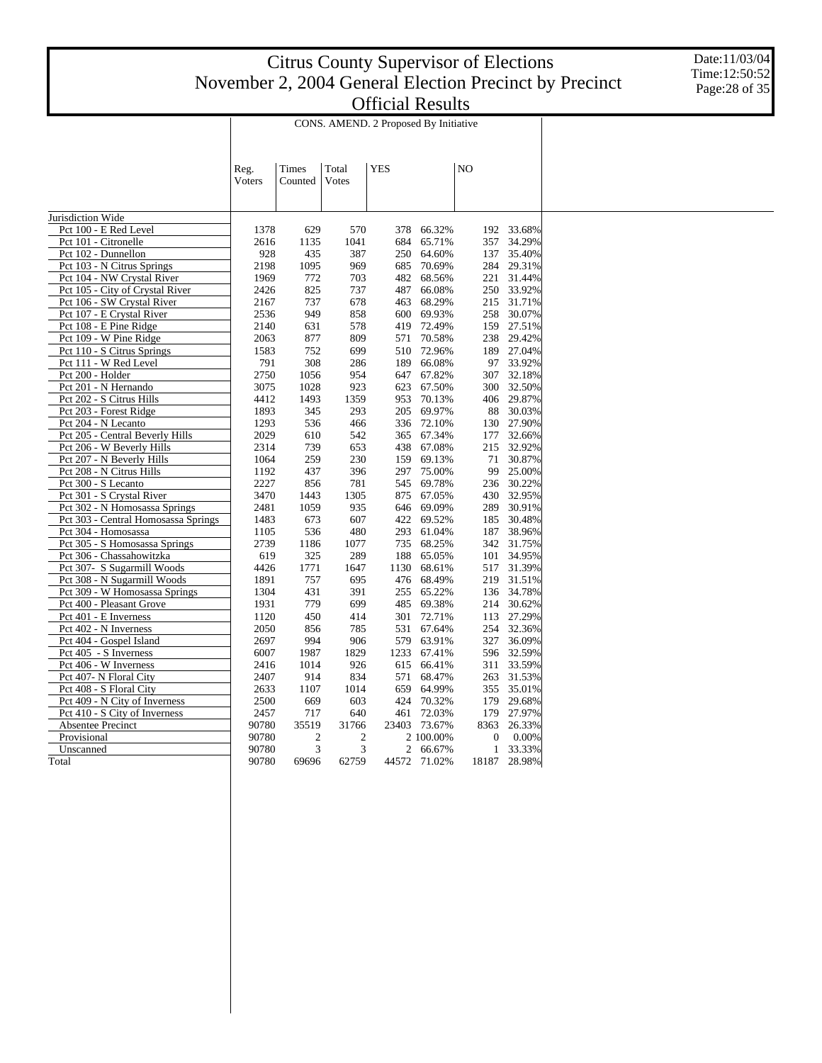Date:11/03/04 Time:12:50:52 Page:28 of 35

|                                                           | CONS. AMEND. 2 Proposed By Initiative |                |                |             |                  |       |              |                      |  |  |
|-----------------------------------------------------------|---------------------------------------|----------------|----------------|-------------|------------------|-------|--------------|----------------------|--|--|
|                                                           |                                       |                |                |             |                  |       |              |                      |  |  |
|                                                           |                                       | Times          | Total          | <b>YES</b>  |                  | NO    |              |                      |  |  |
|                                                           | Reg.<br>Voters                        | Counted        | Votes          |             |                  |       |              |                      |  |  |
|                                                           |                                       |                |                |             |                  |       |              |                      |  |  |
|                                                           |                                       |                |                |             |                  |       |              |                      |  |  |
| Jurisdiction Wide                                         |                                       |                |                |             |                  |       |              |                      |  |  |
| Pct 100 - E Red Level                                     | 1378                                  | 629            | 570            | 378         | 66.32%           |       | 192          | 33.68%               |  |  |
| Pct 101 - Citronelle                                      | 2616                                  | 1135           | 1041           | 684         | 65.71%           |       | 357          | 34.29%               |  |  |
| Pct 102 - Dunnellon                                       | 928                                   | 435            | 387            | 250         | 64.60%           |       | 137          | 35.40%               |  |  |
| Pct 103 - N Citrus Springs                                | 2198                                  | 1095           | 969            | 685         | 70.69%           |       | 284          | 29.31%               |  |  |
| Pct 104 - NW Crystal River                                | 1969                                  | 772            | 703            | 482         | 68.56%           |       |              | 221 31.44%           |  |  |
| Pct 105 - City of Crystal River                           | 2426                                  | 825            | 737            | 487         | 66.08%           |       |              | 250 33.92%           |  |  |
| Pct 106 - SW Crystal River                                | 2167                                  | 737            | 678            | 463         | 68.29%           |       |              | 215 31.71%           |  |  |
| Pct 107 - E Crystal River                                 | 2536                                  | 949            | 858            | 600         | 69.93%           |       | 258          | 30.07%               |  |  |
| Pct 108 - E Pine Ridge                                    | 2140                                  | 631            | 578            | 419         | 72.49%           |       | 159          | 27.51%               |  |  |
| Pct 109 - W Pine Ridge                                    | 2063                                  | 877            | 809            | 571         | 70.58%           |       |              | 238 29.42%           |  |  |
| Pct 110 - S Citrus Springs                                | 1583                                  | 752            | 699            | 510         | 72.96%           |       | 189          | 27.04%               |  |  |
| Pct 111 - W Red Level                                     | 791                                   | 308            | 286            | 189         | 66.08%           |       | 97           | 33.92%               |  |  |
| Pct 200 - Holder                                          | 2750                                  | 1056           | 954            | 647         | 67.82%           |       | 307          | 32.18%               |  |  |
| Pct 201 - N Hernando                                      | 3075                                  | 1028           | 923            | 623         | 67.50%           |       | 300          | 32.50%               |  |  |
| Pct 202 - S Citrus Hills                                  | 4412                                  | 1493           | 1359           | 953         | 70.13%           |       |              | 406 29.87%           |  |  |
| Pct 203 - Forest Ridge                                    | 1893                                  | 345            | 293            | 205         | 69.97%           |       | 88           | 30.03%               |  |  |
| Pct 204 - N Lecanto                                       | 1293                                  | 536            | 466            | 336         | 72.10%           |       | 130          | 27.90%               |  |  |
| Pct 205 - Central Beverly Hills                           | 2029                                  | 610            | 542            | 365         | 67.34%           |       | 177          | 32.66%               |  |  |
| Pct 206 - W Beverly Hills                                 | 2314                                  | 739            | 653            | 438         | 67.08%           |       | 215          | 32.92%               |  |  |
| Pct 207 - N Beverly Hills                                 | 1064                                  | 259            | 230            | 159         | 69.13%           |       | 71           | 30.87%               |  |  |
| Pct 208 - N Citrus Hills                                  | 1192                                  | 437            | 396            | 297         | 75.00%           |       | 99           | 25.00%               |  |  |
| Pct 300 - S Lecanto                                       | 2227                                  | 856            | 781            | 545         | 69.78%           |       | 236          | 30.22%               |  |  |
| Pct 301 - S Crystal River                                 | 3470                                  | 1443           | 1305<br>935    | 875         | 67.05%           |       | 430<br>289   | 32.95%<br>30.91%     |  |  |
| Pct 302 - N Homosassa Springs                             | 2481                                  | 1059           |                | 646         | 69.09%           |       |              |                      |  |  |
| Pct 303 - Central Homosassa Springs                       | 1483                                  | 673            | 607            | 422         | 69.52%           |       | 185          | 30.48%               |  |  |
| Pct 304 - Homosassa<br>Pct 305 - S Homosassa Springs      | 1105                                  | 536            | 480            | 293<br>735  | 61.04%           |       | 187          | 38.96%               |  |  |
| Pct 306 - Chassahowitzka                                  | 2739<br>619                           | 1186<br>325    | 1077<br>289    | 188         | 68.25%<br>65.05% |       | 101          | 342 31.75%<br>34.95% |  |  |
|                                                           |                                       |                |                |             |                  |       |              | 31.39%               |  |  |
| Pct 307- S Sugarmill Woods<br>Pct 308 - N Sugarmill Woods | 4426<br>1891                          | 1771<br>757    | 1647<br>695    | 1130<br>476 | 68.61%<br>68.49% |       | 517<br>219   | 31.51%               |  |  |
| Pct 309 - W Homosassa Springs                             | 1304                                  | 431            | 391            | 255         | 65.22%           |       |              | 136 34.78%           |  |  |
| Pct 400 - Pleasant Grove                                  | 1931                                  | 779            | 699            | 485         | 69.38%           |       | 214          | 30.62%               |  |  |
| Pct 401 - E Inverness                                     | 1120                                  | 450            | 414            | 301         | 72.71%           |       |              | 113 27.29%           |  |  |
| Pct 402 - N Inverness                                     | 2050                                  | 856            | 785            | 531         | 67.64%           |       | 254          | 32.36%               |  |  |
| Pct 404 - Gospel Island                                   | 2697                                  | 994            | 906            | 579         | 63.91%           |       | 327          | 36.09%               |  |  |
| Pct 405 - S Inverness                                     | 6007                                  | 1987           | 1829           | 1233        | 67.41%           |       |              | 596 32.59%           |  |  |
| Pct 406 - W Inverness                                     | 2416                                  | 1014           | 926            | 615         | 66.41%           |       | 311          | 33.59%               |  |  |
| Pct 407- N Floral City                                    | 2407                                  | 914            | 834            | 571         | 68.47%           |       |              | 263 31.53%           |  |  |
| Pct 408 - S Floral City                                   | 2633                                  | 1107           | 1014           | 659         | 64.99%           |       | 355          | 35.01%               |  |  |
| Pct 409 - N City of Inverness                             | 2500                                  | 669            | 603            | 424         | 70.32%           |       | 179          | 29.68%               |  |  |
| Pct 410 - S City of Inverness                             | 2457                                  | 717            | 640            | 461         | 72.03%           |       | 179          | 27.97%               |  |  |
| Absentee Precinct                                         | 90780                                 | 35519          | 31766          | 23403       | 73.67%           | 8363  |              | 26.33%               |  |  |
| Provisional                                               | 90780                                 | $\overline{2}$ | $\overline{2}$ |             | 2 100.00%        |       | $\mathbf{0}$ | 0.00%                |  |  |
| Unscanned                                                 | 90780                                 | 3              | 3              | 2           | 66.67%           |       | $\mathbf{1}$ | 33.33%               |  |  |
| Total                                                     | 90780                                 | 69696          | 62759          | 44572       | 71.02%           | 18187 |              | 28.98%               |  |  |
|                                                           |                                       |                |                |             |                  |       |              |                      |  |  |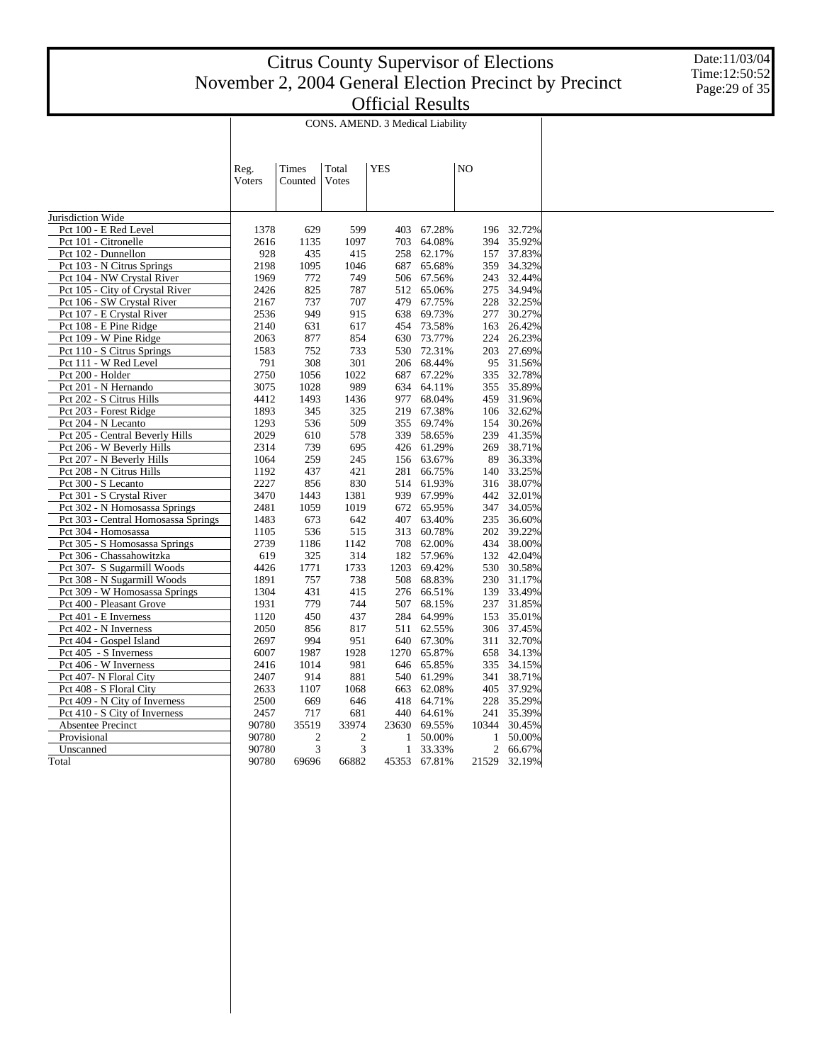Date:11/03/04 Time:12:50:52 Page:29 of 35

|                                     | CONS. AMEND. 3 Medical Liability |                |                |            |        |    |       |           |  |  |
|-------------------------------------|----------------------------------|----------------|----------------|------------|--------|----|-------|-----------|--|--|
|                                     |                                  |                |                |            |        |    |       |           |  |  |
|                                     |                                  |                |                |            |        |    |       |           |  |  |
|                                     | Reg.                             | Times          | Total          | <b>YES</b> |        | NO |       |           |  |  |
|                                     | Voters                           | Counted        | Votes          |            |        |    |       |           |  |  |
|                                     |                                  |                |                |            |        |    |       |           |  |  |
|                                     |                                  |                |                |            |        |    |       |           |  |  |
| Jurisdiction Wide                   |                                  |                |                |            |        |    |       |           |  |  |
| Pct 100 - E Red Level               | 1378                             | 629            | 599            | 403        | 67.28% |    | 196   | 32.72%    |  |  |
| Pct 101 - Citronelle                | 2616                             | 1135           | 1097           | 703        | 64.08% |    | 394   | 35.92%    |  |  |
| Pct 102 - Dunnellon                 | 928                              | 435            | 415            | 258        | 62.17% |    | 157   | 37.83%    |  |  |
| Pct 103 - N Citrus Springs          | 2198                             | 1095           | 1046           | 687        | 65.68% |    | 359   | 34.32%    |  |  |
| Pct 104 - NW Crystal River          | 1969                             | 772            | 749            | 506        | 67.56% |    | 243   | 32.44%    |  |  |
| Pct 105 - City of Crystal River     | 2426                             | 825            | 787            | 512        | 65.06% |    | 275   | 34.94%    |  |  |
| Pct 106 - SW Crystal River          | 2167                             | 737            | 707            | 479        | 67.75% |    | 228   | 32.25%    |  |  |
| Pct 107 - E Crystal River           | 2536                             | 949            | 915            | 638        | 69.73% |    | 277   | 30.27%    |  |  |
| Pct 108 - E Pine Ridge              | 2140                             | 631            | 617            | 454        | 73.58% |    | 163   | 26.42%    |  |  |
| Pct 109 - W Pine Ridge              | 2063                             | 877            | 854            | 630        | 73.77% |    | 224   | 26.23%    |  |  |
| Pct 110 - S Citrus Springs          | 1583                             | 752            | 733            | 530        | 72.31% |    | 203   | 27.69%    |  |  |
| Pct 111 - W Red Level               | 791                              | 308            | 301            | 206        | 68.44% |    |       | 95 31.56% |  |  |
| Pct 200 - Holder                    | 2750                             | 1056           | 1022           | 687        | 67.22% |    | 335   | 32.78%    |  |  |
| Pct 201 - N Hernando                | 3075                             | 1028           | 989            | 634        | 64.11% |    | 355   | 35.89%    |  |  |
| Pct 202 - S Citrus Hills            | 4412                             | 1493           | 1436           | 977        | 68.04% |    | 459   | 31.96%    |  |  |
| Pct 203 - Forest Ridge              | 1893                             | 345            | 325            | 219        | 67.38% |    | 106   | 32.62%    |  |  |
| Pct 204 - N Lecanto                 | 1293                             | 536            | 509            | 355        | 69.74% |    | 154   | 30.26%    |  |  |
| Pct 205 - Central Beverly Hills     | 2029                             | 610            | 578            | 339        | 58.65% |    | 239   | 41.35%    |  |  |
| Pct 206 - W Beverly Hills           | 2314                             | 739            | 695            | 426        | 61.29% |    | 269   | 38.71%    |  |  |
| Pct 207 - N Beverly Hills           | 1064                             | 259            | 245            | 156        | 63.67% |    | 89    | 36.33%    |  |  |
| Pct 208 - N Citrus Hills            | 1192                             | 437            | 421            | 281        | 66.75% |    | 140   | 33.25%    |  |  |
| Pct 300 - S Lecanto                 | 2227                             | 856            | 830            | 514        | 61.93% |    | 316   | 38.07%    |  |  |
| Pct 301 - S Crystal River           | 3470                             | 1443           | 1381           | 939        | 67.99% |    | 442   | 32.01%    |  |  |
| Pct 302 - N Homosassa Springs       | 2481                             | 1059           | 1019           | 672        | 65.95% |    | 347   | 34.05%    |  |  |
| Pct 303 - Central Homosassa Springs | 1483                             | 673            | 642            | 407        | 63.40% |    | 235   | 36.60%    |  |  |
| Pct 304 - Homosassa                 | 1105                             | 536            | 515            | 313        | 60.78% |    | 202   | 39.22%    |  |  |
| Pct 305 - S Homosassa Springs       | 2739                             | 1186           | 1142           | 708        | 62.00% |    | 434   | 38.00%    |  |  |
| Pct 306 - Chassahowitzka            | 619                              | 325            | 314            | 182        | 57.96% |    | 132   | 42.04%    |  |  |
| Pct 307- S Sugarmill Woods          | 4426                             | 1771           | 1733           | 1203       | 69.42% |    | 530   | 30.58%    |  |  |
| Pct 308 - N Sugarmill Woods         | 1891                             | 757            | 738            | 508        | 68.83% |    | 230   | 31.17%    |  |  |
| Pct 309 - W Homosassa Springs       | 1304                             | 431            | 415            | 276        | 66.51% |    | 139   | 33.49%    |  |  |
| Pct 400 - Pleasant Grove            | 1931                             | 779            | 744            | 507        | 68.15% |    | 237   | 31.85%    |  |  |
| Pct 401 - E Inverness               | 1120                             | 450            | 437            | 284        | 64.99% |    | 153   | 35.01%    |  |  |
| Pct 402 - N Inverness               | 2050                             | 856            | 817            | 511        | 62.55% |    | 306   | 37.45%    |  |  |
| Pct 404 - Gospel Island             | 2697                             | 994            | 951            | 640        | 67.30% |    | 311   | 32.70%    |  |  |
| Pct 405 - S Inverness               | 6007                             | 1987           | 1928           | 1270       | 65.87% |    | 658   | 34.13%    |  |  |
| Pct 406 - W Inverness               | 2416                             | 1014           | 981            | 646        | 65.85% |    | 335   | 34.15%    |  |  |
| Pct 407- N Floral City              | 2407                             | 914            | 881            | 540        | 61.29% |    | 341   | 38.71%    |  |  |
| Pct 408 - S Floral City             | 2633                             | 1107           | 1068           | 663        | 62.08% |    | 405   | 37.92%    |  |  |
| Pct 409 - N City of Inverness       | 2500                             | 669            | 646            | 418        | 64.71% |    | 228   | 35.29%    |  |  |
| Pct 410 - S City of Inverness       | 2457                             | 717            | 681            | 440        | 64.61% |    | 241   | 35.39%    |  |  |
| Absentee Precinct                   | 90780                            | 35519          | 33974          | 23630      | 69.55% |    | 10344 | 30.45%    |  |  |
| Provisional                         | 90780                            | $\mathfrak{2}$ | $\mathfrak{2}$ | 1          | 50.00% |    | 1     | 50.00%    |  |  |
| Unscanned                           | 90780                            | 3              | 3              | 1          | 33.33% |    | 2     | 66.67%    |  |  |
| Total                               | 90780                            | 69696          | 66882          | 45353      | 67.81% |    | 21529 | 32.19%    |  |  |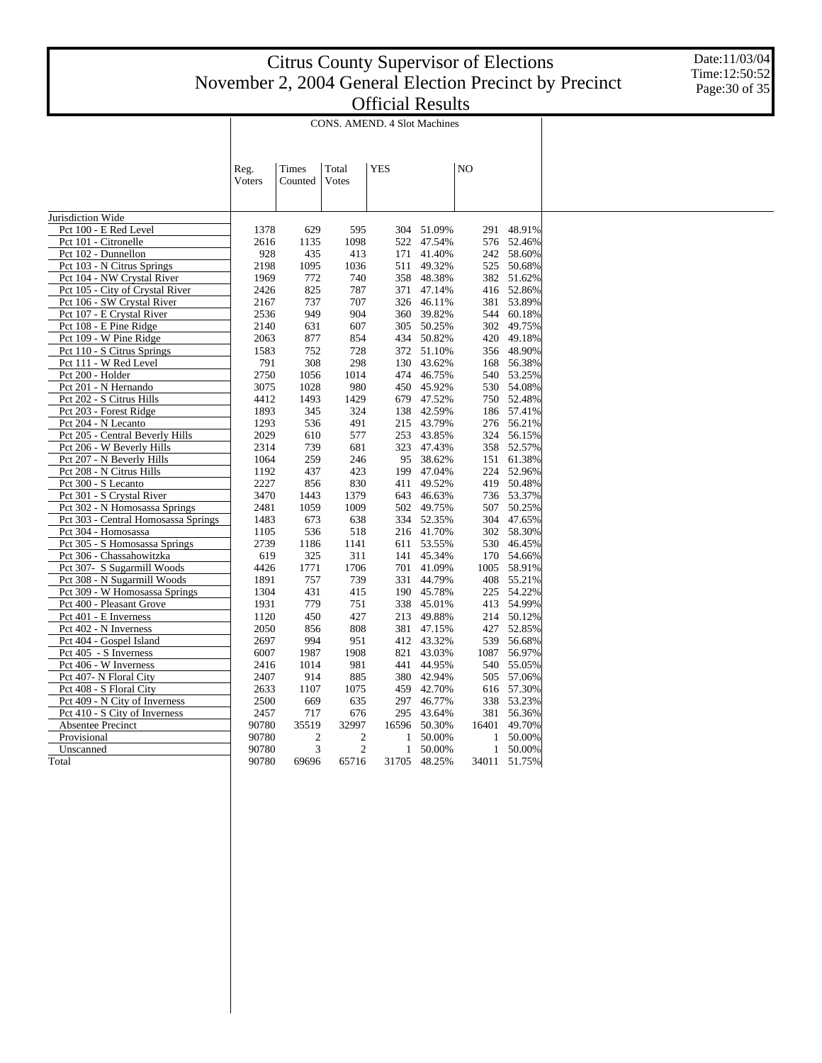Date:11/03/04 Time:12:50:52 Page:30 of 35

|                                                     | CONS. AMEND. 4 Slot Machines |                |                |            |                  |                |              |                  |  |  |  |
|-----------------------------------------------------|------------------------------|----------------|----------------|------------|------------------|----------------|--------------|------------------|--|--|--|
|                                                     |                              |                |                |            |                  |                |              |                  |  |  |  |
|                                                     |                              |                |                |            |                  |                |              |                  |  |  |  |
|                                                     | Reg.                         | Times          | Total          | <b>YES</b> |                  | N <sub>O</sub> |              |                  |  |  |  |
|                                                     | Voters                       | Counted        | Votes          |            |                  |                |              |                  |  |  |  |
|                                                     |                              |                |                |            |                  |                |              |                  |  |  |  |
|                                                     |                              |                |                |            |                  |                |              |                  |  |  |  |
| Jurisdiction Wide                                   |                              |                |                |            |                  |                |              |                  |  |  |  |
| Pct 100 - E Red Level                               | 1378                         | 629            | 595            | 304        | 51.09%           |                | 291          | 48.91%           |  |  |  |
| Pct 101 - Citronelle                                | 2616                         | 1135           | 1098           | 522        | 47.54%           |                |              | 576 52.46%       |  |  |  |
| Pct 102 - Dunnellon                                 | 928                          | 435            | 413            | 171        | 41.40%           |                | 242          | 58.60%           |  |  |  |
| Pct 103 - N Citrus Springs                          | 2198                         | 1095           | 1036           | 511        | 49.32%           |                | 525          | 50.68%           |  |  |  |
| Pct 104 - NW Crystal River                          | 1969                         | 772            | 740            | 358        | 48.38%           |                |              | 382 51.62%       |  |  |  |
| Pct 105 - City of Crystal River                     | 2426                         | 825            | 787            | 371        | 47.14%           |                |              | 416 52.86%       |  |  |  |
| Pct 106 - SW Crystal River                          | 2167                         | 737            | 707            | 326        | 46.11%           |                |              | 381 53.89%       |  |  |  |
| Pct 107 - E Crystal River                           | 2536                         | 949            | 904            | 360        | 39.82%           |                | 544          | 60.18%           |  |  |  |
| Pct 108 - E Pine Ridge                              | 2140                         | 631            | 607            | 305        | 50.25%           |                | 302          | 49.75%           |  |  |  |
| Pct 109 - W Pine Ridge                              | 2063<br>1583                 | 877<br>752     | 854            | 434        | 50.82%<br>51.10% |                | 420<br>356   | 49.18%<br>48.90% |  |  |  |
| Pct 110 - S Citrus Springs<br>Pct 111 - W Red Level | 791                          | 308            | 728<br>298     | 372<br>130 | 43.62%           |                | 168          | 56.38%           |  |  |  |
| Pct 200 - Holder                                    | 2750                         | 1056           | 1014           | 474        | 46.75%           |                | 540          | 53.25%           |  |  |  |
| Pct 201 - N Hernando                                | 3075                         | 1028           | 980            | 450        | 45.92%           |                | 530          | 54.08%           |  |  |  |
| Pct 202 - S Citrus Hills                            | 4412                         | 1493           | 1429           | 679        | 47.52%           |                |              | 750 52.48%       |  |  |  |
| Pct 203 - Forest Ridge                              | 1893                         | 345            | 324            | 138        | 42.59%           |                |              | 186 57.41%       |  |  |  |
| Pct 204 - N Lecanto                                 | 1293                         | 536            | 491            | 215        | 43.79%           |                |              | 276 56.21%       |  |  |  |
| Pct 205 - Central Beverly Hills                     | 2029                         | 610            | 577            | 253        | 43.85%           |                | 324          | 56.15%           |  |  |  |
| Pct 206 - W Beverly Hills                           | 2314                         | 739            | 681            | 323        | 47.43%           |                |              | 358 52.57%       |  |  |  |
| Pct 207 - N Beverly Hills                           | 1064                         | 259            | 246            | 95         | 38.62%           |                |              | 151 61.38%       |  |  |  |
| Pct 208 - N Citrus Hills                            | 1192                         | 437            | 423            | 199        | 47.04%           |                | 224          | 52.96%           |  |  |  |
| Pct 300 - S Lecanto                                 | 2227                         | 856            | 830            | 411        | 49.52%           |                |              | 419 50.48%       |  |  |  |
| Pct 301 - S Crystal River                           | 3470                         | 1443           | 1379           | 643        | 46.63%           |                |              | 736 53.37%       |  |  |  |
| Pct 302 - N Homosassa Springs                       | 2481                         | 1059           | 1009           | 502        | 49.75%           |                | 507          | 50.25%           |  |  |  |
| Pct 303 - Central Homosassa Springs                 | 1483                         | 673            | 638            | 334        | 52.35%           |                |              | 304 47.65%       |  |  |  |
| Pct 304 - Homosassa                                 | 1105                         | 536            | 518            | 216        | 41.70%           |                | 302          | 58.30%           |  |  |  |
| Pct 305 - S Homosassa Springs                       | 2739                         | 1186           | 1141           | 611        | 53.55%           |                | 530          | 46.45%           |  |  |  |
| Pct 306 - Chassahowitzka                            | 619                          | 325            | 311            | 141        | 45.34%           |                |              | 170 54.66%       |  |  |  |
| Pct 307- S Sugarmill Woods                          | 4426                         | 1771           | 1706           | 701        | 41.09%           |                | 1005         | 58.91%           |  |  |  |
| Pct 308 - N Sugarmill Woods                         | 1891                         | 757            | 739            | 331        | 44.79%           |                |              | 408 55.21%       |  |  |  |
| Pct 309 - W Homosassa Springs                       | 1304                         | 431            | 415            | 190        | 45.78%           |                | 225          | 54.22%           |  |  |  |
| Pct 400 - Pleasant Grove                            | 1931                         | 779            | 751            | 338        | 45.01%           |                |              | 413 54.99%       |  |  |  |
| Pct 401 - E Inverness                               | 1120                         | 450            | 427            | 213        | 49.88%           |                |              | 214 50.12%       |  |  |  |
| Pct 402 - N Inverness                               | 2050                         | 856            | 808            | 381        | 47.15%           |                |              | 427 52.85%       |  |  |  |
| Pct 404 - Gospel Island                             | 2697                         | 994            | 951            | 412        | 43.32%           |                | 539          | 56.68%           |  |  |  |
| Pct 405 - S Inverness                               | 6007                         | 1987           | 1908           | 821        | 43.03%           |                |              | 1087 56.97%      |  |  |  |
| Pct 406 - W Inverness                               | 2416                         | 1014           | 981            | 441        | 44.95%           |                | 540          | 55.05%           |  |  |  |
| Pct 407- N Floral City                              | 2407                         | 914            | 885            | 380        | 42.94%           |                |              | 505 57.06%       |  |  |  |
| Pct 408 - S Floral City                             | 2633                         | 1107           | 1075           | 459        | 42.70%           |                | 616          | 57.30%           |  |  |  |
| Pct 409 - N City of Inverness                       | 2500                         | 669            | 635            | 297        | 46.77%           |                |              | 338 53.23%       |  |  |  |
| Pct 410 - S City of Inverness                       | 2457                         | 717            | 676            | 295        | 43.64%           |                |              | 381 56.36%       |  |  |  |
| <b>Absentee Precinct</b>                            | 90780                        | 35519          | 32997          | 16596      | 50.30%           |                | 16401        | 49.70%           |  |  |  |
| Provisional                                         | 90780                        | $\mathfrak{2}$ | $\mathfrak{2}$ | 1          | 50.00%           |                | 1            | 50.00%           |  |  |  |
| Unscanned                                           | 90780                        | 3              | $\mathfrak{2}$ | 1          | 50.00%           |                | $\mathbf{1}$ | 50.00%           |  |  |  |
| Total                                               | 90780                        | 69696          | 65716          | 31705      | 48.25%           |                |              | 34011 51.75%     |  |  |  |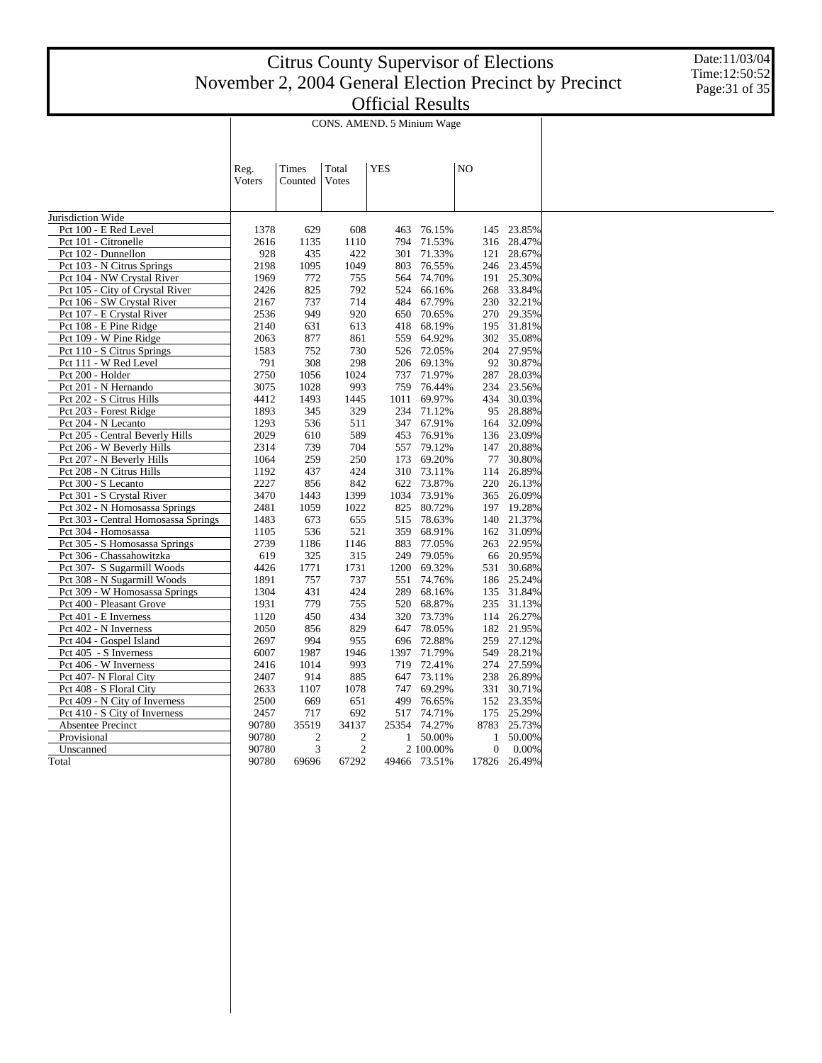Date:11/03/04 Time:12:50:52 Page:31 of 35

|                                                               | CONS. AMEND. 5 Minium Wage |                |                |            |                  |    |                  |                  |  |  |  |
|---------------------------------------------------------------|----------------------------|----------------|----------------|------------|------------------|----|------------------|------------------|--|--|--|
|                                                               |                            |                |                |            |                  |    |                  |                  |  |  |  |
|                                                               |                            |                |                |            |                  |    |                  |                  |  |  |  |
|                                                               |                            |                |                |            |                  |    |                  |                  |  |  |  |
|                                                               | Reg.                       | Times          | Total          | <b>YES</b> |                  | NO |                  |                  |  |  |  |
|                                                               | Voters                     | Counted        | Votes          |            |                  |    |                  |                  |  |  |  |
|                                                               |                            |                |                |            |                  |    |                  |                  |  |  |  |
|                                                               |                            |                |                |            |                  |    |                  |                  |  |  |  |
| Jurisdiction Wide                                             |                            |                |                |            |                  |    |                  |                  |  |  |  |
| Pct 100 - E Red Level                                         | 1378                       | 629            | 608            | 463        | 76.15%           |    | 145              | 23.85%           |  |  |  |
| Pct 101 - Citronelle                                          | 2616                       | 1135           | 1110           | 794        | 71.53%           |    | 316              | 28.47%           |  |  |  |
| Pct 102 - Dunnellon                                           | 928                        | 435            | 422            | 301        | 71.33%           |    | 121              | 28.67%           |  |  |  |
| Pct 103 - N Citrus Springs                                    | 2198<br>1969               | 1095<br>772    | 1049<br>755    | 803        | 76.55%           |    | 246<br>191       | 23.45%           |  |  |  |
| Pct 104 - NW Crystal River<br>Pct 105 - City of Crystal River | 2426                       | 825            | 792            | 564<br>524 | 74.70%<br>66.16% |    | 268              | 25.30%<br>33.84% |  |  |  |
| Pct 106 - SW Crystal River                                    | 2167                       | 737            | 714            | 484        | 67.79%           |    | 230              | 32.21%           |  |  |  |
| Pct 107 - E Crystal River                                     | 2536                       | 949            | 920            | 650        | 70.65%           |    | 270              | 29.35%           |  |  |  |
|                                                               | 2140                       | 631            |                | 418        | 68.19%           |    | 195              | 31.81%           |  |  |  |
| Pct 108 - E Pine Ridge<br>Pct 109 - W Pine Ridge              | 2063                       | 877            | 613<br>861     | 559        | 64.92%           |    | 302              | 35.08%           |  |  |  |
| Pct 110 - S Citrus Springs                                    | 1583                       | 752            | 730            | 526        | 72.05%           |    | 204              | 27.95%           |  |  |  |
| Pct 111 - W Red Level                                         | 791                        | 308            | 298            | 206        | 69.13%           |    | 92               | 30.87%           |  |  |  |
| Pct 200 - Holder                                              | 2750                       | 1056           | 1024           | 737        | 71.97%           |    | 287              | 28.03%           |  |  |  |
| Pct 201 - N Hernando                                          | 3075                       | 1028           | 993            | 759        | 76.44%           |    | 234              | 23.56%           |  |  |  |
| Pct 202 - S Citrus Hills                                      | 4412                       | 1493           | 1445           | 1011       | 69.97%           |    | 434              | 30.03%           |  |  |  |
| Pct 203 - Forest Ridge                                        | 1893                       | 345            | 329            | 234        | 71.12%           |    | 95               | 28.88%           |  |  |  |
| Pct 204 - N Lecanto                                           | 1293                       | 536            | 511            | 347        | 67.91%           |    | 164              | 32.09%           |  |  |  |
| Pct 205 - Central Beverly Hills                               | 2029                       | 610            | 589            | 453        | 76.91%           |    | 136              | 23.09%           |  |  |  |
| Pct 206 - W Beverly Hills                                     | 2314                       | 739            | 704            | 557        | 79.12%           |    | 147              | 20.88%           |  |  |  |
| Pct 207 - N Beverly Hills                                     | 1064                       | 259            | 250            | 173        | 69.20%           |    | 77               | 30.80%           |  |  |  |
| Pct 208 - N Citrus Hills                                      | 1192                       | 437            | 424            | 310        | 73.11%           |    | 114              | 26.89%           |  |  |  |
| Pct 300 - S Lecanto                                           | 2227                       | 856            | 842            | 622        | 73.87%           |    | 220              | 26.13%           |  |  |  |
| Pct 301 - S Crystal River                                     | 3470                       | 1443           | 1399           | 1034       | 73.91%           |    | 365              | 26.09%           |  |  |  |
| Pct 302 - N Homosassa Springs                                 | 2481                       | 1059           | 1022           | 825        | 80.72%           |    | 197              | 19.28%           |  |  |  |
| Pct 303 - Central Homosassa Springs                           | 1483                       | 673            | 655            | 515        | 78.63%           |    |                  | 140 21.37%       |  |  |  |
| Pct 304 - Homosassa                                           | 1105                       | 536            | 521            | 359        | 68.91%           |    | 162              | 31.09%           |  |  |  |
| Pct 305 - S Homosassa Springs                                 | 2739                       | 1186           | 1146           | 883        | 77.05%           |    | 263              | 22.95%           |  |  |  |
| Pct 306 - Chassahowitzka                                      | 619                        | 325            | 315            | 249        | 79.05%           |    | 66               | 20.95%           |  |  |  |
| Pct 307- S Sugarmill Woods                                    | 4426                       | 1771           | 1731           | 1200       | 69.32%           |    | 531              | 30.68%           |  |  |  |
| Pct 308 - N Sugarmill Woods                                   | 1891                       | 757            | 737            | 551        | 74.76%           |    | 186              | 25.24%           |  |  |  |
| Pct 309 - W Homosassa Springs                                 | 1304                       | 431            | 424            | 289        | 68.16%           |    | 135              | 31.84%           |  |  |  |
| Pct 400 - Pleasant Grove                                      | 1931                       | 779            | 755            | 520        | 68.87%           |    | 235              | 31.13%           |  |  |  |
| Pct 401 - E Inverness                                         | 1120                       | 450            | 434            | 320        | 73.73%           |    | 114              | 26.27%           |  |  |  |
| Pct 402 - N Inverness                                         | 2050                       | 856            | 829            | 647        | 78.05%           |    | 182              | 21.95%           |  |  |  |
| Pct 404 - Gospel Island                                       | 2697                       | 994            | 955            | 696        | 72.88%           |    | 259              | 27.12%           |  |  |  |
| Pct 405 - S Inverness                                         | 6007                       | 1987           | 1946           | 1397       | 71.79%           |    | 549              | 28.21%           |  |  |  |
| Pct 406 - W Inverness                                         | 2416                       | 1014           | 993            | 719        | 72.41%           |    | 274              | 27.59%           |  |  |  |
| Pct 407- N Floral City                                        | 2407                       | 914            | 885            | 647        | 73.11%           |    | 238              | 26.89%           |  |  |  |
| Pct 408 - S Floral City                                       | 2633                       | 1107           | 1078           | 747        | 69.29%           |    | 331              | 30.71%           |  |  |  |
| Pct 409 - N City of Inverness                                 | 2500                       | 669            | 651            | 499        | 76.65%           |    | 152              | 23.35%           |  |  |  |
| Pct 410 - S City of Inverness                                 | 2457                       | 717            | 692            | 517        | 74.71%           |    |                  | 175 25.29%       |  |  |  |
| <b>Absentee Precinct</b>                                      | 90780                      | 35519          | 34137          | 25354      | 74.27%           |    | 8783             | 25.73%           |  |  |  |
| Provisional                                                   | 90780                      | $\mathfrak{2}$ | $\overline{2}$ | 1          | 50.00%           |    | 1                | 50.00%           |  |  |  |
| Unscanned                                                     | 90780                      | 3              | $\overline{c}$ |            | 2 100.00%        |    | $\boldsymbol{0}$ | 0.00%            |  |  |  |
| Total                                                         | 90780                      | 69696          | 67292          |            | 49466 73.51%     |    | 17826            | 26.49%           |  |  |  |
|                                                               |                            |                |                |            |                  |    |                  |                  |  |  |  |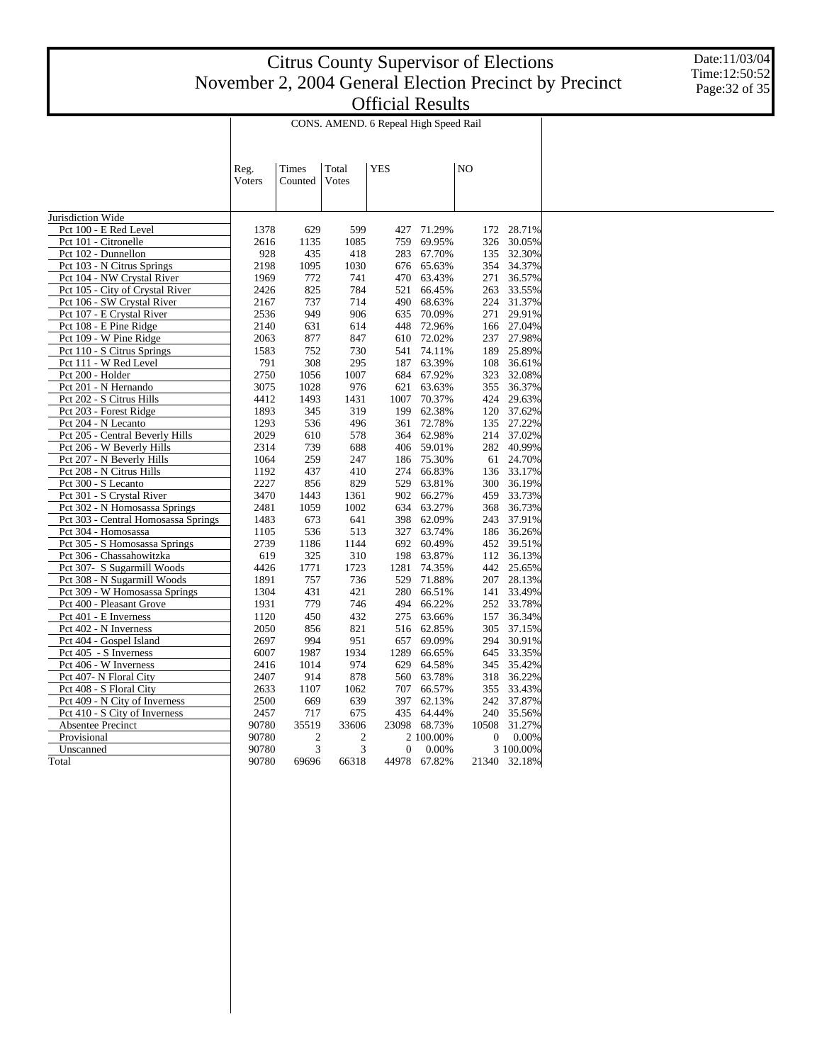Date:11/03/04 Time:12:50:52 Page:32 of 35

|                                     | CONS. AMEND. 6 Repeal High Speed Rail |                |       |            |            |       |                  |              |
|-------------------------------------|---------------------------------------|----------------|-------|------------|------------|-------|------------------|--------------|
|                                     |                                       |                |       |            |            |       |                  |              |
|                                     | Reg.                                  | Times          | Total | <b>YES</b> |            | NO    |                  |              |
|                                     | Voters                                | Counted        | Votes |            |            |       |                  |              |
|                                     |                                       |                |       |            |            |       |                  |              |
| Jurisdiction Wide                   |                                       |                |       |            |            |       |                  |              |
| Pct 100 - E Red Level               | 1378                                  | 629            | 599   | 427        | 71.29%     |       | 172              | 28.71%       |
| Pct 101 - Citronelle                | 2616                                  | 1135           | 1085  | 759        | 69.95%     |       | 326              | 30.05%       |
| Pct 102 - Dunnellon                 | 928                                   | 435            | 418   | 283        | 67.70%     |       | 135              | 32.30%       |
| Pct 103 - N Citrus Springs          | 2198                                  | 1095           | 1030  | 676        | 65.63%     |       | 354              | 34.37%       |
| Pct 104 - NW Crystal River          | 1969                                  | 772            | 741   | 470        | 63.43%     |       | 271              | 36.57%       |
| Pct 105 - City of Crystal River     | 2426                                  | 825            | 784   | 521        | 66.45%     |       | 263              | 33.55%       |
| Pct 106 - SW Crystal River          | 2167                                  | 737            | 714   | 490        | 68.63%     |       | 224              | 31.37%       |
| Pct 107 - E Crystal River           | 2536                                  | 949            | 906   | 635        | 70.09%     |       | 271              | 29.91%       |
| Pct 108 - E Pine Ridge              | 2140                                  | 631            | 614   | 448        | 72.96%     |       | 166              | 27.04%       |
| Pct 109 - W Pine Ridge              | 2063                                  | 877            | 847   | 610        | 72.02%     |       | 237              | 27.98%       |
| Pct 110 - S Citrus Springs          | 1583                                  | 752            | 730   | 541        | 74.11%     |       | 189              | 25.89%       |
| Pct 111 - W Red Level               | 791                                   | 308            | 295   | 187        | 63.39%     |       | 108              | 36.61%       |
| Pct 200 - Holder                    | 2750                                  | 1056           | 1007  | 684        | 67.92%     |       | 323              | 32.08%       |
| Pct 201 - N Hernando                | 3075                                  | 1028           | 976   | 621        | 63.63%     |       | 355              | 36.37%       |
| Pct 202 - S Citrus Hills            | 4412                                  | 1493           | 1431  | 1007       | 70.37%     |       | 424              | 29.63%       |
| Pct 203 - Forest Ridge              | 1893                                  | 345            | 319   | 199        | 62.38%     |       | 120              | 37.62%       |
| Pct 204 - N Lecanto                 | 1293                                  | 536            | 496   | 361        | 72.78%     |       | 135              | 27.22%       |
| Pct 205 - Central Beverly Hills     | 2029                                  | 610            | 578   | 364        | 62.98%     |       |                  | 214 37.02%   |
| Pct 206 - W Beverly Hills           | 2314                                  | 739            | 688   | 406        | 59.01%     |       | 282              | 40.99%       |
| Pct 207 - N Beverly Hills           | 1064                                  | 259            | 247   | 186        | 75.30%     |       |                  | 61 24.70%    |
| Pct 208 - N Citrus Hills            | 1192                                  | 437            | 410   | 274        | 66.83%     |       | 136              | 33.17%       |
| Pct 300 - S Lecanto                 | 2227                                  | 856            | 829   | 529        | 63.81%     |       | 300              | 36.19%       |
| Pct 301 - S Crystal River           | 3470                                  | 1443           | 1361  | 902        | 66.27%     |       | 459              | 33.73%       |
| Pct 302 - N Homosassa Springs       | 2481                                  | 1059           | 1002  | 634        | 63.27%     |       | 368              | 36.73%       |
| Pct 303 - Central Homosassa Springs | 1483                                  | 673            | 641   | 398        | 62.09%     |       | 243              | 37.91%       |
| Pct 304 - Homosassa                 | 1105                                  | 536            | 513   | 327        | 63.74%     |       | 186              | 36.26%       |
| Pct 305 - S Homosassa Springs       | 2739                                  | 1186           | 1144  |            | 692 60.49% |       | 452              | 39.51%       |
| Pct 306 - Chassahowitzka            | 619                                   | 325            | 310   | 198        | 63.87%     |       | 112              | 36.13%       |
| Pct 307- S Sugarmill Woods          | 4426                                  | 1771           | 1723  | 1281       | 74.35%     |       | 442              | 25.65%       |
| Pct 308 - N Sugarmill Woods         | 1891                                  | 757            | 736   | 529        | 71.88%     |       | 207              | 28.13%       |
| Pct 309 - W Homosassa Springs       | 1304                                  | 431            | 421   | 280        | 66.51%     |       | 141              | 33.49%       |
| Pct 400 - Pleasant Grove            | 1931                                  | 779            | 746   | 494        | 66.22%     |       | 252              | 33.78%       |
| Pct 401 - E Inverness               | 1120                                  | 450            | 432   | 275        | 63.66%     |       | 157              | 36.34%       |
| Pct 402 - N Inverness               | 2050                                  | 856            | 821   | 516        | 62.85%     |       | 305              | 37.15%       |
| Pct 404 - Gospel Island             | 2697                                  | 994            | 951   | 657        | 69.09%     |       | 294              | 30.91%       |
| Pct 405 - S Inverness               | 6007                                  | 1987           | 1934  | 1289       | 66.65%     |       | 645              | 33.35%       |
| Pct 406 - W Inverness               | 2416                                  | 1014           | 974   | 629        | 64.58%     |       | 345              | 35.42%       |
| Pct 407- N Floral City              | 2407                                  | 914            | 878   | 560        | 63.78%     |       | 318              | 36.22%       |
| Pct 408 - S Floral City             | 2633                                  | 1107           | 1062  | 707        | 66.57%     |       | 355              | 33.43%       |
| Pct 409 - N City of Inverness       | 2500                                  | 669            | 639   | 397        | 62.13%     |       | 242              | 37.87%       |
| Pct 410 - S City of Inverness       | 2457                                  | 717            | 675   | 435        | 64.44%     |       | 240              | 35.56%       |
| Absentee Precinct                   | 90780                                 | 35519          | 33606 | 23098      | 68.73%     | 10508 |                  | 31.27%       |
| Provisional                         | 90780                                 | $\overline{c}$ | 2     |            | 2 100.00%  |       | $\boldsymbol{0}$ | 0.00%        |
| Unscanned                           | 90780                                 | 3              | 3     | 0          | 0.00%      |       |                  | 3 100.00%    |
| Total                               | 90780                                 | 69696          | 66318 | 44978      | 67.82%     |       |                  | 21340 32.18% |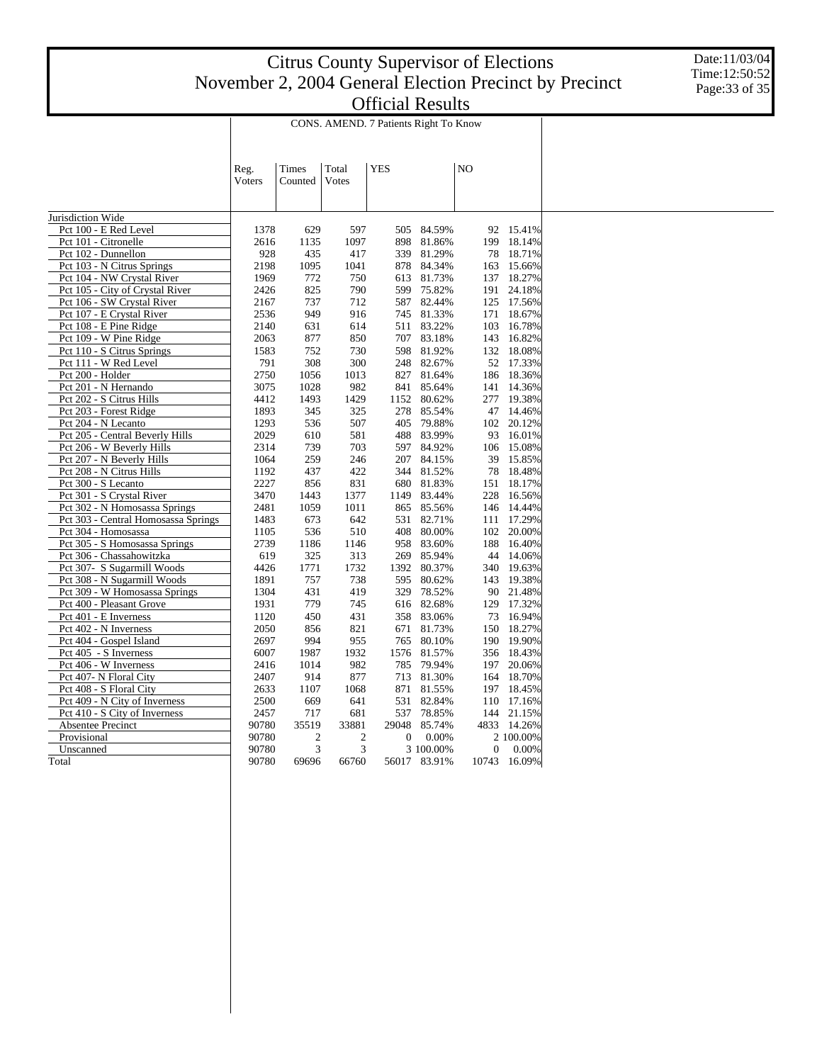Date:11/03/04 Time:12:50:52 Page:33 of 35

|                                     | CONS. AMEND. 7 Patients Right To Know |                         |                |            |           |                  |            |
|-------------------------------------|---------------------------------------|-------------------------|----------------|------------|-----------|------------------|------------|
|                                     |                                       |                         |                |            |           |                  |            |
|                                     | Reg.                                  | Times                   | Total          | <b>YES</b> |           | NO               |            |
|                                     | Voters                                | Counted                 | Votes          |            |           |                  |            |
|                                     |                                       |                         |                |            |           |                  |            |
| Jurisdiction Wide                   |                                       |                         |                |            |           |                  |            |
| Pct 100 - E Red Level               | 1378                                  | 629                     | 597            | 505        | 84.59%    | 92               | 15.41%     |
| Pct 101 - Citronelle                | 2616                                  | 1135                    | 1097           | 898        | 81.86%    | 199              | 18.14%     |
| Pct 102 - Dunnellon                 | 928                                   | 435                     | 417            | 339        | 81.29%    | 78               | 18.71%     |
| Pct 103 - N Citrus Springs          | 2198                                  | 1095                    | 1041           | 878        | 84.34%    | 163              | 15.66%     |
| Pct 104 - NW Crystal River          | 1969                                  | 772                     | 750            | 613        | 81.73%    | 137              | 18.27%     |
| Pct 105 - City of Crystal River     | 2426                                  | 825                     | 790            | 599        | 75.82%    | 191              | 24.18%     |
| Pct 106 - SW Crystal River          | 2167                                  | 737                     | 712            | 587        | 82.44%    | 125              | 17.56%     |
| Pct 107 - E Crystal River           | 2536                                  | 949                     | 916            | 745        | 81.33%    | 171              | 18.67%     |
| Pct 108 - E Pine Ridge              | 2140                                  | 631                     | 614            | 511        | 83.22%    | 103              | 16.78%     |
| Pct 109 - W Pine Ridge              | 2063                                  | 877                     | 850            | 707        | 83.18%    | 143              | 16.82%     |
| Pct 110 - S Citrus Springs          | 1583                                  | 752                     | 730            | 598        | 81.92%    | 132              | 18.08%     |
| Pct 111 - W Red Level               | 791                                   | 308                     | 300            | 248        | 82.67%    | 52               | 17.33%     |
| Pct 200 - Holder                    | 2750                                  | 1056                    | 1013           | 827        | 81.64%    | 186              | 18.36%     |
| Pct 201 - N Hernando                | 3075                                  | 1028                    | 982            | 841        | 85.64%    | 141              | 14.36%     |
| Pct 202 - S Citrus Hills            | 4412                                  | 1493                    | 1429           | 1152       | 80.62%    |                  | 277 19.38% |
| Pct 203 - Forest Ridge              | 1893                                  | 345                     | 325            | 278        | 85.54%    | 47               | 14.46%     |
| Pct 204 - N Lecanto                 | 1293                                  | 536                     | 507            | 405        | 79.88%    |                  | 102 20.12% |
| Pct 205 - Central Beverly Hills     | 2029                                  | 610                     | 581            | 488        | 83.99%    | 93               | 16.01%     |
| Pct 206 - W Beverly Hills           | 2314                                  | 739                     | 703            | 597        | 84.92%    | 106              | 15.08%     |
| Pct 207 - N Beverly Hills           | 1064                                  | 259                     | 246            | 207        | 84.15%    | 39               | 15.85%     |
| Pct 208 - N Citrus Hills            | 1192                                  | 437                     | 422            | 344        | 81.52%    | 78               | 18.48%     |
| Pct 300 - S Lecanto                 | 2227                                  | 856                     | 831            | 680        | 81.83%    | 151              | 18.17%     |
| Pct 301 - S Crystal River           | 3470                                  | 1443                    | 1377           | 1149       | 83.44%    | 228              | 16.56%     |
| Pct 302 - N Homosassa Springs       | 2481                                  | 1059                    | 1011           | 865        | 85.56%    | 146              | 14.44%     |
| Pct 303 - Central Homosassa Springs | 1483                                  | 673                     | 642            | 531        | 82.71%    | 111              | 17.29%     |
| Pct 304 - Homosassa                 | 1105                                  | 536                     | 510            | 408        | 80.00%    | 102              | 20.00%     |
| Pct 305 - S Homosassa Springs       | 2739                                  | 1186                    | 1146           | 958        | 83.60%    | 188              | 16.40%     |
| Pct 306 - Chassahowitzka            | 619                                   | 325                     | 313            | 269        | 85.94%    | 44               | 14.06%     |
| Pct 307- S Sugarmill Woods          | 4426                                  | 1771                    | 1732           | 1392       | 80.37%    | 340              | 19.63%     |
| Pct 308 - N Sugarmill Woods         | 1891                                  | 757                     | 738            | 595        | 80.62%    |                  | 143 19.38% |
| Pct 309 - W Homosassa Springs       | 1304                                  | 431                     | 419            | 329        | 78.52%    |                  | 90 21.48%  |
| Pct 400 - Pleasant Grove            | 1931                                  | 779                     | 745            | 616        | 82.68%    | 129              | 17.32%     |
| Pct 401 - E Inverness               | 1120                                  | 450                     | 431            | 358        | 83.06%    |                  | 73 16.94%  |
| Pct 402 - N Inverness               | 2050                                  | 856                     | 821            | 671        | 81.73%    | 150              | 18.27%     |
| Pct 404 - Gospel Island             | 2697                                  | 994                     | 955            | 765        | 80.10%    | 190              | 19.90%     |
| Pct 405 - S Inverness               | 6007                                  | 1987                    | 1932           | 1576       | 81.57%    | 356              | 18.43%     |
| Pct 406 - W Inverness               | 2416                                  | 1014                    | 982            | 785        | 79.94%    | 197              | 20.06%     |
| Pct 407- N Floral City              | 2407                                  | 914                     | 877            | 713        | 81.30%    |                  | 164 18.70% |
| Pct 408 - S Floral City             | 2633                                  | 1107                    | 1068           | 871        | 81.55%    | 197              | 18.45%     |
| Pct 409 - N City of Inverness       | 2500                                  | 669                     | 641            | 531        | 82.84%    | 110              | 17.16%     |
| Pct 410 - S City of Inverness       | 2457                                  | 717                     | 681            | 537        | 78.85%    |                  | 144 21.15% |
| Absentee Precinct                   | 90780                                 | 35519                   | 33881          | 29048      | 85.74%    | 4833             | 14.26%     |
| Provisional                         | 90780                                 | $\overline{\mathbf{c}}$ | $\overline{c}$ | 0          | 0.00%     |                  | 2 100.00%  |
| Unscanned                           | 90780                                 | 3                       | 3              |            | 3 100.00% | $\boldsymbol{0}$ | 0.00%      |
| Total                               | 90780                                 | 69696                   | 66760          | 56017      | 83.91%    | 10743            | 16.09%     |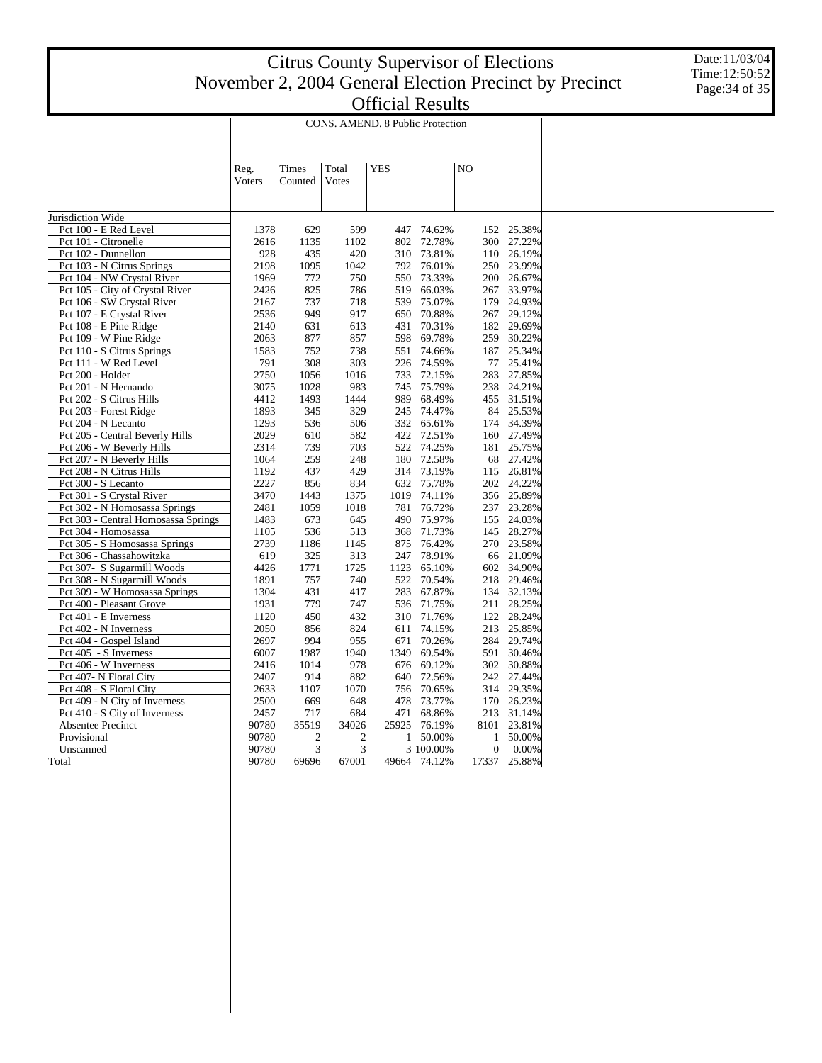Date:11/03/04 Time:12:50:52 Page:34 of 35

|                                             | CONS. AMEND. 8 Public Protection |             |             |            |                     |    |                                  |                  |
|---------------------------------------------|----------------------------------|-------------|-------------|------------|---------------------|----|----------------------------------|------------------|
|                                             |                                  |             |             |            |                     |    |                                  |                  |
|                                             | Reg.                             | Times       | Total       | <b>YES</b> |                     | NO |                                  |                  |
|                                             | Voters                           | Counted     | Votes       |            |                     |    |                                  |                  |
|                                             |                                  |             |             |            |                     |    |                                  |                  |
|                                             |                                  |             |             |            |                     |    |                                  |                  |
| Jurisdiction Wide                           |                                  |             |             |            |                     |    |                                  |                  |
| Pct 100 - E Red Level                       | 1378                             | 629         | 599         | 447        | 74.62%              |    | 152                              | 25.38%           |
| Pct 101 - Citronelle<br>Pct 102 - Dunnellon | 2616<br>928                      | 1135<br>435 | 1102<br>420 | 802<br>310 | 72.78%<br>73.81%    |    | 300<br>110                       | 27.22%<br>26.19% |
| Pct 103 - N Citrus Springs                  | 2198                             | 1095        | 1042        | 792        | 76.01%              |    | 250                              | 23.99%           |
| Pct 104 - NW Crystal River                  | 1969                             | 772         | 750         | 550        | 73.33%              |    | 200                              | 26.67%           |
| Pct 105 - City of Crystal River             | 2426                             | 825         | 786         | 519        | 66.03%              |    | 267                              | 33.97%           |
| Pct 106 - SW Crystal River                  | 2167                             | 737         | 718         | 539        | 75.07%              |    | 179                              | 24.93%           |
| Pct 107 - E Crystal River                   | 2536                             | 949         | 917         | 650        | 70.88%              |    | 267                              | 29.12%           |
| Pct 108 - E Pine Ridge                      | 2140                             | 631         | 613         | 431        | 70.31%              |    |                                  | 182 29.69%       |
| Pct 109 - W Pine Ridge                      | 2063                             | 877         | 857         | 598        | 69.78%              |    | 259                              | 30.22%           |
| Pct 110 - S Citrus Springs                  | 1583                             | 752         | 738         | 551        | 74.66%              |    | 187                              | 25.34%           |
| Pct 111 - W Red Level                       | 791                              | 308         | 303         | 226        | 74.59%              |    |                                  | 77 25.41%        |
| Pct 200 - Holder                            | 2750                             | 1056        | 1016        | 733        | 72.15%              |    | 283                              | 27.85%           |
| Pct 201 - N Hernando                        | 3075                             | 1028        | 983         | 745        | 75.79%              |    |                                  | 238 24.21%       |
| Pct 202 - S Citrus Hills                    | 4412                             | 1493        | 1444        | 989        | 68.49%              |    |                                  | 455 31.51%       |
| Pct 203 - Forest Ridge                      | 1893                             | 345         | 329         | 245        | 74.47%              |    | 84                               | 25.53%           |
| Pct 204 - N Lecanto                         | 1293                             | 536         | 506         | 332        | 65.61%              |    | 174                              | 34.39%           |
| Pct 205 - Central Beverly Hills             | 2029                             | 610         | 582         | 422        | 72.51%              |    | 160                              | 27.49%           |
| Pct 206 - W Beverly Hills                   | 2314                             | 739         | 703         | 522        | 74.25%              |    | 181                              | 25.75%           |
| Pct 207 - N Beverly Hills                   | 1064                             | 259         | 248         | 180        | 72.58%              |    |                                  | 68 27.42%        |
| Pct 208 - N Citrus Hills                    | 1192                             | 437         | 429         | 314        | 73.19%              |    | 115                              | 26.81%           |
| Pct 300 - S Lecanto                         | 2227                             | 856         | 834         | 632        | 75.78%              |    |                                  | 202 24.22%       |
| Pct 301 - S Crystal River                   | 3470                             | 1443        | 1375        | 1019       | 74.11%              |    |                                  | 356 25.89%       |
| Pct 302 - N Homosassa Springs               | 2481                             | 1059        | 1018        | 781        | 76.72%              |    |                                  | 237 23.28%       |
| Pct 303 - Central Homosassa Springs         | 1483                             | 673         | 645         | 490        | 75.97%              |    |                                  | 155 24.03%       |
| Pct 304 - Homosassa                         | 1105                             | 536         | 513         | 368        | 71.73%              |    | 145                              | 28.27%           |
| Pct 305 - S Homosassa Springs               | 2739                             | 1186        | 1145        | 875        | 76.42%              |    |                                  | 270 23.58%       |
| Pct 306 - Chassahowitzka                    | 619                              | 325         | 313         | 247        | 78.91%              |    |                                  | 66 21.09%        |
| Pct 307- S Sugarmill Woods                  | 4426                             | 1771        | 1725        | 1123       | 65.10%              |    | 602                              | 34.90%           |
| Pct 308 - N Sugarmill Woods                 | 1891                             | 757         | 740         | 522        | 70.54%              |    |                                  | 218 29.46%       |
| Pct 309 - W Homosassa Springs               | 1304                             | 431         | 417         | 283        | 67.87%              |    |                                  | 134 32.13%       |
| Pct 400 - Pleasant Grove                    | 1931                             | 779         | 747         | 536        | 71.75%              |    | 211                              | 28.25%           |
| Pct 401 - E Inverness                       | 1120                             | 450         | 432         | 310        | 71.76%              |    |                                  | 122 28.24%       |
| Pct 402 - N Inverness                       | 2050                             | 856         | 824         | 611        | 74.15%              |    | 213                              | 25.85%           |
| Pct 404 - Gospel Island                     | 2697                             | 994         | 955         | 671        | 70.26%              |    |                                  | 284 29.74%       |
| Pct 405 - S Inverness                       | 6007                             | 1987        | 1940        | 1349       | 69.54%              |    | 591                              | 30.46%           |
| Pct 406 - W Inverness                       | 2416                             | 1014        | 978         | 676        | 69.12%              |    |                                  | 302 30.88%       |
| Pct 407- N Floral City                      | 2407                             | 914         | 882         | 640        | 72.56%              |    |                                  | 242 27.44%       |
| Pct 408 - S Floral City                     | 2633                             | 1107        | 1070        | 756        | 70.65%              |    | 314                              | 29.35%           |
| Pct 409 - N City of Inverness               | 2500                             | 669         | 648         | 478        | 73.77%              |    |                                  | 170 26.23%       |
| Pct 410 - S City of Inverness               | 2457                             | 717         | 684         | 471        | 68.86%              |    |                                  | 213 31.14%       |
| Absentee Precinct                           | 90780                            | 35519       | 34026       | 25925      | 76.19%              |    | 8101                             | 23.81%           |
| Provisional                                 | 90780                            | 2<br>3      | 2<br>3      | 1          | 50.00%<br>3 100.00% |    | $\mathbf{1}$<br>$\boldsymbol{0}$ | 50.00%<br>0.00%  |
| Unscanned                                   | 90780                            |             |             |            |                     |    |                                  |                  |
| Total                                       | 90780                            | 69696       | 67001       |            | 49664 74.12%        |    | 17337                            | 25.88%           |